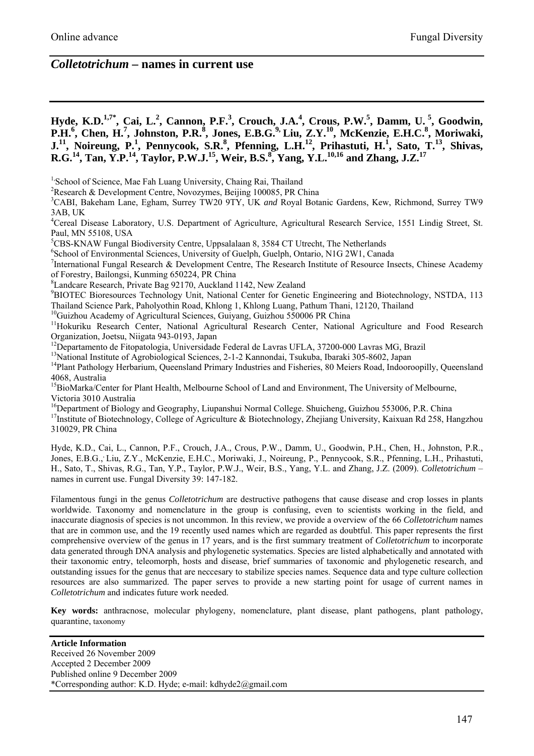# *Colletotrichum* **– names in current use**

**Hyde, K.D.<sup>1,7\*</sup>, Cai, L.<sup>2</sup>, Cannon, P.F.<sup>3</sup>, Crouch, J.A.<sup>4</sup>, Crous, P.W.<sup>5</sup>, Damm, U.<sup>5</sup>, Goodwin,** P.H.<sup>6</sup>, Chen, H.<sup>7</sup>, Johnston, P.R.<sup>8</sup>, Jones, E.B.G.<sup>9</sup>, Liu, Z.Y.<sup>10</sup>, McKenzie, E.H.C.<sup>8</sup>, Moriwaki, **J.**<sup>11</sup>, Noireung, P.<sup>1</sup>, Pennycook, S.R.<sup>8</sup>, Pfenning, L.H.<sup>12</sup>, Prihastuti, H.<sup>1</sup>, Sato, T.<sup>13</sup>, Shivas, **R.G.**<sup>14</sup>, Tan, Y.P.<sup>14</sup>, Taylor, P.W.J.<sup>15</sup>, Weir, B.S.<sup>8</sup>, Yang, Y.L.<sup>10,16</sup> and Zhang, J.Z.<sup>17</sup>

<sup>1,</sup>School of Science, Mae Fah Luang University, Chaing Rai, Thailand

2 Research & Development Centre, Novozymes, Beijing 100085, PR China

3 CABI, Bakeham Lane, Egham, Surrey TW20 9TY, UK *and* Royal Botanic Gardens, Kew, Richmond, Surrey TW9 3AB, UK

<sup>4</sup>Cereal Disease Laboratory, U.S. Department of Agriculture, Agricultural Research Service, 1551 Lindig Street, St. Paul, MN 55108, USA

<sup>5</sup>CBS-KNAW Fungal Biodiversity Centre, Uppsalalaan 8, 3584 CT Utrecht, The Netherlands<br><sup>6</sup>Sebool of Environmental Sciences, University of Gualph, Gualph, Optorio, NJG 2W1, Canada

<sup>6</sup>School of Environmental Sciences, University of Guelph, Guelph, Ontario, N1G 2W1, Canada

<sup>7</sup>International Fungal Research & Development Centre, The Research Institute of Resource Insects, Chinese Academy of Forestry, Bailongsi, Kunming 650224, PR China

<sup>8</sup>Landcare Research, Private Bag 92170, Auckland 1142, New Zealand 9<br><sup>9</sup>PIOTEC Biorecourses Technology Unit, National Center for Constitu

<sup>9</sup>BIOTEC Bioresources Technology Unit, National Center for Genetic Engineering and Biotechnology, NSTDA, 113 Thailand Science Park, Paholyothin Road, Khlong 1, Khlong Luang, Pathum Thani, 12120, Thailand

<sup>10</sup>Guizhou Academy of Agricultural Sciences, Guiyang, Guizhou 550006 PR China

<sup>11</sup>Hokuriku Research Center, National Agricultural Research Center, National Agriculture and Food Research Organization, Joetsu, Niigata 943-0193, Japan

<sup>12</sup>Departamento de Fitopatologia, Universidade Federal de Lavras UFLA, 37200-000 Lavras MG, Brazil

<sup>13</sup>National Institute of Agrobiological Sciences, 2-1-2 Kannondai, Tsukuba, Ibaraki 305-8602, Japan

<sup>14</sup>Plant Pathology Herbarium, Queensland Primary Industries and Fisheries, 80 Meiers Road, Indooroopilly, Queensland 4068, Australia

<sup>15</sup>BioMarka/Center for Plant Health, Melbourne School of Land and Environment, The University of Melbourne, Victoria 3010 Australia

<sup>16</sup>Department of Biology and Geography, Liupanshui Normal College. Shuicheng, Guizhou 553006, P.R. China

<sup>17</sup>Institute of Biotechnology, College of Agriculture & Biotechnology, Zhejiang University, Kaixuan Rd 258, Hangzhou 310029, PR China

Hyde, K.D., Cai, L., Cannon, P.F., Crouch, J.A., Crous, P.W., Damm, U., Goodwin, P.H., Chen, H., Johnston, P.R., Jones, E.B.G.,, Liu, Z.Y., McKenzie, E.H.C., Moriwaki, J., Noireung, P., Pennycook, S.R., Pfenning, L.H., Prihastuti, H., Sato, T., Shivas, R.G., Tan, Y.P., Taylor, P.W.J., Weir, B.S., Yang, Y.L. and Zhang, J.Z. (2009). *Colletotrichum* – names in current use. Fungal Diversity 39: 147-182.

Filamentous fungi in the genus *Colletotrichum* are destructive pathogens that cause disease and crop losses in plants worldwide. Taxonomy and nomenclature in the group is confusing, even to scientists working in the field, and inaccurate diagnosis of species is not uncommon. In this review, we provide a overview of the 66 *Colletotrichum* names that are in common use, and the 19 recently used names which are regarded as doubtful. This paper represents the first comprehensive overview of the genus in 17 years, and is the first summary treatment of *Colletotrichum* to incorporate data generated through DNA analysis and phylogenetic systematics. Species are listed alphabetically and annotated with their taxonomic entry, teleomorph, hosts and disease, brief summaries of taxonomic and phylogenetic research, and outstanding issues for the genus that are neccesary to stabilize species names. Sequence data and type culture collection resources are also summarized. The paper serves to provide a new starting point for usage of current names in *Colletotrichum* and indicates future work needed.

**Key words:** anthracnose, molecular phylogeny, nomenclature, plant disease, plant pathogens, plant pathology, quarantine, taxonomy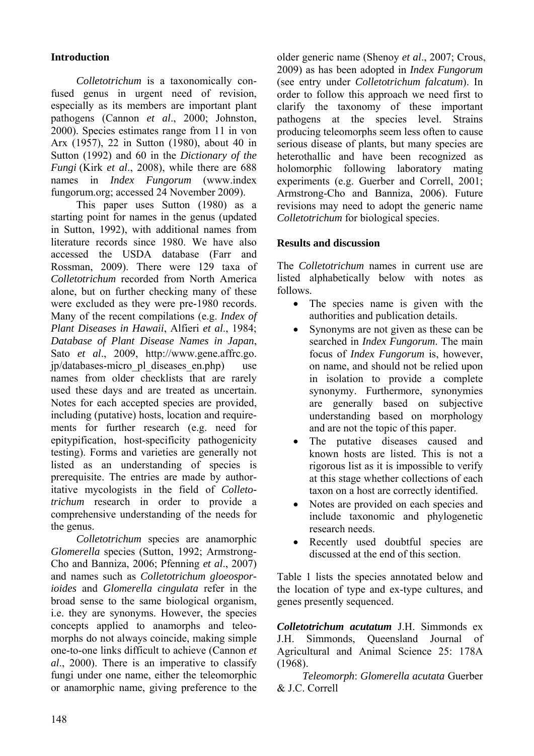# **Introduction**

*Colletotrichum* is a taxonomically confused genus in urgent need of revision, especially as its members are important plant pathogens (Cannon *et al*., 2000; Johnston, 2000). Species estimates range from 11 in von Arx (1957), 22 in Sutton (1980), about 40 in Sutton (1992) and 60 in the *Dictionary of the Fungi* (Kirk *et al*., 2008), while there are 688 names in *Index Fungorum* (www.index fungorum.org; accessed 24 November 2009).

This paper uses Sutton (1980) as a starting point for names in the genus (updated in Sutton, 1992), with additional names from literature records since 1980. We have also accessed the USDA database (Farr and Rossman, 2009). There were 129 taxa of *Colletotrichum* recorded from North America alone, but on further checking many of these were excluded as they were pre-1980 records. Many of the recent compilations (e.g. *Index of Plant Diseases in Hawaii*, Alfieri *et al*., 1984; *Database of Plant Disease Names in Japan*, Sato *et al*., 2009, http://www.gene.affrc.go. jp/databases-micro\_pl\_diseases\_en.php) use names from older checklists that are rarely used these days and are treated as uncertain. Notes for each accepted species are provided, including (putative) hosts, location and requirements for further research (e.g. need for epitypification, host-specificity pathogenicity testing). Forms and varieties are generally not listed as an understanding of species is prerequisite. The entries are made by authoritative mycologists in the field of *Colletotrichum* research in order to provide a comprehensive understanding of the needs for the genus.

*Colletotrichum* species are anamorphic *Glomerella* species (Sutton, 1992; Armstrong-Cho and Banniza, 2006; Pfenning *et al*., 2007) and names such as *Colletotrichum gloeosporioides* and *Glomerella cingulata* refer in the broad sense to the same biological organism, i.e. they are synonyms. However, the species concepts applied to anamorphs and teleomorphs do not always coincide, making simple one-to-one links difficult to achieve (Cannon *et al*., 2000). There is an imperative to classify fungi under one name, either the teleomorphic or anamorphic name, giving preference to the

older generic name (Shenoy *et al*., 2007; Crous, 2009) as has been adopted in *Index Fungorum* (see entry under *Colletotrichum falcatum*). In order to follow this approach we need first to clarify the taxonomy of these important pathogens at the species level. Strains producing teleomorphs seem less often to cause serious disease of plants, but many species are heterothallic and have been recognized as holomorphic following laboratory mating experiments (e.g. Guerber and Correll, 2001; Armstrong-Cho and Banniza, 2006). Future revisions may need to adopt the generic name *Colletotrichum* for biological species.

## **Results and discussion**

The *Colletotrichum* names in current use are listed alphabetically below with notes as follows.

- The species name is given with the authorities and publication details.
- Synonyms are not given as these can be searched in *Index Fungorum*. The main focus of *Index Fungorum* is, however, on name, and should not be relied upon in isolation to provide a complete synonymy. Furthermore, synonymies are generally based on subjective understanding based on morphology and are not the topic of this paper.
- The putative diseases caused and known hosts are listed. This is not a rigorous list as it is impossible to verify at this stage whether collections of each taxon on a host are correctly identified.
- Notes are provided on each species and include taxonomic and phylogenetic research needs.
- Recently used doubtful species are discussed at the end of this section.

Table 1 lists the species annotated below and the location of type and ex-type cultures, and genes presently sequenced.

*Colletotrichum acutatum* J.H. Simmonds ex J.H. Simmonds, Queensland Journal of Agricultural and Animal Science 25: 178A (1968).

*Teleomorph*: *Glomerella acutata* Guerber & J.C. Correll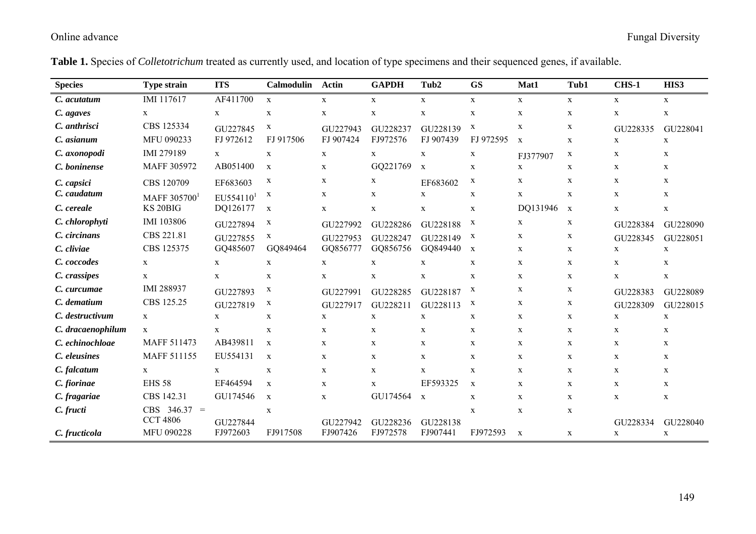| <b>Species</b>    | <b>Type strain</b> | <b>ITS</b>            | <b>Calmodulin</b> | <b>Actin</b> | <b>GAPDH</b> | Tub2         | <b>GS</b>    | Mat1         | Tub1        | <b>CHS-1</b> | HIS3         |
|-------------------|--------------------|-----------------------|-------------------|--------------|--------------|--------------|--------------|--------------|-------------|--------------|--------------|
| C. acutatum       | IMI 117617         | AF411700              | $\mathbf{X}$      | $\mathbf X$  | $\mathbf{X}$ | $\mathbf X$  | $\mathbf{X}$ | $\mathbf X$  | $\mathbf X$ | X            | X            |
| C. agaves         | X                  | $\mathbf{X}$          | $\mathbf X$       | $\mathbf X$  | $\mathbf X$  | X            | $\mathbf X$  | $\mathbf X$  | $\mathbf X$ | $\mathbf X$  | $\mathbf X$  |
| C. anthrisci      | CBS 125334         | GU227845              | X                 | GU227943     | GU228237     | GU228139     | $\mathbf X$  | $\mathbf X$  | X           | GU228335     | GU228041     |
| C. asianum        | MFU 090233         | FJ 972612             | FJ 917506         | FJ 907424    | FJ972576     | FJ 907439    | FJ 972595    | $\mathbf X$  | $\mathbf X$ | $\mathbf X$  | $\mathbf X$  |
| C. axonopodi      | IMI 279189         | $\mathbf{X}$          | $\mathbf X$       | $\mathbf X$  | $\mathbf{X}$ | $\mathbf X$  | $\mathbf X$  | FJ377907     | X           | $\mathbf X$  | X            |
| C. boninense      | MAFF 305972        | AB051400              | $\mathbf x$       | X            | GQ221769     | $\mathbf x$  | $\mathbf x$  | X            | $\mathbf X$ | $\mathbf X$  | $\mathbf{X}$ |
| C. capsici        | CBS 120709         | EF683603              | X                 | X            | $\mathbf x$  | EF683602     | $\mathbf x$  | $\mathbf{X}$ | $\mathbf X$ | $\mathbf X$  | $\mathbf{X}$ |
| C. caudatum       | MAFF 305700        | EU554110 <sup>1</sup> | X                 | X            | X            | X            | $\mathbf X$  | X            | X           | $\mathbf X$  | X            |
| C. cereale        | KS 20BIG           | DQ126177              | $\mathbf X$       | $\mathbf X$  | $\mathbf X$  | X            | $\mathbf X$  | DQ131946     | $\mathbf X$ | $\mathbf X$  | $\mathbf{X}$ |
| C. chlorophyti    | IMI 103806         | GU227894              | X                 | GU227992     | GU228286     | GU228188     | X            | $\mathbf{X}$ | X           | GU228384     | GU228090     |
| C. circinans      | CBS 221.81         | GU227855              | X                 | GU227953     | GU228247     | GU228149     | X            | X            | X           | GU228345     | GU228051     |
| C. cliviae        | CBS 125375         | GQ485607              | GQ849464          | GQ856777     | GQ856756     | GQ849440     | $\mathbf x$  | $\mathbf{X}$ | $\mathbf X$ | $\mathbf X$  | $\mathbf X$  |
| C. coccodes       | $\mathbf X$        | X                     | $\mathbf X$       | X            | $\mathbf X$  | X            | $\mathbf X$  | $\mathbf{X}$ | X           | X            | X            |
| C. crassipes      | X                  | X                     | $\mathbf X$       | X            | $\mathbf X$  | X            | $\mathbf X$  | $\mathbf{X}$ | $\mathbf X$ | X            | $\mathbf{X}$ |
| C. curcumae       | IMI 288937         | GU227893              | X                 | GU227991     | GU228285     | GU228187     | $\mathbf{X}$ | $\mathbf{X}$ | X           | GU228383     | GU228089     |
| C. dematium       | CBS 125.25         | GU227819              | X                 | GU227917     | GU228211     | GU228113     | $\mathbf x$  | $\mathbf{X}$ | X           | GU228309     | GU228015     |
| C. destructivum   | $\mathbf X$        | X                     | $\mathbf X$       | $\mathbf X$  | $\mathbf X$  | $\mathbf X$  | $\mathbf X$  | $\mathbf X$  | $\mathbf X$ | $\mathbf X$  | $\mathbf X$  |
| C. dracaenophilum | $\mathbf{X}$       | $\mathbf x$           | $\mathbf X$       | $\mathbf X$  | $\mathbf X$  | X            | $\mathbf X$  | $\mathbf{X}$ | $\mathbf X$ | $\mathbf X$  | $\mathbf X$  |
| C. echinochloae   | MAFF 511473        | AB439811              | $\mathbf X$       | X            | $\mathbf X$  | X            | $\mathbf X$  | $\mathbf{X}$ | $\mathbf X$ | $\mathbf X$  | X            |
| C. eleusines      | <b>MAFF 511155</b> | EU554131              | X                 | X            | $\mathbf X$  | $\mathbf X$  | $\mathbf x$  | $\mathbf{X}$ | $\mathbf X$ | $\mathbf X$  | X            |
| C. falcatum       | X                  | X                     | X                 | X            | $\mathbf X$  | X            | X            | $\mathbf{X}$ | X           | $\mathbf X$  | X            |
| C. fiorinae       | <b>EHS 58</b>      | EF464594              | $\mathbf X$       | X            | $\mathbf X$  | EF593325     | $\mathbf x$  | $\mathbf{X}$ | $\mathbf x$ | $\mathbf{X}$ | $\mathbf{X}$ |
| C. fragariae      | CBS 142.31         | GU174546              | $\mathbf X$       | X            | GU174564     | $\mathbf{X}$ | $\mathbf x$  | $\mathbf{X}$ | $\mathbf X$ | $\mathbf X$  | X            |
| C. fructi         | $CBS$ 346.37 =     |                       | $\mathbf X$       |              |              |              | $\mathbf X$  | $\mathbf X$  | $\mathbf X$ |              |              |
|                   | <b>CCT 4806</b>    | GU227844              |                   | GU227942     | GU228236     | GU228138     |              |              |             | GU228334     | GU228040     |
| C. fructicola     | <b>MFU 090228</b>  | FJ972603              | FJ917508          | FJ907426     | FJ972578     | FJ907441     | FJ972593     | $\mathbf X$  | $\mathbf X$ | $\mathbf X$  | $\mathbf X$  |

**Table 1.** Species of *Colletotrichum* treated as currently used, and location of type specimens and their sequenced genes, if available.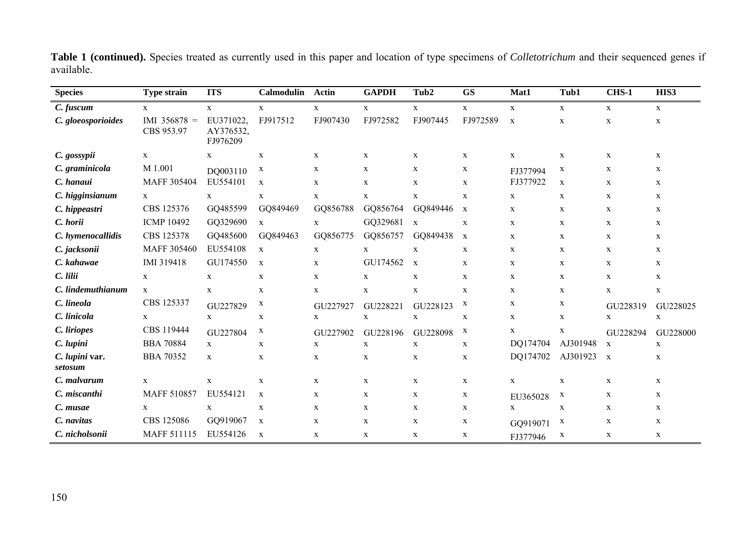| <b>Species</b>            | <b>Type strain</b>           | <b>ITS</b>                         | <b>Calmodulin</b> | <b>Actin</b> | <b>GAPDH</b> | Tub2         | <b>GS</b>    | Mat1         | Tub1         | <b>CHS-1</b> | HIS3         |
|---------------------------|------------------------------|------------------------------------|-------------------|--------------|--------------|--------------|--------------|--------------|--------------|--------------|--------------|
| C. fuscum                 | $\mathbf{X}$                 | $\mathbf X$                        | $\mathbf X$       | $\mathbf X$  | $\mathbf X$  | $\mathbf X$  | $\mathbf X$  | $\mathbf X$  | $\mathbf X$  | $\mathbf X$  | $\mathbf X$  |
| C. gloeosporioides        | IMI $356878 =$<br>CBS 953.97 | EU371022.<br>AY376532,<br>FJ976209 | FJ917512          | FJ907430     | FJ972582     | FJ907445     | FJ972589     | $\mathbf x$  | $\mathbf X$  | $\mathbf X$  | $\mathbf{X}$ |
| C. gossypii               | $\mathbf{X}$                 | X                                  | $\mathbf X$       | $\mathbf X$  | $\mathbf X$  | $\mathbf X$  | $\mathbf X$  | $\mathbf x$  | $\mathbf X$  | $\mathbf X$  | $\mathbf x$  |
| C. graminicola            | M 1.001                      | DQ003110                           | X                 | $\mathbf X$  | $\mathbf X$  | $\mathbf X$  | $\mathbf X$  | FJ377994     | X            | $\mathbf X$  | $\mathbf{X}$ |
| C. hanaui                 | MAFF 305404                  | EU554101                           | X                 | $\mathbf X$  | X            | $\mathbf x$  | $\mathbf X$  | FJ377922     | $\mathbf X$  | X            | $\mathbf x$  |
| C. higginsianum           | $\mathbf X$                  | $\mathbf{X}$                       | $\mathbf X$       | $\mathbf X$  | $\mathbf X$  | $\mathbf X$  | $\mathbf X$  | $\mathbf{X}$ | $\mathbf X$  | $\mathbf X$  | $\mathbf x$  |
| C. hippeastri             | CBS 125376                   | GQ485599                           | GQ849469          | GQ856788     | GQ856764     | GQ849446     | $\mathbf{X}$ | X            | $\mathbf X$  | X            | $\mathbf x$  |
| C. horii                  | <b>ICMP 10492</b>            | GQ329690                           | $\mathbf X$       | $\mathbf X$  | GQ329681     | $\mathbf{X}$ | $\mathbf X$  | X            | $\mathbf X$  | $\mathbf{X}$ | $\mathbf x$  |
| C. hymenocallidis         | CBS 125378                   | GQ485600                           | GQ849463          | GQ856775     | GQ856757     | GQ849438     | $\mathbf{X}$ | X            | X            | X            | X            |
| C. jacksonii              | <b>MAFF 305460</b>           | EU554108                           | $\mathbf X$       | $\mathbf X$  | $\mathbf X$  | $\mathbf X$  | $\mathbf X$  | $\mathbf{X}$ | $\mathbf X$  | $\mathbf X$  | $\mathbf x$  |
| C. kahawae                | IMI 319418                   | GU174550                           | $\mathbf x$       | $\mathbf X$  | GU174562     | $\mathbf{x}$ | $\mathbf X$  | $\mathbf x$  | X            | $\mathbf{X}$ | $\mathbf{X}$ |
| C. lilii                  | $\mathbf{X}$                 | $\mathbf X$                        | $\mathbf X$       | $\mathbf X$  | $\mathbf X$  | $\mathbf X$  | $\mathbf X$  | $\mathbf x$  | $\mathbf X$  | X            | $\mathbf x$  |
| C. lindemuthianum         | $\mathbf{X}$                 | $\mathbf{x}$                       | X                 | $\mathbf X$  | $\mathbf X$  | $\mathbf X$  | $\mathbf X$  | X            | X            | X            | $\mathbf X$  |
| C. lineola                | CBS 125337                   | GU227829                           | X                 | GU227927     | GU228221     | GU228123     | $\mathbf X$  | X            | X            | GU228319     | GU228025     |
| C. linicola               | $\mathbf x$                  | X                                  | $\mathbf X$       | $\mathbf X$  | $\mathbf X$  | $\mathbf X$  | $\mathbf X$  | $\mathbf{X}$ | $\mathbf X$  | X            | $\mathbf X$  |
| C. liriopes               | CBS 119444                   | GU227804                           | X                 | GU227902     | GU228196     | GU228098     | $\mathbf x$  | X            | $\mathbf X$  | GU228294     | GU228000     |
| C. lupini                 | <b>BBA 70884</b>             | $\mathbf X$                        | X                 | $\mathbf X$  | X            | $\mathbf X$  | $\mathbf X$  | DQ174704     | AJ301948     | $\mathbf X$  | $\mathbf X$  |
| C. lupini var.<br>setosum | <b>BBA 70352</b>             | X                                  | X                 | $\mathbf X$  | X            | X            | $\mathbf X$  | DQ174702     | AJ301923     | $\mathbf{X}$ | X            |
| C. malvarum               | $\mathbf x$                  | X                                  | $\mathbf X$       | $\mathbf X$  | $\mathbf X$  | $\mathbf x$  | $\mathbf X$  | $\mathbf{X}$ | $\mathbf X$  | $\mathbf X$  | $\mathbf x$  |
| C. miscanthi              | <b>MAFF 510857</b>           | EU554121                           | X                 | X            | X            | X            | $\mathbf{X}$ | EU365028     | $\mathbf{X}$ | X            | X            |
| C. musae                  | $\mathbf x$                  | $\mathbf{x}$                       | $\mathbf X$       | X            | $\mathbf X$  | $\mathbf X$  | $\mathbf X$  | X            | $\mathbf X$  | $\mathbf X$  | $\mathbf X$  |
| C. navitas                | CBS 125086                   | GQ919067                           | $\mathbf X$       | $\mathbf X$  | X            | $\mathbf X$  | $\mathbf X$  | GQ919071     | $\mathbf{X}$ | $\mathbf X$  | $\mathbf x$  |
| C. nicholsonii            | <b>MAFF 511115</b>           | EU554126                           | $\mathbf X$       | $\mathbf X$  | X            | $\mathbf X$  | $\mathbf X$  | FJ377946     | X            | $\mathbf X$  | $\mathbf x$  |

**Table 1 (continued).** Species treated as currently used in this paper and location of type specimens of *Colletotrichum* and their sequenced genes if available.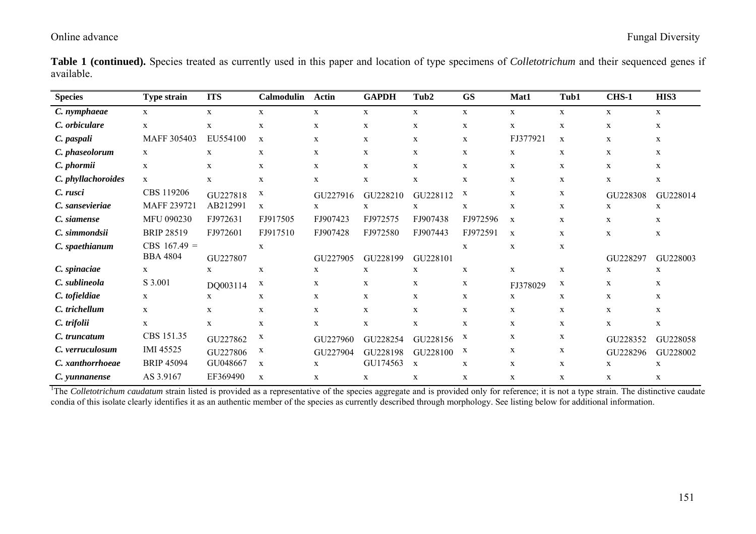**Table 1 (continued).** Species treated as currently used in this paper and location of type specimens of *Colletotrichum* and their sequenced genes if available.

| <b>Species</b>     | <b>Type strain</b> | <b>ITS</b>  | <b>Calmodulin</b> | Actin       | <b>GAPDH</b> | Tub2        | <b>GS</b>    | Mat1        | Tub1        | CHS-1       | HIS3         |
|--------------------|--------------------|-------------|-------------------|-------------|--------------|-------------|--------------|-------------|-------------|-------------|--------------|
| C. nymphaeae       | $\mathbf{X}$       | $\mathbf X$ | X                 | $\mathbf X$ | $\mathbf x$  | X           | $\mathbf x$  | $\mathbf X$ | $\mathbf X$ | X           | X            |
| C. orbiculare      | X                  | $\mathbf X$ | $\mathbf X$       | $\mathbf X$ | $\mathbf X$  | $\mathbf X$ | $\mathbf X$  | X           | $\mathbf X$ | $\mathbf X$ | X            |
| C. paspali         | MAFF 305403        | EU554100    | $\mathbf X$       | $\mathbf x$ | $\mathbf X$  | X           | $\mathbf x$  | FJ377921    | $\mathbf X$ | X           | X            |
| C. phaseolorum     | X                  | X           | X                 | X           | X            | X           | X            | X           | X           | X           | X            |
| C. phormii         | $\mathbf X$        | X           | X                 | $\mathbf X$ | $\mathbf X$  | X           | $\mathbf x$  | X           | X           | $\mathbf X$ | X            |
| C. phyllachoroides | $\mathbf{X}$       | X           | $\mathbf X$       | X           | $\mathbf X$  | X           | $\mathbf X$  | X           | X           | X           | X            |
| C. rusci           | CBS 119206         | GU227818    | X                 | GU227916    | GU228210     | GU228112    | $\mathbf{X}$ | X           | X           | GU228308    | GU228014     |
| C. sansevieriae    | MAFF 239721        | AB212991    | $\mathbf x$       | X           | $\mathbf x$  | $\mathbf x$ | $\mathbf X$  | X           | $\mathbf x$ | X           | X            |
| C. siamense        | MFU 090230         | FJ972631    | FJ917505          | FJ907423    | FJ972575     | FJ907438    | FJ972596     | $\mathbf X$ | X           | X           | X            |
| C. simmondsii      | <b>BRIP 28519</b>  | FJ972601    | FJ917510          | FJ907428    | FJ972580     | FJ907443    | FJ972591     | $\mathbf X$ | $\mathbf X$ | $\mathbf X$ | X            |
| C. spaethianum     | $CBS 167.49 =$     |             | $\mathbf X$       |             |              |             | $\mathbf X$  | $\mathbf X$ | X           |             |              |
|                    | <b>BBA 4804</b>    | GU227807    |                   | GU227905    | GU228199     | GU228101    |              |             |             | GU228297    | GU228003     |
| C. spinaciae       | X                  | X           | X                 | X           | $\mathbf X$  | X           | X            | X           | X           | X           | X            |
| C. sublineola      | S 3.001            | DQ003114    | X                 | X           | X            | X           | $\mathbf{X}$ | FJ378029    | X           | X           | X            |
| C. tofieldiae      | X                  | X           | X                 | $\mathbf x$ | $\mathbf x$  | X           | $\mathbf x$  | X           | $\mathbf X$ | X           | X            |
| C. trichellum      | X                  | X           | X                 | X           | X            | X           | X            | X           | X           | $\mathbf X$ | X            |
| C. trifolii        | X                  | $\mathbf X$ | $\mathbf X$       | $\mathbf X$ | $\mathbf X$  | $\mathbf X$ | $\mathbf X$  | X           | $\mathbf X$ | $\mathbf X$ | $\mathbf{X}$ |
| C. truncatum       | CBS 151.35         | GU227862    | X                 | GU227960    | GU228254     | GU228156    | $\mathbf{X}$ | X           | X           | GU228352    | GU228058     |
| C. verruculosum    | IMI 45525          | GU227806    | X                 | GU227904    | GU228198     | GU228100    | $\mathbf{X}$ | X           | X           | GU228296    | GU228002     |
| C. xanthorrhoeae   | <b>BRIP 45094</b>  | GU048667    | $\mathbf X$       | X           | GU174563     | $\mathbf X$ | $\mathbf X$  | X           | X           | X           | X            |
| C. yunnanense      | AS 3.9167          | EF369490    | X                 | X           | X            | X           | X            | X           | X           | X           | X            |

<sup>1</sup>The *Colletotrichum caudatum* strain listed is provided as a representative of the species aggregate and is provided only for reference; it is not a type strain. The distinctive caudate condia of this isolate clearly identifies it as an authentic member of the species as currently described through morphology. See listing below for additional information.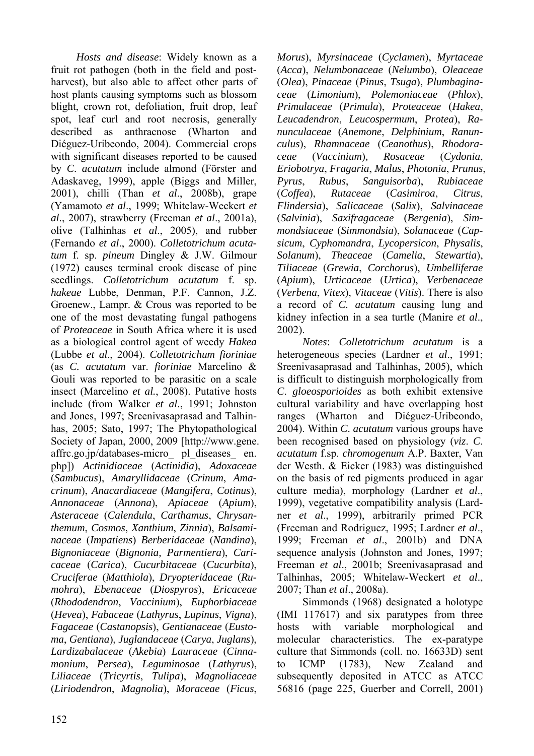*Hosts and disease*: Widely known as a fruit rot pathogen (both in the field and postharvest), but also able to affect other parts of host plants causing symptoms such as blossom blight, crown rot, defoliation, fruit drop, leaf spot, leaf curl and root necrosis, generally described as anthracnose (Wharton and Diéguez-Uribeondo, 2004). Commercial crops with significant diseases reported to be caused by *C*. *acutatum* include almond (Förster and Adaskaveg, 1999), apple (Biggs and Miller, 2001), chilli (Than *et al*., 2008b), grape (Yamamoto *et al*., 1999; Whitelaw-Weckert *et al*., 2007), strawberry (Freeman *et al*., 2001a), olive (Talhinhas *et al*., 2005), and rubber (Fernando *et al*., 2000). *Colletotrichum acutatum* f. sp. *pineum* Dingley & J.W. Gilmour (1972) causes terminal crook disease of pine seedlings. *Colletotrichum acutatum* f. sp. *hakeae* Lubbe, Denman, P.F. Cannon, J.Z. Groenew., Lampr. & Crous was reported to be one of the most devastating fungal pathogens of *Proteaceae* in South Africa where it is used as a biological control agent of weedy *Hakea*  (Lubbe *et al*., 2004). *Colletotrichum fioriniae*  (as *C. acutatum* var. *fioriniae* Marcelino & Gouli was reported to be parasitic on a scale insect (Marcelino *et al.*, 2008). Putative hosts include (from Walker *et al*., 1991; Johnston and Jones, 1997; Sreenivasaprasad and Talhinhas, 2005; Sato, 1997; The Phytopathological Society of Japan, 2000, 2009 [http://www.gene. affrc.go.jp/databases-micro\_ pl\_diseases\_ en. php]) *Actinidiaceae* (*Actinidia*), *Adoxaceae* (*Sambucus*), *Amaryllidaceae* (*Crinum*, *Amacrinum*), *Anacardiaceae* (*Mangifera*, *Cotinus*), *Annonaceae* (*Annona*), *Apiaceae* (*Apium*), *Asteraceae* (*Calendula*, *Carthamus*, *Chrysanthemum*, *Cosmos*, *Xanthium*, *Zinnia*), *Balsaminaceae* (*Impatiens*) *Berberidaceae* (*Nandina*), *Bignoniaceae* (*Bignonia, Parmentiera*), *Caricaceae* (*Carica*), *Cucurbitaceae* (*Cucurbita*), *Cruciferae* (*Matthiola*), *Dryopteridaceae* (*Rumohra*), *Ebenaceae* (*Diospyros*), *Ericaceae* (*Rhododendron*, *Vaccinium*), *Euphorbiaceae* (*Hevea*), *Fabaceae* (*Lathyrus*, *Lupinus*, *Vigna*), *Fagaceae* (*Castanopsis*), *Gentianaceae* (*Eustoma*, *Gentiana*), *Juglandaceae* (*Carya*, *Juglans*), *Lardizabalaceae* (*Akebia*) *Lauraceae* (*Cinnamonium*, *Persea*), *Leguminosae* (*Lathyrus*), *Liliaceae* (*Tricyrtis*, *Tulipa*), *Magnoliaceae* (*Liriodendron*, *Magnolia*), *Moraceae* (*Ficus*,

*Morus*), *Myrsinaceae* (*Cyclamen*), *Myrtaceae* (*Acca*), *Nelumbonaceae* (*Nelumbo*), *Oleaceae* (*Olea*), *Pinaceae* (*Pinus*, *Tsuga*), *Plumbaginaceae* (*Limonium*), *Polemoniaceae* (*Phlox*), *Primulaceae* (*Primula*), *Proteaceae* (*Hakea*, *Leucadendron*, *Leucospermum*, *Protea*), *Ranunculaceae* (*Anemone*, *Delphinium*, *Ranunculus*), *Rhamnaceae* (*Ceanothus*), *Rhodoraceae* (*Vaccinium*)*, Rosaceae* (*Cydonia*, *Eriobotrya*, *Fragaria*, *Malus*, *Photonia*, *Prunus*, *Pyrus*, *Rubus*, *Sanguisorba*), *Rubiaceae* (*Coffea*), *Rutaceae* (*Casimiroa*, *Citrus*, *Flindersia*), *Salicaceae* (*Salix*), *Salvinaceae* (*Salvinia*), *Saxifragaceae* (*Bergenia*), *Simmondsiaceae* (*Simmondsia*), *Solanaceae* (*Capsicum*, *Cyphomandra*, *Lycopersicon*, *Physalis*, *Solanum*), *Theaceae* (*Camelia*, *Stewartia*), *Tiliaceae* (*Grewia*, *Corchorus*), *Umbelliferae*  (*Apium*), *Urticaceae* (*Urtica*), *Verbenaceae* (*Verbena*, *Vitex*), *Vitaceae* (*Vitis*). There is also a record of *C. acutatum* causing lung and kidney infection in a sea turtle (Manire *et al*., 2002).

*Notes*: *Colletotrichum acutatum* is a heterogeneous species (Lardner *et al*., 1991; Sreenivasaprasad and Talhinhas, 2005), which is difficult to distinguish morphologically from *C*. *gloeosporioides* as both exhibit extensive cultural variability and have overlapping host ranges (Wharton and Diéguez-Uribeondo, 2004). Within *C*. *acutatum* various groups have been recognised based on physiology (*viz*. *C*. *acutatum* f.sp. *chromogenum* A.P. Baxter, Van der Westh. & Eicker (1983) was distinguished on the basis of red pigments produced in agar culture media), morphology (Lardner *et al*., 1999), vegetative compatibility analysis (Lardner *et al*., 1999), arbitrarily primed PCR (Freeman and Rodriguez, 1995; Lardner *et al*., 1999; Freeman *et al*., 2001b) and DNA sequence analysis (Johnston and Jones, 1997; Freeman *et al*., 2001b; Sreenivasaprasad and Talhinhas, 2005; Whitelaw-Weckert *et al*., 2007; Than *et al*., 2008a).

Simmonds (1968) designated a holotype (IMI 117617) and six paratypes from three hosts with variable morphological and molecular characteristics. The ex-paratype culture that Simmonds (coll. no. 16633D) sent to ICMP (1783), New Zealand and subsequently deposited in ATCC as ATCC 56816 (page 225, Guerber and Correll, 2001)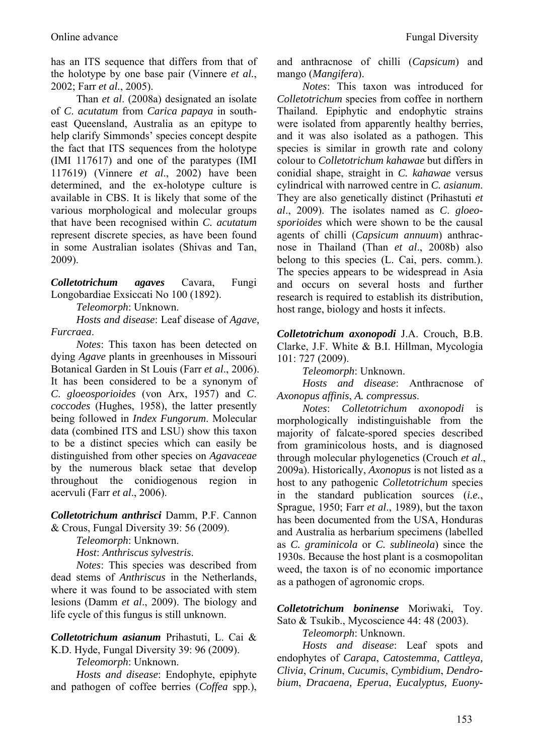has an ITS sequence that differs from that of the holotype by one base pair (Vinnere *et al.*, 2002; Farr *et al.*, 2005).

Than *et al*. (2008a) designated an isolate of *C*. *acutatum* from *Carica papaya* in southeast Queensland, Australia as an epitype to help clarify Simmonds' species concept despite the fact that ITS sequences from the holotype (IMI 117617) and one of the paratypes (IMI 117619) (Vinnere *et al*., 2002) have been determined, and the ex-holotype culture is available in CBS. It is likely that some of the various morphological and molecular groups that have been recognised within *C. acutatum*  represent discrete species, as have been found in some Australian isolates (Shivas and Tan, 2009).

*Colletotrichum agaves* Cavara, Fungi Longobardiae Exsiccati No 100 (1892).

*Teleomorph*: Unknown.

*Hosts and disease*: Leaf disease of *Agave, Furcraea*.

*Notes*: This taxon has been detected on dying *Agave* plants in greenhouses in Missouri Botanical Garden in St Louis (Farr *et al*., 2006). It has been considered to be a synonym of *C*. *gloeosporioides* (von Arx, 1957) and *C*. *coccodes* (Hughes, 1958), the latter presently being followed in *Index Fungorum*. Molecular data (combined ITS and LSU) show this taxon to be a distinct species which can easily be distinguished from other species on *Agavaceae*  by the numerous black setae that develop throughout the conidiogenous region in acervuli (Farr *et al*., 2006).

*Colletotrichum anthrisci* Damm, P.F. Cannon & Crous, Fungal Diversity 39: 56 (2009).

*Teleomorph*: Unknown.

*Host*: *Anthriscus sylvestris*.

*Notes*: This species was described from dead stems of *Anthriscus* in the Netherlands, where it was found to be associated with stem lesions (Damm *et al*., 2009). The biology and life cycle of this fungus is still unknown.

*Colletotrichum asianum* Prihastuti, L. Cai & K.D. Hyde, Fungal Diversity 39: 96 (2009).

*Teleomorph*: Unknown.

*Hosts and disease*: Endophyte, epiphyte and pathogen of coffee berries (*Coffea* spp.), and anthracnose of chilli (*Capsicum*) and mango (*Mangifera*).

*Notes*: This taxon was introduced for *Colletotrichum* species from coffee in northern Thailand. Epiphytic and endophytic strains were isolated from apparently healthy berries, and it was also isolated as a pathogen. This species is similar in growth rate and colony colour to *Colletotrichum kahawae* but differs in conidial shape, straight in *C. kahawae* versus cylindrical with narrowed centre in *C. asianum*. They are also genetically distinct (Prihastuti *et al*., 2009). The isolates named as *C*. *gloeosporioides* which were shown to be the causal agents of chilli (*Capsicum annuum*) anthracnose in Thailand (Than *et al*., 2008b) also belong to this species (L. Cai, pers. comm.). The species appears to be widespread in Asia and occurs on several hosts and further research is required to establish its distribution, host range, biology and hosts it infects.

*Colletotrichum axonopodi* J.A. Crouch, B.B. Clarke, J.F. White & B.I. Hillman, Mycologia 101: 727 (2009).

*Teleomorph*: Unknown.

*Hosts and disease*: Anthracnose of *Axonopus affinis*, *A. compressus*.

*Notes*: *Colletotrichum axonopodi* is morphologically indistinguishable from the majority of falcate-spored species described from graminicolous hosts, and is diagnosed through molecular phylogenetics (Crouch *et al*., 2009a). Historically, *Axonopus* is not listed as a host to any pathogenic *Colletotrichum* species in the standard publication sources (*i.e.*, Sprague, 1950; Farr *et al*., 1989), but the taxon has been documented from the USA, Honduras and Australia as herbarium specimens (labelled as *C. graminicola* or *C. sublineola*) since the 1930s. Because the host plant is a cosmopolitan weed, the taxon is of no economic importance as a pathogen of agronomic crops.

*Colletotrichum boninense* Moriwaki, Toy. Sato & Tsukib., Mycoscience 44: 48 (2003).

*Teleomorph*: Unknown.

*Hosts and disease*: Leaf spots and endophytes of *Carapa*, *Catostemma*, *Cattleya, Clivia*, *Crinum*, *Cucumis*, *Cymbidium*, *Dendrobium*, *Dracaena, Eperua*, *Eucalyptus, Euony-*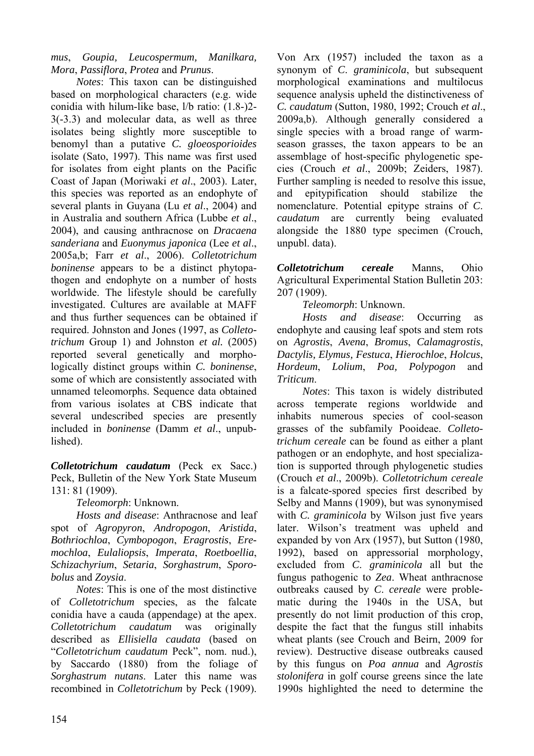*mus*, *Goupia, Leucospermum, Manilkara, Mora*, *Passiflora*, *Protea* and *Prunus*.

*Notes*: This taxon can be distinguished based on morphological characters (e.g. wide conidia with hilum-like base, l/b ratio: (1.8-)2- 3(-3.3) and molecular data, as well as three isolates being slightly more susceptible to benomyl than a putative *C. gloeosporioides* isolate (Sato, 1997). This name was first used for isolates from eight plants on the Pacific Coast of Japan (Moriwaki *et al*., 2003). Later, this species was reported as an endophyte of several plants in Guyana (Lu *et al*., 2004) and in Australia and southern Africa (Lubbe *et al*., 2004), and causing anthracnose on *Dracaena sanderiana* and *Euonymus japonica* (Lee *et al*., 2005a,b; Farr *et al*., 2006). *Colletotrichum boninense* appears to be a distinct phytopathogen and endophyte on a number of hosts worldwide. The lifestyle should be carefully investigated. Cultures are available at MAFF and thus further sequences can be obtained if required. Johnston and Jones (1997, as *Colletotrichum* Group 1) and Johnston *et al.* (2005) reported several genetically and morphologically distinct groups within *C. boninense*, some of which are consistently associated with unnamed teleomorphs. Sequence data obtained from various isolates at CBS indicate that several undescribed species are presently included in *boninense* (Damm *et al*., unpublished).

*Colletotrichum caudatum* (Peck ex Sacc.) Peck, Bulletin of the New York State Museum 131: 81 (1909).

*Teleomorph*: Unknown.

*Hosts and disease*: Anthracnose and leaf spot of *Agropyron*, *Andropogon*, *Aristida*, *Bothriochloa*, *Cymbopogon*, *Eragrostis*, *Eremochloa*, *Eulaliopsis*, *Imperata*, *Roetboellia*, *Schizachyrium*, *Setaria*, *Sorghastrum*, *Sporobolus* and *Zoysia*.

*Notes*: This is one of the most distinctive of *Colletotrichum* species, as the falcate conidia have a cauda (appendage) at the apex. *Colletotrichum caudatum* was originally described as *Ellisiella caudata* (based on "*Colletotrichum caudatum* Peck", nom. nud.), by Saccardo (1880) from the foliage of *Sorghastrum nutans*. Later this name was recombined in *Colletotrichum* by Peck (1909).

Von Arx (1957) included the taxon as a synonym of *C*. *graminicola*, but subsequent morphological examinations and multilocus sequence analysis upheld the distinctiveness of *C. caudatum* (Sutton, 1980, 1992; Crouch *et al*., 2009a,b). Although generally considered a single species with a broad range of warmseason grasses, the taxon appears to be an assemblage of host-specific phylogenetic species (Crouch *et al*., 2009b; Zeiders, 1987). Further sampling is needed to resolve this issue, and epitypification should stabilize the nomenclature. Potential epitype strains of *C*. *caudatum* are currently being evaluated alongside the 1880 type specimen (Crouch, unpubl. data).

*Colletotrichum cereale* Manns, Ohio Agricultural Experimental Station Bulletin 203: 207 (1909).

*Teleomorph*: Unknown.

*Hosts and disease*: Occurring as endophyte and causing leaf spots and stem rots on *Agrostis*, *Avena*, *Bromus*, *Calamagrostis*, *Dactylis, Elymus, Festuca*, *Hierochloe*, *Holcus*, *Hordeum*, *Lolium*, *Poa, Polypogon* and *Triticum*.

*Notes*: This taxon is widely distributed across temperate regions worldwide and inhabits numerous species of cool-season grasses of the subfamily Pooideae. *Colletotrichum cereale* can be found as either a plant pathogen or an endophyte, and host specialization is supported through phylogenetic studies (Crouch *et al*., 2009b). *Colletotrichum cereale* is a falcate-spored species first described by Selby and Manns (1909), but was synonymised with *C. graminicola* by Wilson just five years later. Wilson's treatment was upheld and expanded by von Arx (1957), but Sutton (1980, 1992), based on appressorial morphology, excluded from *C*. *graminicola* all but the fungus pathogenic to *Zea*. Wheat anthracnose outbreaks caused by *C*. *cereale* were problematic during the 1940s in the USA, but presently do not limit production of this crop, despite the fact that the fungus still inhabits wheat plants (see Crouch and Beirn, 2009 for review). Destructive disease outbreaks caused by this fungus on *Poa annua* and *Agrostis stolonifera* in golf course greens since the late 1990s highlighted the need to determine the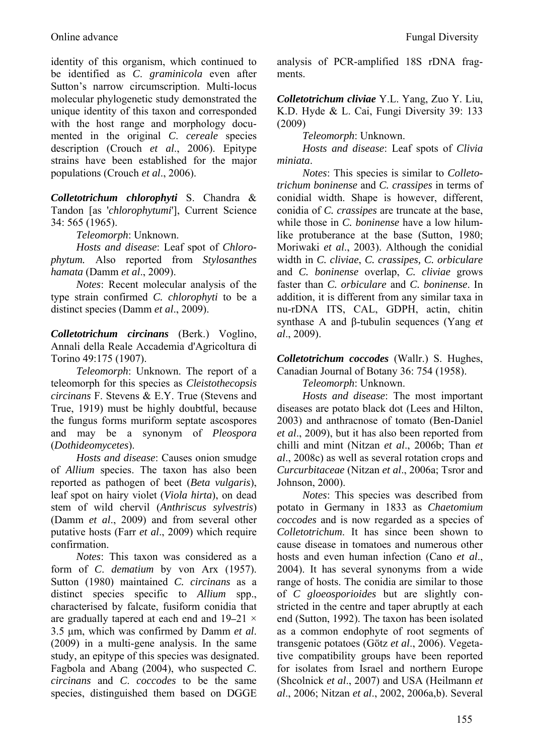identity of this organism, which continued to be identified as *C*. *graminicola* even after Sutton's narrow circumscription. Multi-locus molecular phylogenetic study demonstrated the unique identity of this taxon and corresponded with the host range and morphology documented in the original *C*. *cereale* species description (Crouch *et al*., 2006). Epitype strains have been established for the major populations (Crouch *et al*., 2006).

*Colletotrichum chlorophyti* S. Chandra & Tandon [as '*chlorophytumi*'], Current Science 34: 565 (1965).

*Teleomorph*: Unknown.

*Hosts and disease*: Leaf spot of *Chlorophytum.* Also reported from *Stylosanthes hamata* (Damm *et al*., 2009).

*Notes*: Recent molecular analysis of the type strain confirmed *C. chlorophyti* to be a distinct species (Damm *et al*., 2009).

*Colletotrichum circinans* (Berk.) Voglino, Annali della Reale Accademia d'Agricoltura di Torino 49:175 (1907).

*Teleomorph*: Unknown. The report of a teleomorph for this species as *Cleistothecopsis circinans* F. Stevens & E.Y. True (Stevens and True, 1919) must be highly doubtful, because the fungus forms muriform septate ascospores and may be a synonym of *Pleospora* (*Dothideomycetes*).

*Hosts and disease*: Causes onion smudge of *Allium* species. The taxon has also been reported as pathogen of beet (*Beta vulgaris*), leaf spot on hairy violet (*Viola hirta*), on dead stem of wild chervil (*Anthriscus sylvestris*) (Damm *et al*., 2009) and from several other putative hosts (Farr *et al*., 2009) which require confirmation.

*Notes*: This taxon was considered as a form of *C*. *dematium* by von Arx (1957). Sutton (1980) maintained *C. circinans* as a distinct species specific to *Allium* spp., characterised by falcate, fusiform conidia that are gradually tapered at each end and  $19-21 \times$ 3.5 μm, which was confirmed by Damm *et al*. (2009) in a multi-gene analysis. In the same study, an epitype of this species was designated. Fagbola and Abang (2004), who suspected *C*. *circinans* and *C*. *coccodes* to be the same species, distinguished them based on DGGE

analysis of PCR-amplified 18S rDNA fragments.

*Colletotrichum cliviae* Y.L. Yang, Zuo Y. Liu, K.D. Hyde & L. Cai, Fungi Diversity 39: 133 (2009)

*Teleomorph*: Unknown.

*Hosts and disease*: Leaf spots of *Clivia miniata*.

*Notes*: This species is similar to *Colletotrichum boninense* and *C. crassipes* in terms of conidial width. Shape is however, different, conidia of *C. crassipes* are truncate at the base, while those in *C. boninense* have a low hilumlike protuberance at the base (Sutton, 1980; Moriwaki *et al*., 2003). Although the conidial width in *C. cliviae*, *C. crassipes, C. orbiculare* and *C. boninense* overlap, *C. cliviae* grows faster than *C. orbiculare* and *C. boninense*. In addition, it is different from any similar taxa in nu-rDNA ITS, CAL, GDPH, actin, chitin synthase A and β-tubulin sequences (Yang *et al*., 2009).

*Colletotrichum coccodes* (Wallr.) S. Hughes, Canadian Journal of Botany 36: 754 (1958).

*Teleomorph*: Unknown.

*Hosts and disease*: The most important diseases are potato black dot (Lees and Hilton, 2003) and anthracnose of tomato (Ben-Daniel *et al*., 2009), but it has also been reported from chilli and mint (Nitzan *et al*., 2006b; Than *et al*., 2008c) as well as several rotation crops and *Curcurbitaceae* (Nitzan *et al*., 2006a; Tsror and Johnson, 2000).

*Notes*: This species was described from potato in Germany in 1833 as *Chaetomium coccodes* and is now regarded as a species of *Colletotrichum*. It has since been shown to cause disease in tomatoes and numerous other hosts and even human infection (Cano *et al*., 2004). It has several synonyms from a wide range of hosts. The conidia are similar to those of *C gloeosporioides* but are slightly constricted in the centre and taper abruptly at each end (Sutton, 1992). The taxon has been isolated as a common endophyte of root segments of transgenic potatoes (Götz *et al*., 2006). Vegetative compatibility groups have been reported for isolates from Israel and northern Europe (Shcolnick *et al*., 2007) and USA (Heilmann *et al*., 2006; Nitzan *et al*., 2002, 2006a,b). Several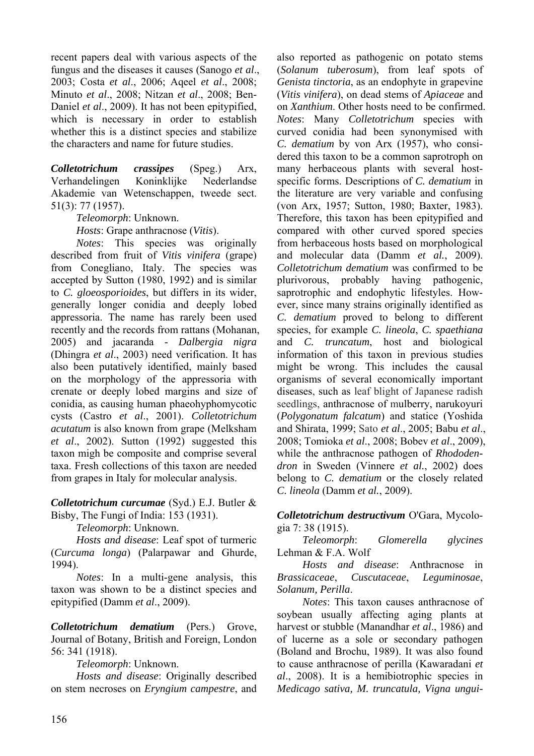recent papers deal with various aspects of the fungus and the diseases it causes (Sanogo *et al*., 2003; Costa *et al*., 2006; Aqeel *et al*., 2008; Minuto *et al*., 2008; Nitzan *et al*., 2008; Ben-Daniel *et al*., 2009). It has not been epitypified, which is necessary in order to establish whether this is a distinct species and stabilize the characters and name for future studies.

*Colletotrichum crassipes* (Speg.) Arx, Verhandelingen Koninklijke Nederlandse Akademie van Wetenschappen, tweede sect. 51(3): 77 (1957).

*Teleomorph*: Unknown.

*Hosts*: Grape anthracnose (*Vitis*).

*Notes*: This species was originally described from fruit of *Vitis vinifera* (grape) from Conegliano, Italy. The species was accepted by Sutton (1980, 1992) and is similar to *C. gloeosporioides*, but differs in its wider, generally longer conidia and deeply lobed appressoria. The name has rarely been used recently and the records from rattans (Mohanan, 2005) and jacaranda - *Dalbergia nigra* (Dhingra *et al*., 2003) need verification. It has also been putatively identified, mainly based on the morphology of the appressoria with crenate or deeply lobed margins and size of conidia, as causing human phaeohyphomycotic cysts (Castro *et al*., 2001). *Colletotrichum acutatum* is also known from grape (Melksham *et al*., 2002). Sutton (1992) suggested this taxon migh be composite and comprise several taxa. Fresh collections of this taxon are needed from grapes in Italy for molecular analysis.

*Colletotrichum curcumae* (Syd.) E.J. Butler & Bisby, The Fungi of India: 153 (1931).

*Teleomorph*: Unknown.

*Hosts and disease*: Leaf spot of turmeric (*Curcuma longa*) (Palarpawar and Ghurde, 1994).

*Notes*: In a multi-gene analysis, this taxon was shown to be a distinct species and epitypified (Damm *et al*., 2009).

*Colletotrichum dematium* (Pers.) Grove, Journal of Botany, British and Foreign, London 56: 341 (1918).

*Teleomorph*: Unknown.

*Hosts and disease*: Originally described on stem necroses on *Eryngium campestre*, and

also reported as pathogenic on potato stems (*Solanum tuberosum*), from leaf spots of *Genista tinctoria*, as an endophyte in grapevine (*Vitis vinifera*), on dead stems of *Apiaceae* and on *Xanthium*. Other hosts need to be confirmed. *Notes*: Many *Colletotrichum* species with curved conidia had been synonymised with *C. dematium* by von Arx (1957), who considered this taxon to be a common saprotroph on many herbaceous plants with several hostspecific forms. Descriptions of *C. dematium* in the literature are very variable and confusing (von Arx, 1957; Sutton, 1980; Baxter, 1983). Therefore, this taxon has been epitypified and compared with other curved spored species from herbaceous hosts based on morphological and molecular data (Damm *et al.*, 2009). *Colletotrichum dematium* was confirmed to be plurivorous, probably having pathogenic, saprotrophic and endophytic lifestyles. However, since many strains originally identified as *C. dematium* proved to belong to different species, for example *C. lineola*, *C. spaethiana* and *C. truncatum*, host and biological information of this taxon in previous studies might be wrong. This includes the causal organisms of several economically important diseases, such as leaf blight of Japanese radish seedlings, anthracnose of mulberry, narukoyuri (*Polygonatum falcatum*) and statice (Yoshida and Shirata, 1999; Sato *et al*., 2005; Babu *et al*., 2008; Tomioka *et al*., 2008; Bobev *et al*., 2009), while the anthracnose pathogen of *Rhododendron* in Sweden (Vinnere *et al.*, 2002) does belong to *C. dematium* or the closely related *C. lineola* (Damm *et al.*, 2009).

*Colletotrichum destructivum* O'Gara, Mycologia 7: 38 (1915).

*Teleomorph*: *Glomerella glycines*  Lehman & F.A. Wolf

*Hosts and disease*: Anthracnose in *Brassicaceae*, *Cuscutaceae*, *Leguminosae*, *Solanum, Perilla*.

*Notes*: This taxon causes anthracnose of soybean usually affecting aging plants at harvest or stubble (Manandhar *et al*., 1986) and of lucerne as a sole or secondary pathogen (Boland and Brochu, 1989). It was also found to cause anthracnose of perilla (Kawaradani *et al*., 2008). It is a hemibiotrophic species in *Medicago sativa, M. truncatula, Vigna ungui-*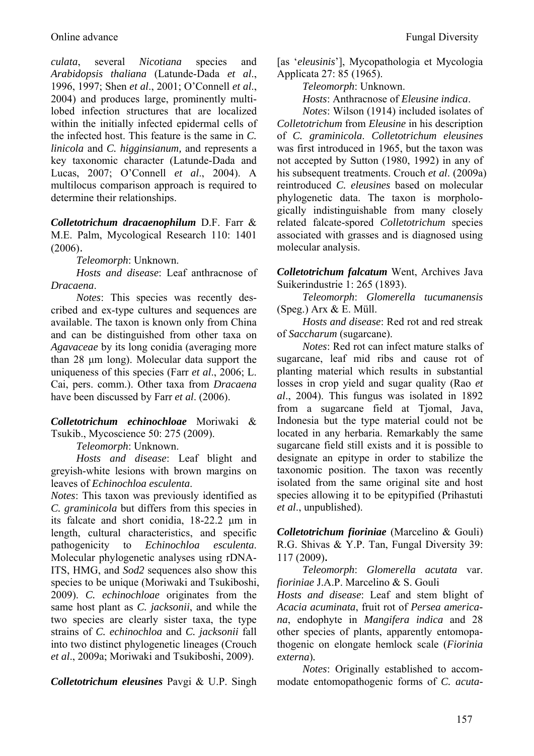*culata*, several *Nicotiana* species and *Arabidopsis thaliana* (Latunde-Dada *et al*., 1996, 1997; Shen *et al*., 2001; O'Connell *et al*., 2004) and produces large, prominently multilobed infection structures that are localized within the initially infected epidermal cells of the infected host. This feature is the same in *C. linicola* and *C. higginsianum,* and represents a key taxonomic character (Latunde-Dada and Lucas, 2007; O'Connell *et al*., 2004). A multilocus comparison approach is required to determine their relationships.

*Colletotrichum dracaenophilum* D.F. Farr & M.E. Palm, Mycological Research 110: 1401 (2006).

*Teleomorph*: Unknown.

*Hosts and disease*: Leaf anthracnose of *Dracaena*.

*Notes*: This species was recently described and ex-type cultures and sequences are available. The taxon is known only from China and can be distinguished from other taxa on *Agavaceae* by its long conidia (averaging more than 28 μm long). Molecular data support the uniqueness of this species (Farr *et al*., 2006; L. Cai, pers. comm.). Other taxa from *Dracaena* have been discussed by Farr *et al*. (2006).

*Colletotrichum echinochloae* Moriwaki & Tsukib., Mycoscience 50: 275 (2009).

*Teleomorph*: Unknown.

*Hosts and disease*: Leaf blight and greyish-white lesions with brown margins on leaves of *Echinochloa esculenta*.

*Notes*: This taxon was previously identified as *C. graminicola* but differs from this species in its falcate and short conidia, 18-22.2 μm in length, cultural characteristics, and specific pathogenicity to *Echinochloa esculenta*. Molecular phylogenetic analyses using rDNA-ITS, HMG, and *Sod2* sequences also show this species to be unique (Moriwaki and Tsukiboshi, 2009). *C. echinochloae* originates from the same host plant as *C. jacksonii*, and while the two species are clearly sister taxa, the type strains of *C. echinochloa* and *C. jacksonii* fall into two distinct phylogenetic lineages (Crouch *et al*., 2009a; Moriwaki and Tsukiboshi, 2009).

*Colletotrichum eleusines* Pavgi & U.P. Singh

[as '*eleusinis*'], Mycopathologia et Mycologia Applicata 27: 85 (1965).

*Teleomorph*: Unknown.

*Hosts*: Anthracnose of *Eleusine indica*.

*Notes*: Wilson (1914) included isolates of *Colletotrichum* from *Eleusine* in his description of *C. graminicola*. *Colletotrichum eleusines* was first introduced in 1965, but the taxon was not accepted by Sutton (1980, 1992) in any of his subsequent treatments. Crouch *et al*. (2009a) reintroduced *C. eleusines* based on molecular phylogenetic data. The taxon is morphologically indistinguishable from many closely related falcate-spored *Colletotrichum* species associated with grasses and is diagnosed using molecular analysis.

*Colletotrichum falcatum* Went, Archives Java Suikerindustrie 1: 265 (1893).

*Teleomorph*: *Glomerella tucumanensis*  (Speg.) Arx & E. Müll.

*Hosts and disease*: Red rot and red streak of *Saccharum* (sugarcane).

*Notes*: Red rot can infect mature stalks of sugarcane, leaf mid ribs and cause rot of planting material which results in substantial losses in crop yield and sugar quality (Rao *et al*., 2004). This fungus was isolated in 1892 from a sugarcane field at Tjomal, Java, Indonesia but the type material could not be located in any herbaria. Remarkably the same sugarcane field still exists and it is possible to designate an epitype in order to stabilize the taxonomic position. The taxon was recently isolated from the same original site and host species allowing it to be epitypified (Prihastuti *et al*., unpublished).

*Colletotrichum fioriniae* (Marcelino & Gouli) R.G. Shivas & Y.P. Tan, Fungal Diversity 39: 117 (2009).

*Teleomorph*: *Glomerella acutata* var. *fioriniae* J.A.P. Marcelino & S. Gouli

*Hosts and disease*: Leaf and stem blight of *Acacia acuminata*, fruit rot of *Persea americana*, endophyte in *Mangifera indica* and 28 other species of plants, apparently entomopathogenic on elongate hemlock scale (*Fiorinia externa*)*.*

*Notes*: Originally established to accommodate entomopathogenic forms of *C. acuta-*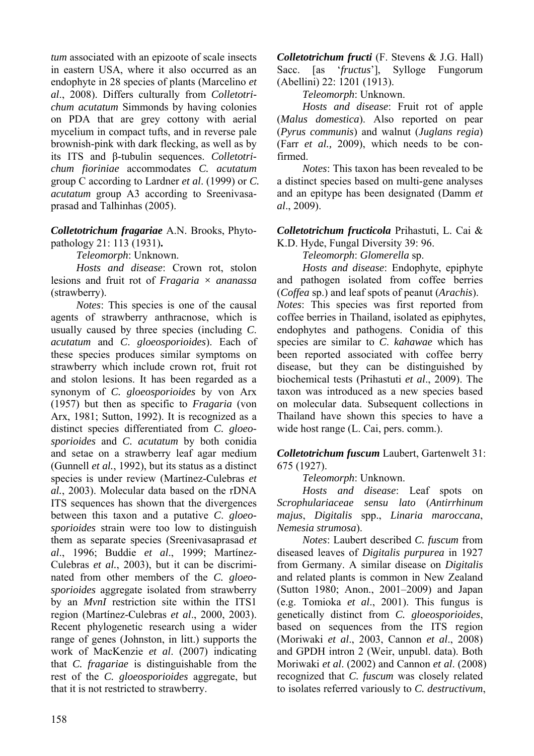*tum* associated with an epizoote of scale insects in eastern USA, where it also occurred as an endophyte in 28 species of plants (Marcelino *et al*., 2008). Differs culturally from *Colletotrichum acutatum* Simmonds by having colonies on PDA that are grey cottony with aerial mycelium in compact tufts, and in reverse pale brownish-pink with dark flecking, as well as by its ITS and β-tubulin sequences. *Colletotrichum fioriniae* accommodates *C. acutatum*  group C according to Lardner *et al*. (1999) or *C. acutatum* group A3 according to Sreenivasaprasad and Talhinhas (2005).

## *Colletotrichum fragariae* A.N. Brooks, Phytopathology 21: 113 (1931)**.**

*Teleomorph*: Unknown.

*Hosts and disease*: Crown rot, stolon lesions and fruit rot of *Fragaria × ananassa* (strawberry).

*Notes*: This species is one of the causal agents of strawberry anthracnose, which is usually caused by three species (including *C*. *acutatum* and *C*. *gloeosporioides*). Each of these species produces similar symptoms on strawberry which include crown rot, fruit rot and stolon lesions. It has been regarded as a synonym of *C. gloeosporioides* by von Arx (1957) but then as specific to *Fragaria* (von Arx, 1981; Sutton, 1992). It is recognized as a distinct species differentiated from *C. gloeosporioides* and *C. acutatum* by both conidia and setae on a strawberry leaf agar medium (Gunnell *et al.*, 1992), but its status as a distinct species is under review (Martínez-Culebras *et al.*, 2003). Molecular data based on the rDNA ITS sequences has shown that the divergences between this taxon and a putative *C*. *gloeosporioides* strain were too low to distinguish them as separate species (Sreenivasaprasad *et al*., 1996; Buddie *et al*., 1999; Martínez-Culebras *et al.*, 2003), but it can be discriminated from other members of the *C. gloeosporioides* aggregate isolated from strawberry by an *MvnI* restriction site within the ITS1 region (Martínez-Culebras *et al*., 2000, 2003). Recent phylogenetic research using a wider range of genes (Johnston, in litt.) supports the work of MacKenzie *et al*. (2007) indicating that *C. fragariae* is distinguishable from the rest of the *C. gloeosporioides* aggregate, but that it is not restricted to strawberry.

*Colletotrichum fructi* (F. Stevens & J.G. Hall) Sacc. [as '*fructus*'], Sylloge Fungorum (Abellini) 22: 1201 (1913).

*Teleomorph*: Unknown.

*Hosts and disease*: Fruit rot of apple (*Malus domestica*). Also reported on pear (*Pyrus communis*) and walnut (*Juglans regia*) (Farr *et al.,* 2009), which needs to be confirmed.

*Notes*: This taxon has been revealed to be a distinct species based on multi-gene analyses and an epitype has been designated (Damm *et al*., 2009).

*Colletotrichum fructicola* Prihastuti, L. Cai & K.D. Hyde, Fungal Diversity 39: 96.

*Teleomorph*: *Glomerella* sp.

*Hosts and disease*: Endophyte, epiphyte and pathogen isolated from coffee berries (*Coffea* sp.) and leaf spots of peanut (*Arachis*).

*Notes*: This species was first reported from coffee berries in Thailand, isolated as epiphytes, endophytes and pathogens. Conidia of this species are similar to *C*. *kahawae* which has been reported associated with coffee berry disease, but they can be distinguished by biochemical tests (Prihastuti *et al*., 2009). The taxon was introduced as a new species based on molecular data. Subsequent collections in Thailand have shown this species to have a wide host range (L. Cai, pers. comm.).

## *Colletotrichum fuscum* Laubert, Gartenwelt 31: 675 (1927).

# *Teleomorph*: Unknown.

*Hosts and disease*: Leaf spots on *Scrophulariaceae sensu lato* (*Antirrhinum majus*, *Digitalis* spp., *Linaria maroccana*, *Nemesia strumosa*).

*Notes*: Laubert described *C. fuscum* from diseased leaves of *Digitalis purpurea* in 1927 from Germany. A similar disease on *Digitalis* and related plants is common in New Zealand (Sutton 1980; Anon., 2001–2009) and Japan (e.g. Tomioka *et al*., 2001). This fungus is genetically distinct from *C. gloeosporioides*, based on sequences from the ITS region (Moriwaki *et al*., 2003, Cannon *et al*., 2008) and GPDH intron 2 (Weir, unpubl. data). Both Moriwaki *et al*. (2002) and Cannon *et al*. (2008) recognized that *C. fuscum* was closely related to isolates referred variously to *C. destructivum*,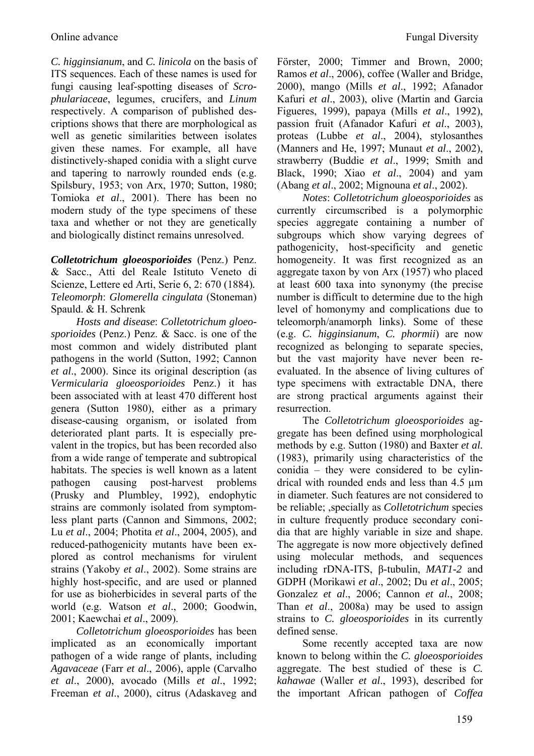*C. higginsianum*, and *C. linicola* on the basis of ITS sequences. Each of these names is used for fungi causing leaf-spotting diseases of *Scrophulariaceae*, legumes, crucifers, and *Linum* respectively. A comparison of published descriptions shows that there are morphological as well as genetic similarities between isolates given these names. For example, all have distinctively-shaped conidia with a slight curve and tapering to narrowly rounded ends (e.g. Spilsbury, 1953; von Arx, 1970; Sutton, 1980; Tomioka *et al*., 2001). There has been no modern study of the type specimens of these taxa and whether or not they are genetically and biologically distinct remains unresolved.

*Colletotrichum gloeosporioides* (Penz.) Penz. & Sacc., Atti del Reale Istituto Veneto di Scienze, Lettere ed Arti, Serie 6, 2: 670 (1884)*. Teleomorph*: *Glomerella cingulata* (Stoneman) Spauld. & H. Schrenk

*Hosts and disease*: *Colletotrichum gloeosporioides* (Penz.) Penz. & Sacc. is one of the most common and widely distributed plant pathogens in the world (Sutton, 1992; Cannon *et al*., 2000). Since its original description (as *Vermicularia gloeosporioides* Penz.) it has been associated with at least 470 different host genera (Sutton 1980), either as a primary disease-causing organism, or isolated from deteriorated plant parts. It is especially prevalent in the tropics, but has been recorded also from a wide range of temperate and subtropical habitats. The species is well known as a latent pathogen causing post-harvest problems (Prusky and Plumbley, 1992), endophytic strains are commonly isolated from symptomless plant parts (Cannon and Simmons, 2002; Lu *et al*., 2004; Photita *et al*., 2004, 2005), and reduced-pathogenicity mutants have been explored as control mechanisms for virulent strains (Yakoby *et al*., 2002). Some strains are highly host-specific, and are used or planned for use as bioherbicides in several parts of the world (e.g. Watson *et al*., 2000; Goodwin, 2001; Kaewchai *et al*., 2009).

*Colletotrichum gloeosporioides* has been implicated as an economically important pathogen of a wide range of plants, including *Agavaceae* (Farr *et al*., 2006), apple (Carvalho *et al*., 2000), avocado (Mills *et al*., 1992; Freeman *et al*., 2000), citrus (Adaskaveg and Förster, 2000; Timmer and Brown, 2000; Ramos *et al*., 2006), coffee (Waller and Bridge, 2000), mango (Mills *et al*., 1992; Afanador Kafuri *et al*., 2003), olive (Martin and Garcia Figueres, 1999), papaya (Mills *et al*., 1992), passion fruit (Afanador Kafuri *et al*., 2003), proteas (Lubbe *et al*., 2004), stylosanthes (Manners and He, 1997; Munaut *et al*., 2002), strawberry (Buddie *et al*., 1999; Smith and Black, 1990; Xiao *et al*., 2004) and yam (Abang *et al*., 2002; Mignouna *et al*., 2002).

*Notes*: *Colletotrichum gloeosporioides* as currently circumscribed is a polymorphic species aggregate containing a number of subgroups which show varying degrees of pathogenicity, host-specificity and genetic homogeneity. It was first recognized as an aggregate taxon by von Arx (1957) who placed at least 600 taxa into synonymy (the precise number is difficult to determine due to the high level of homonymy and complications due to teleomorph/anamorph links). Some of these (e.g. *C. higginsianum*, *C. phormii*) are now recognized as belonging to separate species, but the vast majority have never been reevaluated. In the absence of living cultures of type specimens with extractable DNA, there are strong practical arguments against their resurrection.

The *Colletotrichum gloeosporioides* aggregate has been defined using morphological methods by e.g. Sutton (1980) and Baxter *et al.*  (1983), primarily using characteristics of the conidia – they were considered to be cylindrical with rounded ends and less than 4.5 µm in diameter. Such features are not considered to be reliable; ,specially as *Colletotrichum* species in culture frequently produce secondary conidia that are highly variable in size and shape. The aggregate is now more objectively defined using molecular methods, and sequences including rDNA-ITS, β-tubulin, *MAT1-2* and GDPH (Morikawi *et al*., 2002; Du *et al*., 2005; Gonzalez *et al*., 2006; Cannon *et al.*, 2008; Than *et al*., 2008a) may be used to assign strains to *C. gloeosporioides* in its currently defined sense.

Some recently accepted taxa are now known to belong within the *C. gloeosporioides* aggregate. The best studied of these is *C. kahawae* (Waller *et al*., 1993), described for the important African pathogen of *Coffea*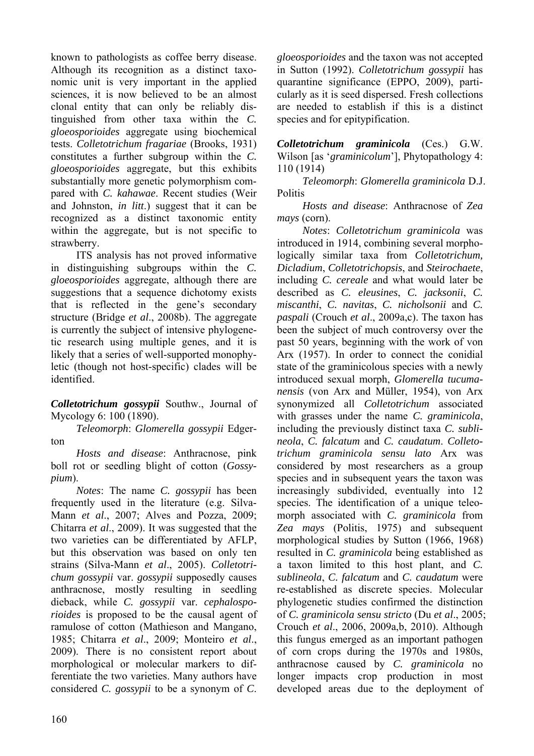known to pathologists as coffee berry disease. Although its recognition as a distinct taxonomic unit is very important in the applied sciences, it is now believed to be an almost clonal entity that can only be reliably distinguished from other taxa within the *C. gloeosporioides* aggregate using biochemical tests. *Colletotrichum fragariae* (Brooks, 1931) constitutes a further subgroup within the *C. gloeosporioides* aggregate, but this exhibits substantially more genetic polymorphism compared with *C. kahawae*. Recent studies (Weir and Johnston, *in litt*.) suggest that it can be recognized as a distinct taxonomic entity within the aggregate, but is not specific to strawberry.

ITS analysis has not proved informative in distinguishing subgroups within the *C. gloeosporioides* aggregate, although there are suggestions that a sequence dichotomy exists that is reflected in the gene's secondary structure (Bridge *et al*., 2008b). The aggregate is currently the subject of intensive phylogenetic research using multiple genes, and it is likely that a series of well-supported monophyletic (though not host-specific) clades will be identified.

*Colletotrichum gossypii* Southw., Journal of Mycology 6: 100 (1890).

*Teleomorph*: *Glomerella gossypii* Edgerton

*Hosts and disease*: Anthracnose, pink boll rot or seedling blight of cotton (*Gossypium*).

*Notes*: The name *C. gossypii* has been frequently used in the literature (e.g. Silva-Mann *et al*., 2007; Alves and Pozza, 2009; Chitarra *et al*., 2009). It was suggested that the two varieties can be differentiated by AFLP, but this observation was based on only ten strains (Silva-Mann *et al*., 2005). *Colletotrichum gossypii* var. *gossypii* supposedly causes anthracnose, mostly resulting in seedling dieback, while *C. gossypii* var. *cephalosporioides* is proposed to be the causal agent of ramulose of cotton (Mathieson and Mangano, 1985; Chitarra *et al*., 2009; Monteiro *et al*., 2009). There is no consistent report about morphological or molecular markers to differentiate the two varieties. Many authors have considered *C. gossypii* to be a synonym of *C*.

*gloeosporioides* and the taxon was not accepted in Sutton (1992). *Colletotrichum gossypii* has quarantine significance (EPPO, 2009), particularly as it is seed dispersed. Fresh collections are needed to establish if this is a distinct species and for epitypification.

*Colletotrichum graminicola* (Ces.) G.W. Wilson [as '*graminicolum*'], Phytopathology 4: 110 (1914)

*Teleomorph*: *Glomerella graminicola* D.J. **Politis** 

*Hosts and disease*: Anthracnose of *Zea mays* (corn).

*Notes*: *Colletotrichum graminicola* was introduced in 1914, combining several morphologically similar taxa from *Colletotrichum, Dicladium*, *Colletotrichopsis*, and *Steirochaete*, including *C. cereale* and what would later be described as *C. eleusines*, *C. jacksonii*, *C. miscanthi*, *C. navitas*, *C. nicholsonii* and *C. paspali* (Crouch *et al*., 2009a,c). The taxon has been the subject of much controversy over the past 50 years, beginning with the work of von Arx (1957). In order to connect the conidial state of the graminicolous species with a newly introduced sexual morph, *Glomerella tucumanensis* (von Arx and Müller, 1954), von Arx synonymized all *Colletotrichum* associated with grasses under the name *C. graminicola*, including the previously distinct taxa *C. sublineola*, *C. falcatum* and *C. caudatum*. *Colletotrichum graminicola sensu lato* Arx was considered by most researchers as a group species and in subsequent years the taxon was increasingly subdivided, eventually into 12 species. The identification of a unique teleomorph associated with *C. graminicola* from *Zea mays* (Politis, 1975) and subsequent morphological studies by Sutton (1966, 1968) resulted in *C. graminicola* being established as a taxon limited to this host plant, and *C. sublineola*, *C. falcatum* and *C. caudatum* were re-established as discrete species. Molecular phylogenetic studies confirmed the distinction of *C. graminicola sensu stricto* (Du *et al*., 2005; Crouch *et al*., 2006, 2009a,b, 2010). Although this fungus emerged as an important pathogen of corn crops during the 1970s and 1980s, anthracnose caused by *C. graminicola* no longer impacts crop production in most developed areas due to the deployment of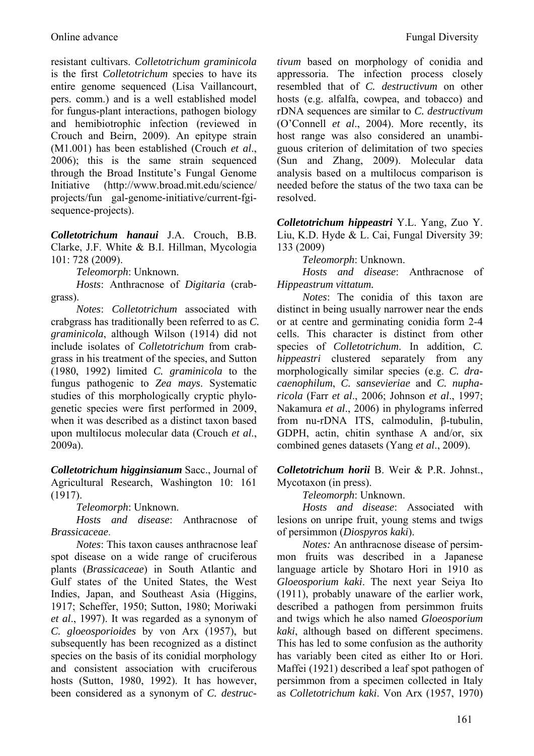resistant cultivars. *Colletotrichum graminicola* is the first *Colletotrichum* species to have its entire genome sequenced (Lisa Vaillancourt, pers. comm.) and is a well established model for fungus-plant interactions, pathogen biology and hemibiotrophic infection (reviewed in Crouch and Beirn, 2009). An epitype strain (M1.001) has been established (Crouch *et al*., 2006); this is the same strain sequenced through the Broad Institute's Fungal Genome Initiative (http://www.broad.mit.edu/science/ projects/fun gal-genome-initiative/current-fgisequence-projects).

*Colletotrichum hanaui* J.A. Crouch, B.B. Clarke, J.F. White & B.I. Hillman, Mycologia 101: 728 (2009).

*Teleomorph*: Unknown.

*Hosts*: Anthracnose of *Digitaria* (crabgrass).

*Notes*: *Colletotrichum* associated with crabgrass has traditionally been referred to as *C. graminicola*, although Wilson (1914) did not include isolates of *Colletotrichum* from crabgrass in his treatment of the species, and Sutton (1980, 1992) limited *C. graminicola* to the fungus pathogenic to *Zea mays*. Systematic studies of this morphologically cryptic phylogenetic species were first performed in 2009, when it was described as a distinct taxon based upon multilocus molecular data (Crouch *et al*., 2009a).

*Colletotrichum higginsianum* Sacc., Journal of Agricultural Research, Washington 10: 161 (1917).

*Teleomorph*: Unknown.

*Hosts and disease*: Anthracnose of *Brassicaceae*.

*Notes*: This taxon causes anthracnose leaf spot disease on a wide range of cruciferous plants (*Brassicaceae*) in South Atlantic and Gulf states of the United States, the West Indies, Japan, and Southeast Asia (Higgins, 1917; Scheffer, 1950; Sutton, 1980; Moriwaki *et al*., 1997). It was regarded as a synonym of *C. gloeosporioides* by von Arx (1957), but subsequently has been recognized as a distinct species on the basis of its conidial morphology and consistent association with cruciferous hosts (Sutton, 1980, 1992). It has however, been considered as a synonym of *C. destruc-* *tivum* based on morphology of conidia and appressoria. The infection process closely resembled that of *C. destructivum* on other hosts (e.g. alfalfa, cowpea, and tobacco) and rDNA sequences are similar to *C. destructivum* (O'Connell *et al*., 2004). More recently, its host range was also considered an unambiguous criterion of delimitation of two species (Sun and Zhang, 2009). Molecular data analysis based on a multilocus comparison is needed before the status of the two taxa can be resolved.

*Colletotrichum hippeastri* Y.L. Yang, Zuo Y. Liu, K.D. Hyde & L. Cai, Fungal Diversity 39: 133 (2009)

*Teleomorph*: Unknown.

*Hosts and disease*: Anthracnose of *Hippeastrum vittatum.*

*Notes*: The conidia of this taxon are distinct in being usually narrower near the ends or at centre and germinating conidia form 2-4 cells. This character is distinct from other species of *Colletotrichum*. In addition, *C. hippeastri* clustered separately from any morphologically similar species (e.g. *C. dracaenophilum*, *C. sansevieriae* and *C. nupharicola* (Farr *et al*., 2006; Johnson *et al*., 1997; Nakamura *et al*., 2006) in phylograms inferred from nu-rDNA ITS, calmodulin, β-tubulin, GDPH, actin, chitin synthase A and/or, six combined genes datasets (Yang *et al*., 2009).

*Colletotrichum horii* B. Weir & P.R. Johnst., Mycotaxon (in press).

*Teleomorph*: Unknown.

*Hosts and disease*: Associated with lesions on unripe fruit, young stems and twigs of persimmon (*Diospyros kaki*).

*Notes:* An anthracnose disease of persimmon fruits was described in a Japanese language article by Shotaro Hori in 1910 as *Gloeosporium kaki*. The next year Seiya Ito (1911), probably unaware of the earlier work, described a pathogen from persimmon fruits and twigs which he also named *Gloeosporium kaki*, although based on different specimens. This has led to some confusion as the authority has variably been cited as either Ito or Hori. Maffei (1921) described a leaf spot pathogen of persimmon from a specimen collected in Italy as *Colletotrichum kaki*. Von Arx (1957, 1970)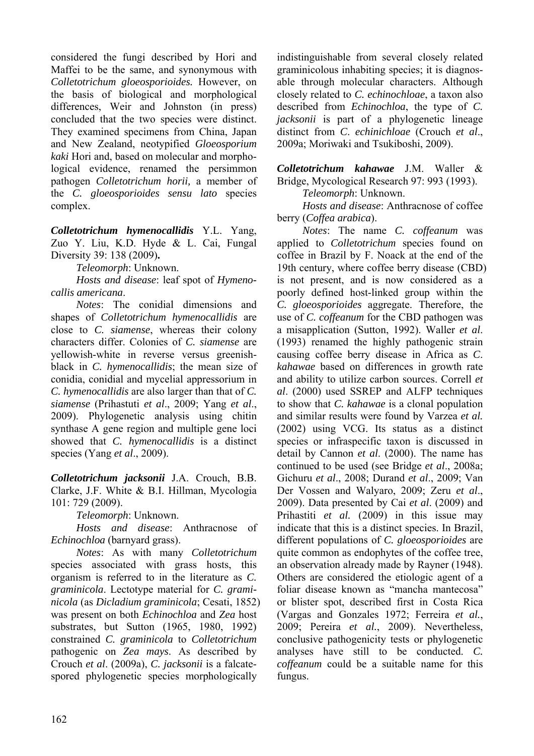considered the fungi described by Hori and Maffei to be the same, and synonymous with *Colletotrichum gloeosporioides.* However, on the basis of biological and morphological differences, Weir and Johnston (in press) concluded that the two species were distinct. They examined specimens from China, Japan and New Zealand, neotypified *Gloeosporium kaki* Hori and, based on molecular and morphological evidence, renamed the persimmon pathogen *Colletotrichum horii,* a member of the *C. gloeosporioides sensu lato* species complex.

*Colletotrichum hymenocallidis* Y.L. Yang, Zuo Y. Liu, K.D. Hyde & L. Cai, Fungal Diversity 39: 138 (2009)**.** 

*Teleomorph*: Unknown.

*Hosts and disease*: leaf spot of *Hymenocallis americana*.

*Notes*: The conidial dimensions and shapes of *Colletotrichum hymenocallidis* are close to *C. siamense*, whereas their colony characters differ. Colonies of *C. siamense* are yellowish-white in reverse versus greenishblack in *C. hymenocallidis*; the mean size of conidia, conidial and mycelial appressorium in *C. hymenocallidis* are also larger than that of *C. siamense* (Prihastuti *et al*., 2009; Yang *et al*., 2009). Phylogenetic analysis using chitin synthase A gene region and multiple gene loci showed that *C. hymenocallidis* is a distinct species (Yang *et al*., 2009).

*Colletotrichum jacksonii* J.A. Crouch, B.B. Clarke, J.F. White & B.I. Hillman, Mycologia 101: 729 (2009).

*Teleomorph*: Unknown.

*Hosts and disease*: Anthracnose of *Echinochloa* (barnyard grass).

*Notes*: As with many *Colletotrichum* species associated with grass hosts, this organism is referred to in the literature as *C. graminicola*. Lectotype material for *C. graminicola* (as *Dicladium graminicola*; Cesati, 1852) was present on both *Echinochloa* and *Zea* host substrates, but Sutton (1965, 1980, 1992) constrained *C. graminicola* to *Colletotrichum* pathogenic on *Zea mays*. As described by Crouch *et al*. (2009a), *C. jacksonii* is a falcatespored phylogenetic species morphologically

indistinguishable from several closely related graminicolous inhabiting species; it is diagnosable through molecular characters. Although closely related to *C. echinochloae*, a taxon also described from *Echinochloa*, the type of *C. jacksonii* is part of a phylogenetic lineage distinct from *C*. *echinichloae* (Crouch *et al*., 2009a; Moriwaki and Tsukiboshi, 2009).

*Colletotrichum kahawae* J.M. Waller & Bridge, Mycological Research 97: 993 (1993).

*Teleomorph*: Unknown.

*Hosts and disease*: Anthracnose of coffee berry (*Coffea arabica*).

*Notes*: The name *C. coffeanum* was applied to *Colletotrichum* species found on coffee in Brazil by F. Noack at the end of the 19th century, where coffee berry disease (CBD) is not present, and is now considered as a poorly defined host-linked group within the *C. gloeosporioides* aggregate. Therefore, the use of *C. coffeanum* for the CBD pathogen was a misapplication (Sutton, 1992). Waller *et al*. (1993) renamed the highly pathogenic strain causing coffee berry disease in Africa as *C*. *kahawae* based on differences in growth rate and ability to utilize carbon sources. Correll *et al*. (2000) used SSREP and ALFP techniques to show that *C. kahawae* is a clonal population and similar results were found by Varzea *et al.* (2002) using VCG. Its status as a distinct species or infraspecific taxon is discussed in detail by Cannon *et al*. (2000). The name has continued to be used (see Bridge *et al*., 2008a; Gichuru *et al*., 2008; Durand *et al*., 2009; Van Der Vossen and Walyaro, 2009; Zeru *et al*., 2009). Data presented by Cai *et al*. (2009) and Prihastiti *et al.* (2009) in this issue may indicate that this is a distinct species. In Brazil, different populations of *C. gloeosporioides* are quite common as endophytes of the coffee tree, an observation already made by Rayner (1948). Others are considered the etiologic agent of a foliar disease known as "mancha mantecosa" or blister spot, described first in Costa Rica (Vargas and Gonzales 1972; Ferreira *et al.*, 2009; Pereira *et al.*, 2009). Nevertheless, conclusive pathogenicity tests or phylogenetic analyses have still to be conducted. *C. coffeanum* could be a suitable name for this fungus.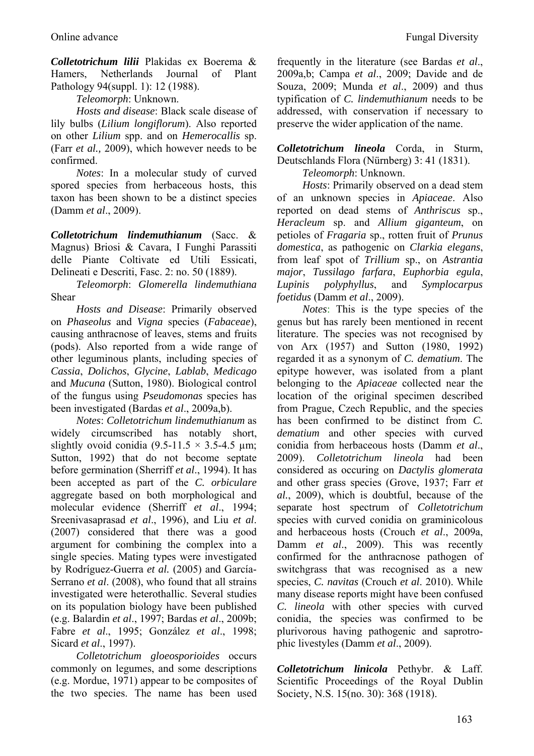*Colletotrichum lilii* Plakidas ex Boerema & Hamers, Netherlands Journal of Plant Pathology 94(suppl. 1): 12 (1988).

*Teleomorph*: Unknown.

*Hosts and disease*: Black scale disease of lily bulbs (*Lilium longiflorum*). Also reported on other *Lilium* spp. and on *Hemerocallis* sp. (Farr *et al.,* 2009), which however needs to be confirmed.

*Notes*: In a molecular study of curved spored species from herbaceous hosts, this taxon has been shown to be a distinct species (Damm *et al*., 2009).

*Colletotrichum lindemuthianum* (Sacc. & Magnus) Briosi & Cavara, I Funghi Parassiti delle Piante Coltivate ed Utili Essicati, Delineati e Descriti, Fasc. 2: no. 50 (1889).

*Teleomorph*: *Glomerella lindemuthiana* Shear

*Hosts and Disease*: Primarily observed on *Phaseolus* and *Vigna* species (*Fabaceae*), causing anthracnose of leaves, stems and fruits (pods). Also reported from a wide range of other leguminous plants, including species of *Cassia*, *Dolichos*, *Glycine*, *Lablab*, *Medicago* and *Mucuna* (Sutton, 1980). Biological control of the fungus using *Pseudomonas* species has been investigated (Bardas *et al*., 2009a,b).

*Notes*: *Colletotrichum lindemuthianum* as widely circumscribed has notably short, slightly ovoid conidia  $(9.5-11.5 \times 3.5-4.5 \text{ µm})$ ; Sutton, 1992) that do not become septate before germination (Sherriff *et al*., 1994). It has been accepted as part of the *C. orbiculare*  aggregate based on both morphological and molecular evidence (Sherriff *et al*., 1994; Sreenivasaprasad *et al*., 1996), and Liu *et al*. (2007) considered that there was a good argument for combining the complex into a single species. Mating types were investigated by Rodríguez-Guerra *et al.* (2005) and García-Serrano *et al*. (2008), who found that all strains investigated were heterothallic. Several studies on its population biology have been published (e.g. Balardin *et al*., 1997; Bardas *et al*., 2009b; Fabre *et al*., 1995; González *et al*., 1998; Sicard *et al*., 1997).

*Colletotrichum gloeosporioides* occurs commonly on legumes, and some descriptions (e.g. Mordue, 1971) appear to be composites of the two species. The name has been used frequently in the literature (see Bardas *et al*., 2009a,b; Campa *et al*., 2009; Davide and de Souza, 2009; Munda *et al*., 2009) and thus typification of *C. lindemuthianum* needs to be addressed, with conservation if necessary to preserve the wider application of the name.

*Colletotrichum lineola* Corda, in Sturm, Deutschlands Flora (Nürnberg) 3: 41 (1831).

*Teleomorph*: Unknown.

*Hosts*: Primarily observed on a dead stem of an unknown species in *Apiaceae*. Also reported on dead stems of *Anthriscus* sp., *Heracleum* sp. and *Allium giganteum*, on petioles of *Fragaria* sp., rotten fruit of *Prunus domestica*, as pathogenic on *Clarkia elegans*, from leaf spot of *Trillium* sp., on *Astrantia major*, *Tussilago farfara*, *Euphorbia egula*, *Lupinis polyphyllus*, and *Symplocarpus foetidus* (Damm *et al*., 2009).

*Notes*: This is the type species of the genus but has rarely been mentioned in recent literature. The species was not recognised by von Arx (1957) and Sutton (1980, 1992) regarded it as a synonym of *C. dematium*. The epitype however, was isolated from a plant belonging to the *Apiaceae* collected near the location of the original specimen described from Prague, Czech Republic, and the species has been confirmed to be distinct from *C. dematium* and other species with curved conidia from herbaceous hosts (Damm *et al*., 2009). *Colletotrichum lineola* had been considered as occuring on *Dactylis glomerata* and other grass species (Grove, 1937; Farr *et al.*, 2009), which is doubtful, because of the separate host spectrum of *Colletotrichum* species with curved conidia on graminicolous and herbaceous hosts (Crouch *et al*., 2009a, Damm *et al*., 2009). This was recently confirmed for the anthracnose pathogen of switchgrass that was recognised as a new species, *C. navitas* (Crouch *et al*. 2010). While many disease reports might have been confused *C. lineola* with other species with curved conidia, the species was confirmed to be plurivorous having pathogenic and saprotrophic livestyles (Damm *et al*., 2009).

*Colletotrichum linicola* Pethybr. & Laff. Scientific Proceedings of the Royal Dublin Society, N.S. 15(no. 30): 368 (1918).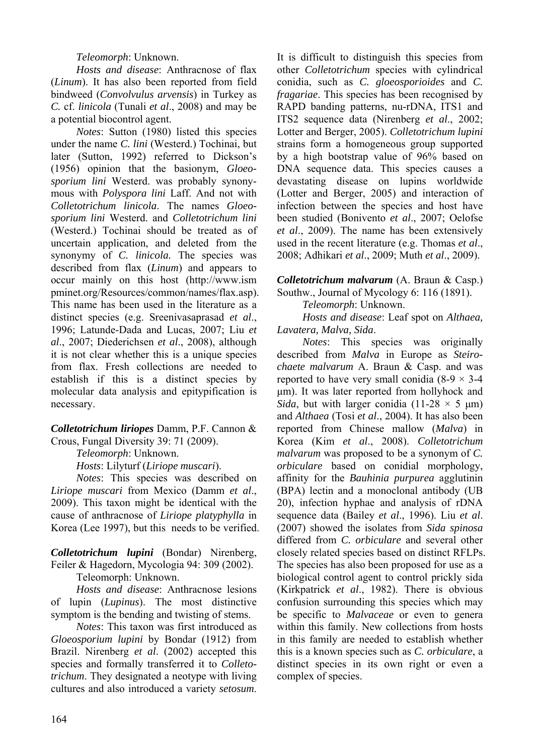## *Teleomorph*: Unknown.

*Hosts and disease*: Anthracnose of flax (*Linum*). It has also been reported from field bindweed (*Convolvulus arvensis*) in Turkey as *C.* cf. *linicola* (Tunali *et al*., 2008) and may be a potential biocontrol agent.

*Notes*: Sutton (1980) listed this species under the name *C. lini* (Westerd.) Tochinai, but later (Sutton, 1992) referred to Dickson's (1956) opinion that the basionym, *Gloeosporium lini* Westerd. was probably synonymous with *Polyspora lini* Laff. And not with *Colletotrichum linicola*. The names *Gloeosporium lini* Westerd. and *Colletotrichum lini* (Westerd.) Tochinai should be treated as of uncertain application, and deleted from the synonymy of *C. linicola.* The species was described from flax (*Linum*) and appears to occur mainly on this host (http://www.ism pminet.org/Resources/common/names/flax.asp). This name has been used in the literature as a distinct species (e.g. Sreenivasaprasad *et al*., 1996; Latunde-Dada and Lucas, 2007; Liu *et al*., 2007; Diederichsen *et al*., 2008), although it is not clear whether this is a unique species from flax. Fresh collections are needed to establish if this is a distinct species by molecular data analysis and epitypification is necessary.

## *Colletotrichum liriopes* Damm, P.F. Cannon & Crous, Fungal Diversity 39: 71 (2009).

*Teleomorph*: Unknown.

*Hosts*: Lilyturf (*Liriope muscari*).

*Notes*: This species was described on *Liriope muscari* from Mexico (Damm *et al*., 2009). This taxon might be identical with the cause of anthracnose of *Liriope platyphylla* in Korea (Lee 1997), but this needs to be verified.

*Colletotrichum lupini* (Bondar) Nirenberg, Feiler & Hagedorn, Mycologia 94: 309 (2002).

Teleomorph: Unknown.

*Hosts and disease*: Anthracnose lesions of lupin (*Lupinus*). The most distinctive symptom is the bending and twisting of stems.

*Notes*: This taxon was first introduced as *Gloeosporium lupini* by Bondar (1912) from Brazil. Nirenberg *et al*. (2002) accepted this species and formally transferred it to *Colletotrichum*. They designated a neotype with living cultures and also introduced a variety *setosum*.

It is difficult to distinguish this species from other *Colletotrichum* species with cylindrical conidia, such as *C. gloeosporioides* and *C. fragariae*. This species has been recognised by RAPD banding patterns, nu-rDNA, ITS1 and ITS2 sequence data (Nirenberg *et al*., 2002; Lotter and Berger, 2005). *Colletotrichum lupini* strains form a homogeneous group supported by a high bootstrap value of 96% based on DNA sequence data. This species causes a devastating disease on lupins worldwide (Lotter and Berger, 2005) and interaction of infection between the species and host have been studied (Bonivento *et al*., 2007; Oelofse *et al*., 2009). The name has been extensively used in the recent literature (e.g. Thomas *et al*., 2008; Adhikari *et al*., 2009; Muth *et al*., 2009).

*Colletotrichum malvarum* (A. Braun & Casp.) Southw., Journal of Mycology 6: 116 (1891).

*Teleomorph*: Unknown.

*Hosts and disease*: Leaf spot on *Althaea, Lavatera, Malva, Sida*.

*Notes*: This species was originally described from *Malva* in Europe as *Steirochaete malvarum* A. Braun & Casp. and was reported to have very small conidia  $(8-9 \times 3-4)$ μm). It was later reported from hollyhock and *Sida*, but with larger conidia (11-28  $\times$  5  $\mu$ m) and *Althaea* (Tosi *et al*., 2004). It has also been reported from Chinese mallow (*Malva*) in Korea (Kim *et al*., 2008). *Colletotrichum malvarum* was proposed to be a synonym of *C. orbiculare* based on conidial morphology, affinity for the *Bauhinia purpurea* agglutinin (BPA) lectin and a monoclonal antibody (UB 20), infection hyphae and analysis of rDNA sequence data (Bailey *et al*., 1996). Liu *et al*. (2007) showed the isolates from *Sida spinosa*  differed from *C. orbiculare* and several other closely related species based on distinct RFLPs. The species has also been proposed for use as a biological control agent to control prickly sida (Kirkpatrick *et al*., 1982). There is obvious confusion surrounding this species which may be specific to *Malvaceae* or even to genera within this family. New collections from hosts in this family are needed to establish whether this is a known species such as *C. orbiculare*, a distinct species in its own right or even a complex of species.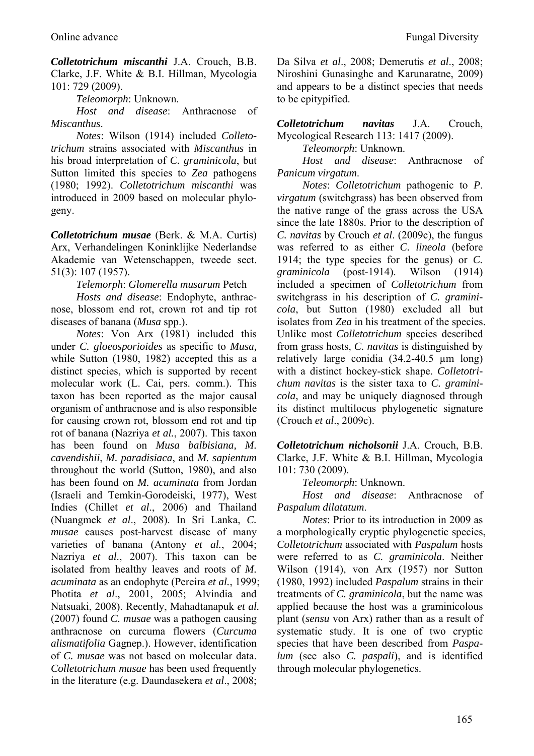*Colletotrichum miscanthi* J.A. Crouch, B.B. Clarke, J.F. White & B.I. Hillman, Mycologia 101: 729 (2009).

*Teleomorph*: Unknown.

*Host and disease*: Anthracnose of *Miscanthus*.

*Notes*: Wilson (1914) included *Colletotrichum* strains associated with *Miscanthus* in his broad interpretation of *C. graminicola*, but Sutton limited this species to *Zea* pathogens (1980; 1992). *Colletotrichum miscanthi* was introduced in 2009 based on molecular phylogeny.

*Colletotrichum musae* (Berk. & M.A. Curtis) Arx, Verhandelingen Koninklijke Nederlandse Akademie van Wetenschappen, tweede sect. 51(3): 107 (1957).

*Telemorph*: *Glomerella musarum* Petch

*Hosts and disease*: Endophyte, anthracnose, blossom end rot, crown rot and tip rot diseases of banana (*Musa* spp.).

*Notes*: Von Arx (1981) included this under *C. gloeosporioides* as specific to *Musa,*  while Sutton (1980, 1982) accepted this as a distinct species, which is supported by recent molecular work (L. Cai, pers. comm.). This taxon has been reported as the major causal organism of anthracnose and is also responsible for causing crown rot, blossom end rot and tip rot of banana (Nazriya *et al.*, 2007). This taxon has been found on *Musa balbisiana, M. cavendishii*, *M. paradisiaca*, and *M. sapientum* throughout the world (Sutton, 1980), and also has been found on *M. acuminata* from Jordan (Israeli and Temkin-Gorodeiski, 1977), West Indies (Chillet *et al*., 2006) and Thailand (Nuangmek *et al*., 2008). In Sri Lanka, *C. musae* causes post-harvest disease of many varieties of banana (Antony *et al.*, 2004; Nazriya *et al*., 2007). This taxon can be isolated from healthy leaves and roots of *M. acuminata* as an endophyte (Pereira *et al.*, 1999; Photita *et al*., 2001, 2005; Alvindia and Natsuaki, 2008). Recently, Mahadtanapuk *et al.*  (2007) found *C. musae* was a pathogen causing anthracnose on curcuma flowers (*Curcuma alismatifolia* Gagnep.). However, identification of *C. musae* was not based on molecular data. *Colletotrichum musae* has been used frequently in the literature (e.g. Daundasekera *et al*., 2008;

Da Silva *et al*., 2008; Demerutis *et al*., 2008; Niroshini Gunasinghe and Karunaratne, 2009) and appears to be a distinct species that needs to be epitypified.

*Colletotrichum navitas* J.A. Crouch, Mycological Research 113: 1417 (2009).

*Teleomorph*: Unknown.

*Host and disease*: Anthracnose of *Panicum virgatum*.

*Notes*: *Colletotrichum* pathogenic to *P*. *virgatum* (switchgrass) has been observed from the native range of the grass across the USA since the late 1880s. Prior to the description of *C. navitas* by Crouch *et al*. (2009c), the fungus was referred to as either *C. lineola* (before 1914; the type species for the genus) or *C. graminicola* (post-1914). Wilson (1914) included a specimen of *Colletotrichum* from switchgrass in his description of *C. graminicola*, but Sutton (1980) excluded all but isolates from *Zea* in his treatment of the species. Unlike most *Colletotrichum* species described from grass hosts, *C. navitas* is distinguished by relatively large conidia (34.2-40.5 µm long) with a distinct hockey-stick shape. *Colletotrichum navitas* is the sister taxa to *C. graminicola*, and may be uniquely diagnosed through its distinct multilocus phylogenetic signature (Crouch *et al*., 2009c).

*Colletotrichum nicholsonii* J.A. Crouch, B.B. Clarke, J.F. White & B.I. Hillman, Mycologia 101: 730 (2009).

*Teleomorph*: Unknown.

*Host and disease*: Anthracnose of *Paspalum dilatatum*.

*Notes*: Prior to its introduction in 2009 as a morphologically cryptic phylogenetic species, *Colletotrichum* associated with *Paspalum* hosts were referred to as *C. graminicola*. Neither Wilson (1914), von Arx (1957) nor Sutton (1980, 1992) included *Paspalum* strains in their treatments of *C. graminicola*, but the name was applied because the host was a graminicolous plant (*sensu* von Arx) rather than as a result of systematic study. It is one of two cryptic species that have been described from *Paspalum* (see also *C. paspali*), and is identified through molecular phylogenetics.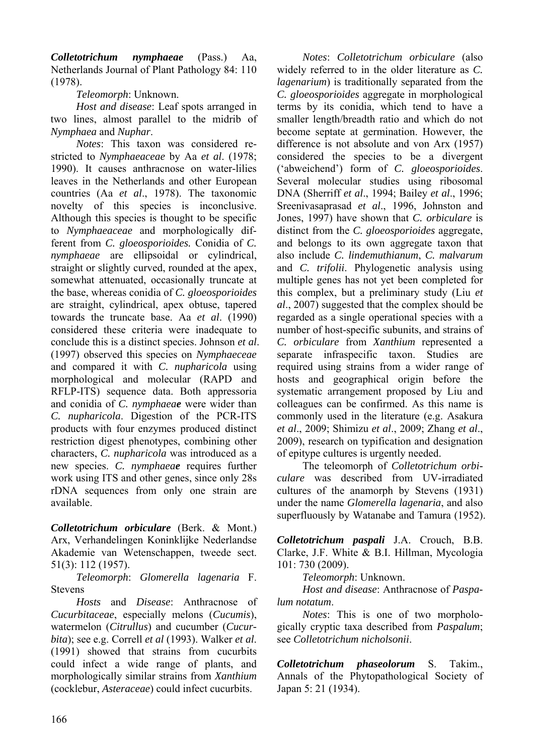*Colletotrichum nymphaeae* (Pass.) Aa, Netherlands Journal of Plant Pathology 84: 110 (1978).

# *Teleomorph*: Unknown.

*Host and disease*: Leaf spots arranged in two lines, almost parallel to the midrib of *Nymphaea* and *Nuphar*.

*Notes*: This taxon was considered restricted to *Nymphaeaceae* by Aa *et al*. (1978; 1990). It causes anthracnose on water-lilies leaves in the Netherlands and other European countries (Aa *et al*., 1978). The taxonomic novelty of this species is inconclusive. Although this species is thought to be specific to *Nymphaeaceae* and morphologically different from *C. gloeosporioides.* Conidia of *C. nymphaeae* are ellipsoidal or cylindrical, straight or slightly curved, rounded at the apex, somewhat attenuated, occasionally truncate at the base, whereas conidia of *C. gloeosporioides* are straight, cylindrical, apex obtuse, tapered towards the truncate base. Aa *et al*. (1990) considered these criteria were inadequate to conclude this is a distinct species. Johnson *et al*. (1997) observed this species on *Nymphaeceae* and compared it with *C. nupharicola* using morphological and molecular (RAPD and RFLP-ITS) sequence data. Both appressoria and conidia of *C. nymphaeae* were wider than *C. nupharicola*. Digestion of the PCR-ITS products with four enzymes produced distinct restriction digest phenotypes, combining other characters, *C. nupharicola* was introduced as a new species. *C. nymphaeae* requires further work using ITS and other genes, since only 28s rDNA sequences from only one strain are available.

*Colletotrichum orbiculare* (Berk. & Mont.) Arx, Verhandelingen Koninklijke Nederlandse Akademie van Wetenschappen, tweede sect. 51(3): 112 (1957).

*Teleomorph*: *Glomerella lagenaria* F. Stevens

*Hosts* and *Disease*: Anthracnose of *Cucurbitaceae*, especially melons (*Cucumis*), watermelon (*Citrullus*) and cucumber (*Cucurbita*); see e.g. Correll *et al* (1993). Walker *et al*. (1991) showed that strains from cucurbits could infect a wide range of plants, and morphologically similar strains from *Xanthium* (cocklebur, *Asteraceae*) could infect cucurbits.

*Notes*: *Colletotrichum orbiculare* (also widely referred to in the older literature as *C. lagenarium*) is traditionally separated from the *C. gloeosporioides* aggregate in morphological terms by its conidia, which tend to have a smaller length/breadth ratio and which do not become septate at germination. However, the difference is not absolute and von Arx (1957) considered the species to be a divergent ('abweichend') form of *C. gloeosporioides*. Several molecular studies using ribosomal DNA (Sherriff *et al*., 1994; Bailey *et al*., 1996; Sreenivasaprasad *et al*., 1996, Johnston and Jones, 1997) have shown that *C. orbiculare* is distinct from the *C. gloeosporioides* aggregate, and belongs to its own aggregate taxon that also include *C. lindemuthianum*, *C. malvarum* and *C. trifolii*. Phylogenetic analysis using multiple genes has not yet been completed for this complex, but a preliminary study (Liu *et al*., 2007) suggested that the complex should be regarded as a single operational species with a number of host-specific subunits, and strains of *C. orbiculare* from *Xanthium* represented a separate infraspecific taxon. Studies are required using strains from a wider range of hosts and geographical origin before the systematic arrangement proposed by Liu and colleagues can be confirmed. As this name is commonly used in the literature (e.g. Asakura *et al*., 2009; Shimizu *et al*., 2009; Zhang *et al*., 2009), research on typification and designation of epitype cultures is urgently needed.

The teleomorph of *Colletotrichum orbiculare* was described from UV-irradiated cultures of the anamorph by Stevens (1931) under the name *Glomerella lagenaria*, and also superfluously by Watanabe and Tamura (1952).

*Colletotrichum paspali* J.A. Crouch, B.B. Clarke, J.F. White & B.I. Hillman, Mycologia 101: 730 (2009).

*Teleomorph*: Unknown.

*Host and disease*: Anthracnose of *Paspalum notatum*.

*Notes*: This is one of two morphologically cryptic taxa described from *Paspalum*; see *Colletotrichum nicholsonii*.

*Colletotrichum phaseolorum* S. Takim., Annals of the Phytopathological Society of Japan 5: 21 (1934).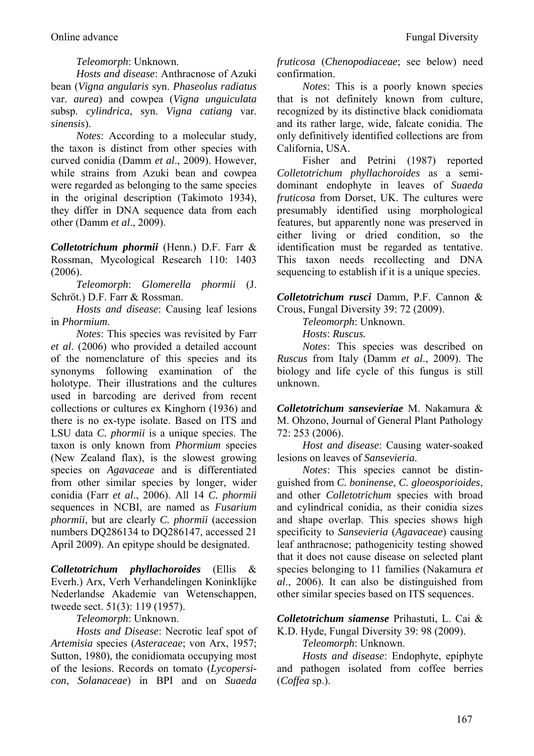## *Teleomorph*: Unknown.

*Hosts and disease*: Anthracnose of Azuki bean (*Vigna angularis* syn. *Phaseolus radiatus*  var. *aurea*) and cowpea (*Vigna unguiculata*  subsp. *cylindrica*, syn. *Vigna catiang* var. *sinensis*).

*Notes*: According to a molecular study, the taxon is distinct from other species with curved conidia (Damm *et al*., 2009). However, while strains from Azuki bean and cowpea were regarded as belonging to the same species in the original description (Takimoto 1934), they differ in DNA sequence data from each other (Damm *et al*., 2009).

*Colletotrichum phormii* (Henn.) D.F. Farr & Rossman, Mycological Research 110: 1403  $(2006)$ 

*Teleomorph*: *Glomerella phormii* (J. Schröt.) D.F. Farr & Rossman.

*Hosts and disease*: Causing leaf lesions in *Phormium*.

*Notes*: This species was revisited by Farr *et al*. (2006) who provided a detailed account of the nomenclature of this species and its synonyms following examination of the holotype. Their illustrations and the cultures used in barcoding are derived from recent collections or cultures ex Kinghorn (1936) and there is no ex-type isolate. Based on ITS and LSU data *C. phormii* is a unique species. The taxon is only known from *Phormium* species (New Zealand flax), is the slowest growing species on *Agavaceae* and is differentiated from other similar species by longer, wider conidia (Farr *et al*., 2006). All 14 *C. phormii* sequences in NCBI, are named as *Fusarium phormii*, but are clearly *C. phormii* (accession numbers DQ286134 to DQ286147, accessed 21 April 2009). An epitype should be designated.

*Colletotrichum phyllachoroides* (Ellis & Everh.) Arx, Verh Verhandelingen Koninklijke Nederlandse Akademie van Wetenschappen, tweede sect. 51(3): 119 (1957).

*Teleomorph*: Unknown.

*Hosts and Disease*: Necrotic leaf spot of *Artemisia* species (*Asteraceae*; von Arx, 1957; Sutton, 1980), the conidiomata occupying most of the lesions. Records on tomato (*Lycopersicon*, *Solanaceae*) in BPI and on *Suaeda* 

*fruticosa* (*Chenopodiaceae*; see below) need confirmation.

*Notes*: This is a poorly known species that is not definitely known from culture, recognized by its distinctive black conidiomata and its rather large, wide, falcate conidia. The only definitively identified collections are from California, USA.

Fisher and Petrini (1987) reported *Colletotrichum phyllachoroides* as a semidominant endophyte in leaves of *Suaeda fruticosa* from Dorset, UK. The cultures were presumably identified using morphological features, but apparently none was preserved in either living or dried condition, so the identification must be regarded as tentative. This taxon needs recollecting and DNA sequencing to establish if it is a unique species.

*Colletotrichum rusci* Damm, P.F. Cannon & Crous, Fungal Diversity 39: 72 (2009).

*Teleomorph*: Unknown.

*Hosts*: *Ruscus.* 

*Notes*: This species was described on *Ruscus* from Italy (Damm *et al*., 2009). The biology and life cycle of this fungus is still unknown.

*Colletotrichum sansevieriae* M. Nakamura & M. Ohzono, Journal of General Plant Pathology 72: 253 (2006).

*Host and disease*: Causing water-soaked lesions on leaves of *Sansevieria*.

*Notes*: This species cannot be distinguished from *C. boninense*, *C. gloeosporioides*, and other *Colletotrichum* species with broad and cylindrical conidia, as their conidia sizes and shape overlap. This species shows high specificity to *Sansevieria* (*Agavaceae*) causing leaf anthracnose; pathogenicity testing showed that it does not cause disease on selected plant species belonging to 11 families (Nakamura *et al*., 2006). It can also be distinguished from other similar species based on ITS sequences.

*Colletotrichum siamense* Prihastuti, L. Cai & K.D. Hyde, Fungal Diversity 39: 98 (2009).

*Teleomorph*: Unknown.

*Hosts and disease*: Endophyte, epiphyte and pathogen isolated from coffee berries (*Coffea* sp.).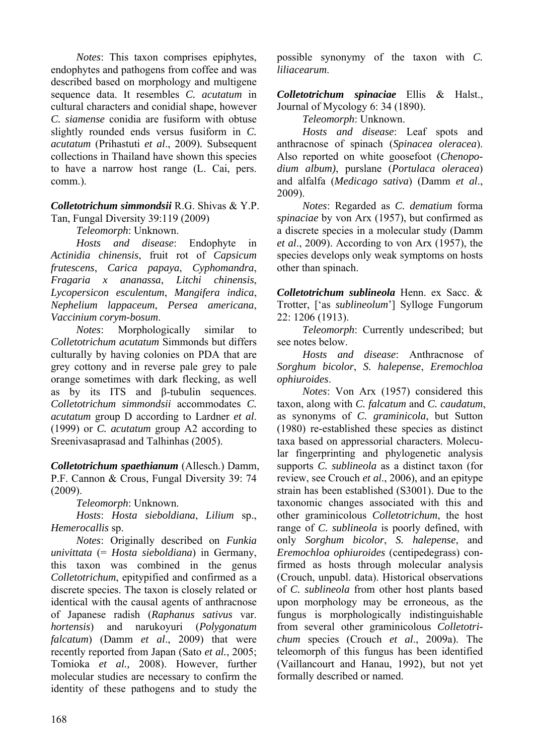*Notes*: This taxon comprises epiphytes, endophytes and pathogens from coffee and was described based on morphology and multigene sequence data. It resembles *C. acutatum* in cultural characters and conidial shape, however *C. siamense* conidia are fusiform with obtuse slightly rounded ends versus fusiform in *C. acutatum* (Prihastuti *et al*., 2009)*.* Subsequent collections in Thailand have shown this species to have a narrow host range (L. Cai, pers. comm.).

### *Colletotrichum simmondsii* R.G. Shivas & Y.P. Tan, Fungal Diversity 39:119 (2009)

*Teleomorph*: Unknown.

*Hosts and disease*: Endophyte in *Actinidia chinensis*, fruit rot of *Capsicum frutescens*, *Carica papaya*, *Cyphomandra*, *Fragaria x ananassa*, *Litchi chinensis*, *Lycopersicon esculentum*, *Mangifera indica*, *Nephelium lappaceum*, *Persea americana*, *Vaccinium corym-bosum*.

*Notes*: Morphologically similar to *Colletotrichum acutatum* Simmonds but differs culturally by having colonies on PDA that are grey cottony and in reverse pale grey to pale orange sometimes with dark flecking, as well as by its ITS and β-tubulin sequences. *Colletotrichum simmondsii* accommodates *C. acutatum* group D according to Lardner *et al*. (1999) or *C. acutatum* group A2 according to Sreenivasaprasad and Talhinhas (2005).

*Colletotrichum spaethianum* (Allesch.) Damm, P.F. Cannon & Crous, Fungal Diversity 39: 74 (2009).

*Teleomorph*: Unknown.

*Hosts*: *Hosta sieboldiana*, *Lilium* sp., *Hemerocallis* sp.

*Notes*: Originally described on *Funkia univittata* (= *Hosta sieboldiana*) in Germany, this taxon was combined in the genus *Colletotrichum*, epitypified and confirmed as a discrete species. The taxon is closely related or identical with the causal agents of anthracnose of Japanese radish (*Raphanus sativus* var. *hortensis*) and narukoyuri (*Polygonatum falcatum*) (Damm *et al*., 2009) that were recently reported from Japan (Sato *et al.*, 2005; Tomioka *et al.,* 2008). However, further molecular studies are necessary to confirm the identity of these pathogens and to study the

possible synonymy of the taxon with *C. liliacearum*.

*Colletotrichum spinaciae* Ellis & Halst., Journal of Mycology 6: 34 (1890).

*Teleomorph*: Unknown.

*Hosts and disease*: Leaf spots and anthracnose of spinach (*Spinacea oleracea*). Also reported on white goosefoot (*Chenopodium album)*, purslane (*Portulaca oleracea*) and alfalfa (*Medicago sativa*) (Damm *et al*., 2009).

*Notes*: Regarded as *C. dematium* forma *spinaciae* by von Arx (1957), but confirmed as a discrete species in a molecular study (Damm *et al*., 2009). According to von Arx (1957), the species develops only weak symptoms on hosts other than spinach.

*Colletotrichum sublineola* Henn. ex Sacc. & Trotter, ['as *sublineolum*'] Sylloge Fungorum 22: 1206 (1913).

*Teleomorph*: Currently undescribed; but see notes below.

*Hosts and disease*: Anthracnose of *Sorghum bicolor*, *S. halepense*, *Eremochloa ophiuroides*.

*Notes*: Von Arx (1957) considered this taxon, along with *C. falcatum* and *C. caudatum*, as synonyms of *C. graminicola*, but Sutton (1980) re-established these species as distinct taxa based on appressorial characters. Molecular fingerprinting and phylogenetic analysis supports *C. sublineola* as a distinct taxon (for review, see Crouch *et al*., 2006), and an epitype strain has been established (S3001). Due to the taxonomic changes associated with this and other graminicolous *Colletotrichum*, the host range of *C. sublineola* is poorly defined, with only *Sorghum bicolor*, *S. halepense*, and *Eremochloa ophiuroides* (centipedegrass) confirmed as hosts through molecular analysis (Crouch, unpubl. data). Historical observations of *C. sublineola* from other host plants based upon morphology may be erroneous, as the fungus is morphologically indistinguishable from several other graminicolous *Colletotrichum* species (Crouch *et al*., 2009a). The teleomorph of this fungus has been identified (Vaillancourt and Hanau, 1992), but not yet formally described or named.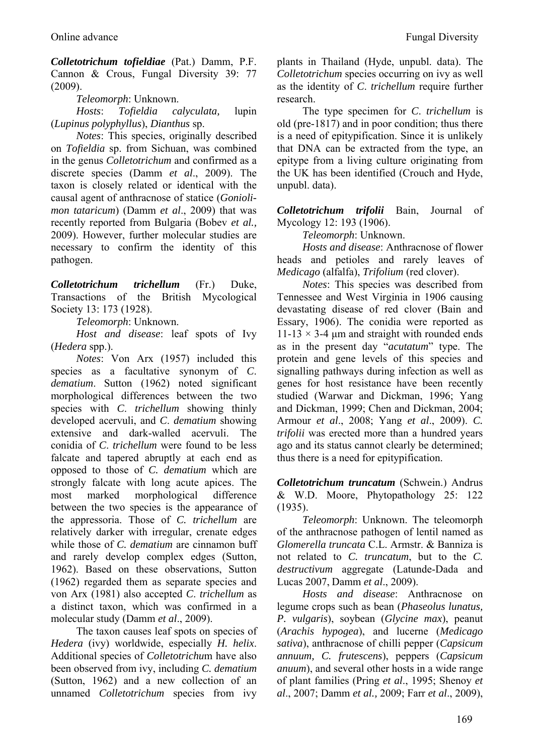*Colletotrichum tofieldiae* (Pat.) Damm, P.F. Cannon & Crous, Fungal Diversity 39: 77 (2009).

*Teleomorph*: Unknown.

*Hosts*: *Tofieldia calyculata,* lupin (*Lupinus polyphyllus*), *Dianthus* sp.

*Notes*: This species, originally described on *Tofieldia* sp. from Sichuan, was combined in the genus *Colletotrichum* and confirmed as a discrete species (Damm *et al*., 2009). The taxon is closely related or identical with the causal agent of anthracnose of statice (*Goniolimon tataricum*) (Damm *et al*., 2009) that was recently reported from Bulgaria (Bobev *et al.,* 2009). However, further molecular studies are necessary to confirm the identity of this pathogen.

*Colletotrichum trichellum* (Fr.) Duke, Transactions of the British Mycological Society 13: 173 (1928).

*Teleomorph*: Unknown.

*Host and disease*: leaf spots of Ivy (*Hedera* spp.).

*Notes*: Von Arx (1957) included this species as a facultative synonym of *C*. *dematium*. Sutton (1962) noted significant morphological differences between the two species with *C*. *trichellum* showing thinly developed acervuli, and *C*. *dematium* showing extensive and dark-walled acervuli. The conidia of *C*. *trichellum* were found to be less falcate and tapered abruptly at each end as opposed to those of *C. dematium* which are strongly falcate with long acute apices. The most marked morphological difference between the two species is the appearance of the appressoria. Those of *C. trichellum* are relatively darker with irregular, crenate edges while those of *C. dematium* are cinnamon buff and rarely develop complex edges (Sutton, 1962). Based on these observations, Sutton (1962) regarded them as separate species and von Arx (1981) also accepted *C*. *trichellum* as a distinct taxon, which was confirmed in a molecular study (Damm *et al*., 2009).

The taxon causes leaf spots on species of *Hedera* (ivy) worldwide, especially *H. helix*. Additional species of *Colletotrichu*m have also been observed from ivy, including *C. dematium*  (Sutton, 1962) and a new collection of an unnamed *Colletotrichum* species from ivy plants in Thailand (Hyde, unpubl. data). The *Colletotrichum* species occurring on ivy as well as the identity of *C*. *trichellum* require further research.

The type specimen for *C*. *trichellum* is old (pre-1817) and in poor condition; thus there is a need of epitypification. Since it is unlikely that DNA can be extracted from the type, an epitype from a living culture originating from the UK has been identified (Crouch and Hyde, unpubl. data).

*Colletotrichum trifolii* Bain, Journal of Mycology 12: 193 (1906).

*Teleomorph*: Unknown.

*Hosts and disease*: Anthracnose of flower heads and petioles and rarely leaves of *Medicago* (alfalfa), *Trifolium* (red clover).

*Notes*: This species was described from Tennessee and West Virginia in 1906 causing devastating disease of red clover (Bain and Essary, 1906). The conidia were reported as 11-13  $\times$  3-4 µm and straight with rounded ends as in the present day "*acutatum*" type. The protein and gene levels of this species and signalling pathways during infection as well as genes for host resistance have been recently studied (Warwar and Dickman, 1996; Yang and Dickman, 1999; Chen and Dickman, 2004; Armour *et al*., 2008; Yang *et al*., 2009). *C. trifolii* was erected more than a hundred years ago and its status cannot clearly be determined; thus there is a need for epitypification.

*Colletotrichum truncatum* (Schwein.) Andrus & W.D. Moore, Phytopathology 25: 122 (1935).

*Teleomorph*: Unknown. The teleomorph of the anthracnose pathogen of lentil named as *Glomerella truncata* C.L. Armstr. & Banniza is not related to *C. truncatum*, but to the *C. destructivum* aggregate (Latunde-Dada and Lucas 2007, Damm *et al*., 2009).

*Hosts and disease*: Anthracnose on legume crops such as bean (*Phaseolus lunatus, P. vulgaris*), soybean (*Glycine max*), peanut (*Arachis hypogea*), and lucerne (*Medicago sativa*), anthracnose of chilli pepper (*Capsicum annuum, C. frutescens*), peppers (*Capsicum anuum*), and several other hosts in a wide range of plant families (Pring *et al*., 1995; Shenoy *et al*., 2007; Damm *et al.,* 2009; Farr *et al*., 2009),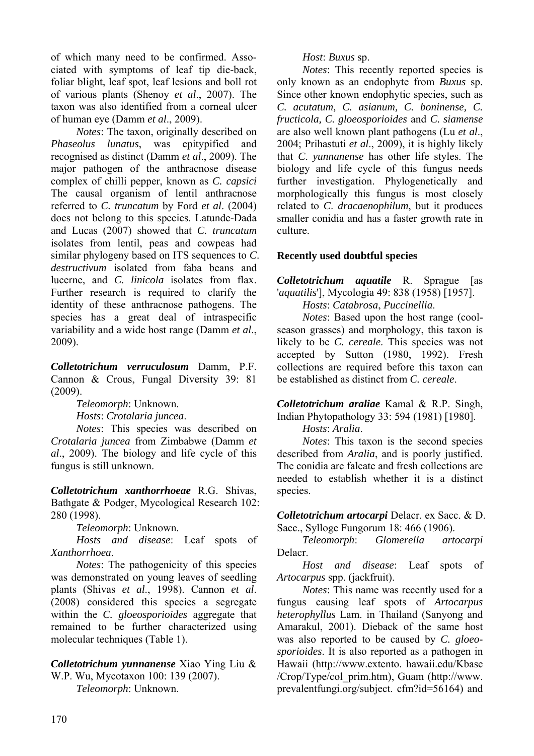of which many need to be confirmed. Associated with symptoms of leaf tip die-back, foliar blight, leaf spot, leaf lesions and boll rot of various plants (Shenoy *et al*., 2007). The taxon was also identified from a corneal ulcer of human eye (Damm *et al*., 2009).

*Notes*: The taxon, originally described on *Phaseolus lunatus*, was epitypified and recognised as distinct (Damm *et al*., 2009). The major pathogen of the anthracnose disease complex of chilli pepper, known as *C. capsici* The causal organism of lentil anthracnose referred to *C. truncatum* by Ford *et al*. (2004) does not belong to this species. Latunde-Dada and Lucas (2007) showed that *C. truncatum* isolates from lentil, peas and cowpeas had similar phylogeny based on ITS sequences to *C*. *destructivum* isolated from faba beans and lucerne, and *C*. *linicola* isolates from flax. Further research is required to clarify the identity of these anthracnose pathogens. The species has a great deal of intraspecific variability and a wide host range (Damm *et al*., 2009).

*Colletotrichum verruculosum* Damm, P.F. Cannon & Crous, Fungal Diversity 39: 81 (2009).

*Teleomorph*: Unknown.

*Hosts*: *Crotalaria juncea*.

*Notes*: This species was described on *Crotalaria juncea* from Zimbabwe (Damm *et al*., 2009). The biology and life cycle of this fungus is still unknown.

*Colletotrichum xanthorrhoeae* R.G. Shivas, Bathgate & Podger, Mycological Research 102: 280 (1998).

*Teleomorph*: Unknown.

*Hosts and disease*: Leaf spots of *Xanthorrhoea*.

*Notes*: The pathogenicity of this species was demonstrated on young leaves of seedling plants (Shivas *et al*., 1998). Cannon *et al*. (2008) considered this species a segregate within the *C. gloeosporioides* aggregate that remained to be further characterized using molecular techniques (Table 1).

*Colletotrichum yunnanense* Xiao Ying Liu & W.P. Wu, Mycotaxon 100: 139 (2007).

*Teleomorph*: Unknown.

## *Host*: *Buxus* sp.

*Notes*: This recently reported species is only known as an endophyte from *Buxus* sp. Since other known endophytic species, such as *C. acutatum, C. asianum, C. boninense, C. fructicola, C. gloeosporioides* and *C. siamense*  are also well known plant pathogens (Lu *et al*., 2004; Prihastuti *et al*., 2009), it is highly likely that *C*. *yunnanense* has other life styles. The biology and life cycle of this fungus needs further investigation. Phylogenetically and morphologically this fungus is most closely related to *C*. *dracaenophilum*, but it produces smaller conidia and has a faster growth rate in culture.

## **Recently used doubtful species**

*Colletotrichum aquatile* R. Sprague [as '*aquatilis*'], Mycologia 49: 838 (1958) [1957].

*Hosts*: *Catabrosa*, *Puccinellia*.

*Notes*: Based upon the host range (coolseason grasses) and morphology, this taxon is likely to be *C. cereale*. This species was not accepted by Sutton (1980, 1992). Fresh collections are required before this taxon can be established as distinct from *C. cereale*.

*Colletotrichum araliae* Kamal & R.P. Singh, Indian Phytopathology 33: 594 (1981) [1980].

*Hosts*: *Aralia*.

*Notes*: This taxon is the second species described from *Aralia*, and is poorly justified. The conidia are falcate and fresh collections are needed to establish whether it is a distinct species.

*Colletotrichum artocarpi* Delacr. ex Sacc. & D. Sacc., Sylloge Fungorum 18: 466 (1906).

*Teleomorph*: *Glomerella artocarpi*  Delacr.

*Host and disease*: Leaf spots of *Artocarpus* spp. (jackfruit).

*Notes*: This name was recently used for a fungus causing leaf spots of *Artocarpus heterophyllus* Lam. in Thailand (Sanyong and Amarakul, 2001). Dieback of the same host was also reported to be caused by *C. gloeosporioides*. It is also reported as a pathogen in Hawaii (http://www.extento. hawaii.edu/Kbase /Crop/Type/col\_prim.htm), Guam (http://www. prevalentfungi.org/subject. cfm?id=56164) and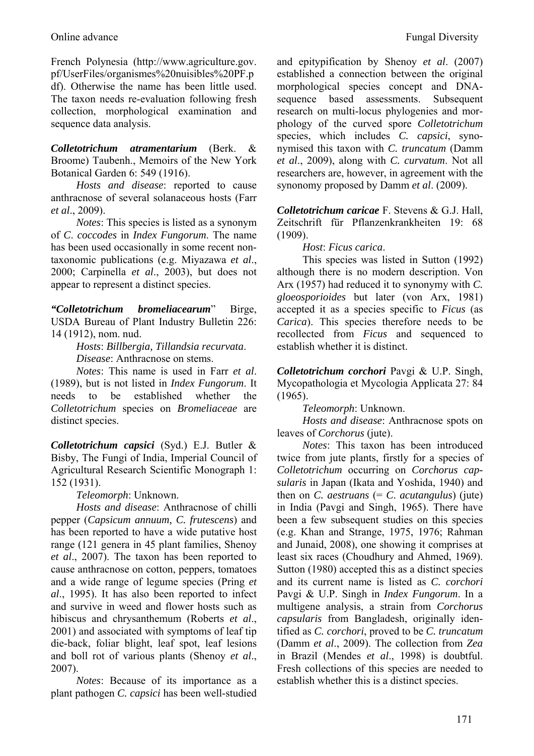French Polynesia (http://www.agriculture.gov. pf/UserFiles/organismes%20nuisibles%20PF.p df). Otherwise the name has been little used. The taxon needs re-evaluation following fresh collection, morphological examination and sequence data analysis.

*Colletotrichum atramentarium* (Berk. & Broome) Taubenh., Memoirs of the New York Botanical Garden 6: 549 (1916).

*Hosts and disease*: reported to cause anthracnose of several solanaceous hosts (Farr *et al*., 2009).

*Notes*: This species is listed as a synonym of *C*. *coccodes* in *Index Fungorum*. The name has been used occasionally in some recent nontaxonomic publications (e.g. Miyazawa *et al*., 2000; Carpinella *et al*., 2003), but does not appear to represent a distinct species.

*"Colletotrichum bromeliacearum*" Birge, USDA Bureau of Plant Industry Bulletin 226: 14 (1912), nom. nud.

> *Hosts*: *Billbergia, Tillandsia recurvata*. *Disease*: Anthracnose on stems.

*Notes*: This name is used in Farr *et al*. (1989), but is not listed in *Index Fungorum*. It needs to be established whether the *Colletotrichum* species on *Bromeliaceae* are distinct species.

*Colletotrichum capsici* (Syd.) E.J. Butler & Bisby, The Fungi of India, Imperial Council of Agricultural Research Scientific Monograph 1: 152 (1931).

*Teleomorph*: Unknown.

*Hosts and disease*: Anthracnose of chilli pepper (*Capsicum annuum, C. frutescens*) and has been reported to have a wide putative host range (121 genera in 45 plant families, Shenoy *et al*., 2007). The taxon has been reported to cause anthracnose on cotton, peppers, tomatoes and a wide range of legume species (Pring *et al*., 1995). It has also been reported to infect and survive in weed and flower hosts such as hibiscus and chrysanthemum (Roberts *et al*., 2001) and associated with symptoms of leaf tip die-back, foliar blight, leaf spot, leaf lesions and boll rot of various plants (Shenoy *et al*., 2007).

*Notes*: Because of its importance as a plant pathogen *C. capsici* has been well-studied and epitypification by Shenoy *et al*. (2007) established a connection between the original morphological species concept and DNAsequence based assessments. Subsequent research on multi-locus phylogenies and morphology of the curved spore *Colletotrichum* species, which includes *C. capsici*, synonymised this taxon with *C. truncatum* (Damm *et al*., 2009), along with *C. curvatum*. Not all researchers are, however, in agreement with the synonomy proposed by Damm *et al*. (2009).

*Colletotrichum caricae* F. Stevens & G.J. Hall, Zeitschrift für Pflanzenkrankheiten 19: 68  $(1909)$ 

*Host*: *Ficus carica*.

This species was listed in Sutton (1992) although there is no modern description. Von Arx (1957) had reduced it to synonymy with *C. gloeosporioides* but later (von Arx, 1981) accepted it as a species specific to *Ficus* (as *Carica*). This species therefore needs to be recollected from *Ficus* and sequenced to establish whether it is distinct.

*Colletotrichum corchori* Pavgi & U.P. Singh, Mycopathologia et Mycologia Applicata 27: 84 (1965).

*Teleomorph*: Unknown.

*Hosts and disease*: Anthracnose spots on leaves of *Corchorus* (jute).

*Notes*: This taxon has been introduced twice from jute plants, firstly for a species of *Colletotrichum* occurring on *Corchorus capsularis* in Japan (Ikata and Yoshida, 1940) and then on *C. aestruans*  $(= C.$  *acutangulus* $)$  (jute) in India (Pavgi and Singh, 1965). There have been a few subsequent studies on this species (e.g. Khan and Strange, 1975, 1976; Rahman and Junaid, 2008), one showing it comprises at least six races (Choudhury and Ahmed, 1969). Sutton (1980) accepted this as a distinct species and its current name is listed as *C. corchori*  Pavgi & U.P. Singh in *Index Fungorum*. In a multigene analysis, a strain from *Corchorus capsularis* from Bangladesh, originally identified as *C. corchori*, proved to be *C. truncatum* (Damm *et al*., 2009). The collection from *Zea* in Brazil (Mendes *et al*., 1998) is doubtful. Fresh collections of this species are needed to establish whether this is a distinct species.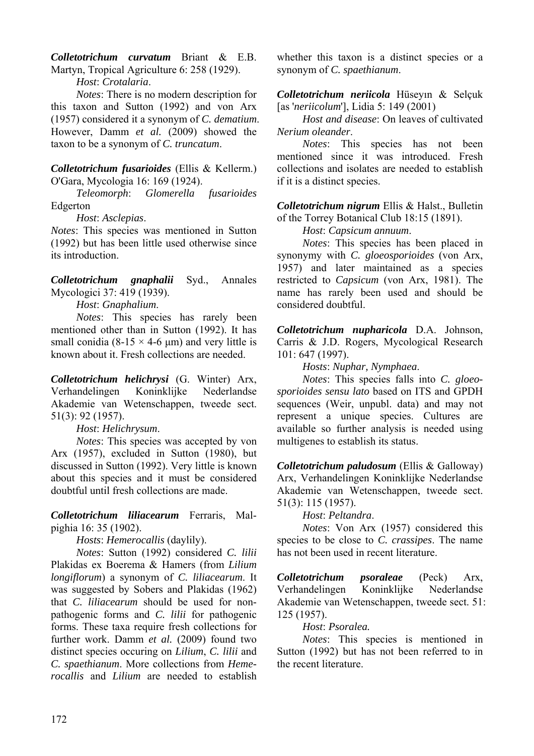*Colletotrichum curvatum* Briant & E.B. Martyn, Tropical Agriculture 6: 258 (1929).

*Host*: *Crotalaria*.

*Notes*: There is no modern description for this taxon and Sutton (1992) and von Arx (1957) considered it a synonym of *C. dematium*. However, Damm *et al.* (2009) showed the taxon to be a synonym of *C. truncatum*.

*Colletotrichum fusarioides* (Ellis & Kellerm.) O'Gara, Mycologia 16: 169 (1924).

*Teleomorph*: *Glomerella fusarioides*  Edgerton

*Host*: *Asclepias*.

*Notes*: This species was mentioned in Sutton (1992) but has been little used otherwise since its introduction.

*Colletotrichum gnaphalii* Syd., Annales Mycologici 37: 419 (1939).

*Host*: *Gnaphalium*.

*Notes*: This species has rarely been mentioned other than in Sutton (1992). It has small conidia (8-15  $\times$  4-6 um) and very little is known about it. Fresh collections are needed.

*Colletotrichum helichrysi* (G. Winter) Arx, Verhandelingen Koninklijke Nederlandse Akademie van Wetenschappen, tweede sect. 51(3): 92 (1957).

*Host*: *Helichrysum*.

*Notes*: This species was accepted by von Arx (1957), excluded in Sutton (1980), but discussed in Sutton (1992). Very little is known about this species and it must be considered doubtful until fresh collections are made.

*Colletotrichum liliacearum* Ferraris, Malpighia 16: 35 (1902).

*Hosts*: *Hemerocallis* (daylily).

*Notes*: Sutton (1992) considered *C. lilii*  Plakidas ex Boerema & Hamers (from *Lilium longiflorum*) a synonym of *C. liliacearum*. It was suggested by Sobers and Plakidas (1962) that *C. liliacearum* should be used for nonpathogenic forms and *C. lilii* for pathogenic forms. These taxa require fresh collections for further work. Damm *et al.* (2009) found two distinct species occuring on *Lilium*, *C. lilii* and *C. spaethianum*. More collections from *Hemerocallis* and *Lilium* are needed to establish

whether this taxon is a distinct species or a synonym of *C. spaethianum*.

*Colletotrichum neriicola* Hüseyın & Selçuk [as '*neriicolum*'], Lidia 5: 149 (2001)

*Host and disease*: On leaves of cultivated *Nerium oleander*.

*Notes*: This species has not been mentioned since it was introduced. Fresh collections and isolates are needed to establish if it is a distinct species.

*Colletotrichum nigrum* Ellis & Halst., Bulletin of the Torrey Botanical Club 18:15 (1891).

*Host*: *Capsicum annuum*.

*Notes*: This species has been placed in synonymy with *C. gloeosporioides* (von Arx, 1957) and later maintained as a species restricted to *Capsicum* (von Arx, 1981). The name has rarely been used and should be considered doubtful.

*Colletotrichum nupharicola* D.A. Johnson, Carris & J.D. Rogers, Mycological Research 101: 647 (1997).

*Hosts*: *Nuphar, Nymphaea*.

*Notes*: This species falls into *C. gloeosporioides sensu lato* based on ITS and GPDH sequences (Weir, unpubl. data) and may not represent a unique species. Cultures are available so further analysis is needed using multigenes to establish its status.

*Colletotrichum paludosum* (Ellis & Galloway) Arx, Verhandelingen Koninklijke Nederlandse Akademie van Wetenschappen, tweede sect. 51(3): 115 (1957).

*Host*: *Peltandra*.

*Notes*: Von Arx (1957) considered this species to be close to *C. crassipes*. The name has not been used in recent literature.

*Colletotrichum psoraleae* (Peck) Arx, Verhandelingen Koninklijke Nederlandse Akademie van Wetenschappen, tweede sect. 51: 125 (1957).

## *Host*: *Psoralea.*

*Notes*: This species is mentioned in Sutton (1992) but has not been referred to in the recent literature.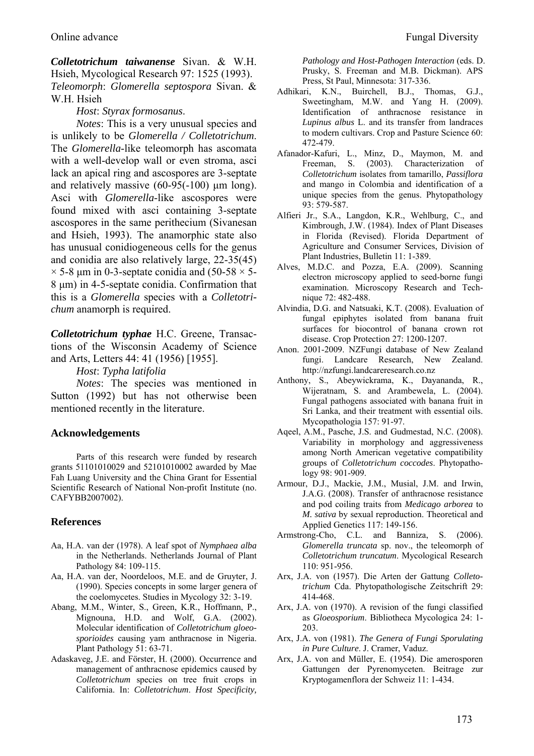*Colletotrichum taiwanense* Sivan. & W.H. Hsieh, Mycological Research 97: 1525 (1993). *Teleomorph*: *Glomerella septospora* Sivan. & W.H. Hsieh

*Host*: *Styrax formosanus*.

*Notes*: This is a very unusual species and is unlikely to be *Glomerella / Colletotrichum*. The *Glomerella*-like teleomorph has ascomata with a well-develop wall or even stroma, asci lack an apical ring and ascospores are 3-septate and relatively massive (60-95(-100) μm long). Asci with *Glomerella*-like ascospores were found mixed with asci containing 3-septate ascospores in the same perithecium (Sivanesan and Hsieh, 1993). The anamorphic state also has unusual conidiogeneous cells for the genus and conidia are also relatively large, 22-35(45)  $\times$  5-8 um in 0-3-septate conidia and (50-58  $\times$  5-8 μm) in 4-5-septate conidia. Confirmation that this is a *Glomerella* species with a *Colletotrichum* anamorph is required.

*Colletotrichum typhae* H.C. Greene, Transactions of the Wisconsin Academy of Science and Arts, Letters 44: 41 (1956) [1955].

*Host*: *Typha latifolia*

*Notes*: The species was mentioned in Sutton (1992) but has not otherwise been mentioned recently in the literature.

#### **Acknowledgements**

Parts of this research were funded by research grants 51101010029 and 52101010002 awarded by Mae Fah Luang University and the China Grant for Essential Scientific Research of National Non-profit Institute (no. CAFYBB2007002).

#### **References**

- Aa, H.A. van der (1978). A leaf spot of *Nymphaea alba*  in the Netherlands. Netherlands Journal of Plant Pathology 84: 109-115.
- Aa, H.A. van der, Noordeloos, M.E. and de Gruyter, J. (1990). Species concepts in some larger genera of the coelomycetes. Studies in Mycology 32: 3-19.
- Abang, M.M., Winter, S., Green, K.R., Hoffmann, P., Mignouna, H.D. and Wolf, G.A. (2002). Molecular identification of *Colletotrichum gloeosporioides* causing yam anthracnose in Nigeria. Plant Pathology 51: 63-71.
- Adaskaveg, J.E. and Förster, H. (2000). Occurrence and management of anthracnose epidemics caused by *Colletotrichum* species on tree fruit crops in California. In: *Colletotrichum*. *Host Specificity,*

*Pathology and Host-Pathogen Interaction* (eds. D. Prusky, S. Freeman and M.B. Dickman). APS Press, St Paul, Minnesota: 317-336.

- Adhikari, K.N., Buirchell, B.J., Thomas, G.J., Sweetingham, M.W. and Yang H. (2009). Identification of anthracnose resistance in *Lupinus albus* L. and its transfer from landraces to modern cultivars. Crop and Pasture Science 60: 472-479.
- Afanador-Kafuri, L., Minz, D., Maymon, M. and Freeman, S. (2003). Characterization of *Colletotrichum* isolates from tamarillo, *Passiflora*  and mango in Colombia and identification of a unique species from the genus. Phytopathology 93: 579-587.
- Alfieri Jr., S.A., Langdon, K.R., Wehlburg, C., and Kimbrough, J.W. (1984). Index of Plant Diseases in Florida (Revised). Florida Department of Agriculture and Consumer Services, Division of Plant Industries, Bulletin 11: 1-389.
- Alves, M.D.C. and Pozza, E.A. (2009). Scanning electron microscopy applied to seed-borne fungi examination. Microscopy Research and Technique 72: 482-488.
- Alvindia, D.G. and Natsuaki, K.T. (2008). Evaluation of fungal epiphytes isolated from banana fruit surfaces for biocontrol of banana crown rot disease. Crop Protection 27: 1200-1207.
- Anon. 2001-2009. NZFungi database of New Zealand fungi. Landcare Research, New Zealand. http://nzfungi.landcareresearch.co.nz
- Anthony, S., Abeywickrama, K., Dayananda, R., Wijeratnam, S. and Arambewela, L. (2004). Fungal pathogens associated with banana fruit in Sri Lanka, and their treatment with essential oils. Mycopathologia 157: 91-97.
- Aqeel, A.M., Pasche, J.S. and Gudmestad, N.C. (2008). Variability in morphology and aggressiveness among North American vegetative compatibility groups of *Colletotrichum coccodes*. Phytopathology 98: 901-909.
- Armour, D.J., Mackie, J.M., Musial, J.M. and Irwin, J.A.G. (2008). Transfer of anthracnose resistance and pod coiling traits from *Medicago arborea* to *M. sativa* by sexual reproduction. Theoretical and Applied Genetics 117: 149-156.
- Armstrong-Cho, C.L. and Banniza, S. (2006). *Glomerella truncata* sp. nov., the teleomorph of *Colletotrichum truncatum*. Mycological Research 110: 951-956.
- Arx, J.A. von (1957). Die Arten der Gattung *Colletotrichum* Cda. Phytopathologische Zeitschrift 29: 414-468.
- Arx, J.A. von (1970). A revision of the fungi classified as *Gloeosporium*. Bibliotheca Mycologica 24: 1- 203.
- Arx, J.A. von (1981). *The Genera of Fungi Sporulating in Pure Culture*. J. Cramer, Vaduz.
- Arx, J.A. von and Müller, E. (1954). Die amerosporen Gattungen der Pyrenomyceten. Beitrage zur Kryptogamenflora der Schweiz 11: 1-434.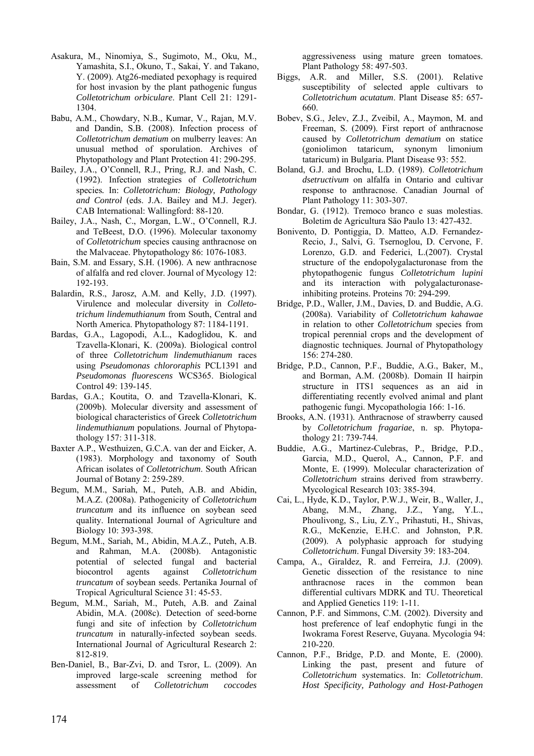- Asakura, M., Ninomiya, S., Sugimoto, M., Oku, M., Yamashita, S.I., Okuno, T., Sakai, Y. and Takano, Y. (2009). Atg26-mediated pexophagy is required for host invasion by the plant pathogenic fungus *Colletotrichum orbiculare*. Plant Cell 21: 1291- 1304.
- Babu, A.M., Chowdary, N.B., Kumar, V., Rajan, M.V. and Dandin, S.B. (2008). Infection process of *Colletotrichum dematium* on mulberry leaves: An unusual method of sporulation. Archives of Phytopathology and Plant Protection 41: 290-295.
- Bailey, J.A., O'Connell, R.J., Pring, R.J. and Nash, C. (1992). Infection strategies of *Colletotrichum*  species*.* In: *Colletotrichum: Biology, Pathology and Control* (eds. J.A. Bailey and M.J. Jeger). CAB International: Wallingford: 88-120.
- Bailey, J.A., Nash, C., Morgan, L.W., O'Connell, R.J. and TeBeest, D.O. (1996). Molecular taxonomy of *Colletotrichum* species causing anthracnose on the Malvaceae. Phytopathology 86: 1076-1083.
- Bain, S.M. and Essary, S.H. (1906). A new anthracnose of alfalfa and red clover. Journal of Mycology 12: 192-193.
- Balardin, R.S., Jarosz, A.M. and Kelly, J.D. (1997). Virulence and molecular diversity in *Colletotrichum lindemuthianum* from South, Central and North America. Phytopathology 87: 1184-1191.
- Bardas, G.A., Lagopodi, A.L., Kadoglidou, K. and Tzavella-Klonari, K. (2009a). Biological control of three *Colletotrichum lindemuthianum* races using *Pseudomonas chlororaphis* PCL1391 and *Pseudomonas fluorescens* WCS365. Biological Control 49: 139-145.
- Bardas, G.A.; Koutita, O. and Tzavella-Klonari, K. (2009b). Molecular diversity and assessment of biological characteristics of Greek *Colletotrichum lindemuthianum* populations. Journal of Phytopathology 157: 311-318.
- Baxter A.P., Westhuizen, G.C.A. van der and Eicker, A. (1983). Morphology and taxonomy of South African isolates of *Colletotrichum*. South African Journal of Botany 2: 259-289.
- Begum, M.M., Sariah, M., Puteh, A.B. and Abidin, M.A.Z. (2008a). Pathogenicity of *Colletotrichum truncatum* and its influence on soybean seed quality. International Journal of Agriculture and Biology 10: 393-398.
- Begum, M.M., Sariah, M., Abidin, M.A.Z., Puteh, A.B. and Rahman, M.A. (2008b). Antagonistic potential of selected fungal and bacterial biocontrol agents against *Colletotrichum truncatum* of soybean seeds. Pertanika Journal of Tropical Agricultural Science 31: 45-53.
- Begum, M.M., Sariah, M., Puteh, A.B. and Zainal Abidin, M.A. (2008c). Detection of seed-borne fungi and site of infection by *Colletotrichum truncatum* in naturally-infected soybean seeds. International Journal of Agricultural Research 2: 812-819.
- Ben-Daniel, B., Bar-Zvi, D. and Tsror, L. (2009). An improved large-scale screening method for assessment of *Colletotrichum coccodes*

aggressiveness using mature green tomatoes. Plant Pathology 58: 497-503.

- Biggs, A.R. and Miller, S.S. (2001). Relative susceptibility of selected apple cultivars to *Colletotrichum acutatum*. Plant Disease 85: 657- 660.
- Bobev, S.G., Jelev, Z.J., Zveibil, A., Maymon, M. and Freeman, S. (2009). First report of anthracnose caused by *Colletotrichum dematium* on statice (goniolimon tataricum, synonym limonium tataricum) in Bulgaria. Plant Disease 93: 552.
- Boland, G.J. and Brochu, L.D. (1989). *Colletotrichum dsetructivum* on alfalfa in Ontario and cultivar response to anthracnose. Canadian Journal of Plant Pathology 11: 303-307.
- Bondar, G. (1912). Tremoco branco e suas molestias. Boletim de Agricultura Säo Paulo 13: 427-432.
- Bonivento, D. Pontiggia, D. Matteo, A.D. Fernandez-Recio, J., Salvi, G. Tsernoglou, D. Cervone, F. Lorenzo, G.D. and Federici, L.(2007). Crystal structure of the endopolygalacturonase from the phytopathogenic fungus *Colletotrichum lupini* and its interaction with polygalacturonaseinhibiting proteins. Proteins 70: 294-299.
- Bridge, P.D., Waller, J.M., Davies, D. and Buddie, A.G. (2008a). Variability of *Colletotrichum kahawae* in relation to other *Colletotrichum* species from tropical perennial crops and the development of diagnostic techniques. Journal of Phytopathology 156: 274-280.
- Bridge, P.D., Cannon, P.F., Buddie, A.G., Baker, M., and Borman, A.M. (2008b). Domain II hairpin structure in ITS1 sequences as an aid in differentiating recently evolved animal and plant pathogenic fungi. Mycopathologia 166: 1-16.
- Brooks, A.N. (1931). Anthracnose of strawberry caused by *Colletotrichum fragariae*, n. sp. Phytopathology 21: 739-744.
- Buddie, A.G., Martinez-Culebras, P., Bridge, P.D., Garcia, M.D., Querol, A., Cannon, P.F. and Monte, E. (1999). Molecular characterization of *Colletotrichum* strains derived from strawberry. Mycological Research 103: 385-394.
- Cai, L., Hyde, K.D., Taylor, P.W.J., Weir, B., Waller, J., Abang, M.M., Zhang, J.Z., Yang, Y.L., Phoulivong, S., Liu, Z.Y., Prihastuti, H., Shivas, R.G., McKenzie, E.H.C. and Johnston, P.R. (2009). A polyphasic approach for studying *Colletotrichum*. Fungal Diversity 39: 183-204.
- Campa, A., Giraldez, R. and Ferreira, J.J. (2009). Genetic dissection of the resistance to nine anthracnose races in the common bean differential cultivars MDRK and TU. Theoretical and Applied Genetics 119: 1-11.
- Cannon, P.F. and Simmons, C.M. (2002). Diversity and host preference of leaf endophytic fungi in the Iwokrama Forest Reserve, Guyana. Mycologia 94: 210-220.
- Cannon, P.F., Bridge, P.D. and Monte, E. (2000). Linking the past, present and future of *Colletotrichum* systematics. In: *Colletotrichum*. *Host Specificity, Pathology and Host-Pathogen*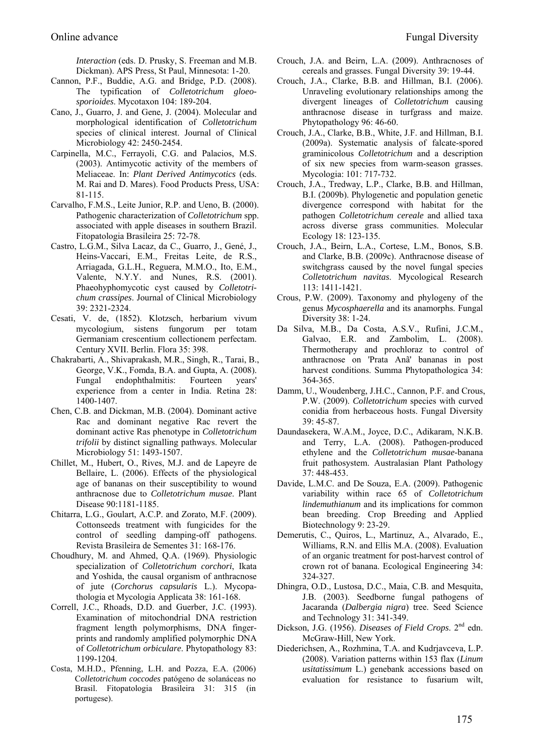*Interaction* (eds. D. Prusky, S. Freeman and M.B. Dickman). APS Press, St Paul, Minnesota: 1-20.

- Cannon, P.F., Buddie, A.G. and Bridge, P.D. (2008). The typification of *Colletotrichum gloeosporioides*. Mycotaxon 104: 189-204.
- Cano, J., Guarro, J. and Gene, J. (2004). Molecular and morphological identification of *Colletotrichum* species of clinical interest. Journal of Clinical Microbiology 42: 2450-2454.
- Carpinella, M.C., Ferrayoli, C.G. and Palacios, M.S. (2003). Antimycotic activity of the members of Meliaceae. In: *Plant Derived Antimycotics* (eds. M. Rai and D. Mares). Food Products Press, USA: 81-115.
- Carvalho, F.M.S., Leite Junior, R.P. and Ueno, B. (2000). Pathogenic characterization of *Colletotrichum* spp. associated with apple diseases in southern Brazil. Fitopatologia Brasileira 25: 72-78.
- Castro, L.G.M., Silva Lacaz, da C., Guarro, J., Gené, J., Heins-Vaccari, E.M., Freitas Leite, de R.S., Arriagada, G.L.H., Reguera, M.M.O., Ito, E.M., Valente, N.Y.Y. and Nunes, R.S. (2001). Phaeohyphomycotic cyst caused by *Colletotrichum crassipes*. Journal of Clinical Microbiology 39: 2321-2324.
- Cesati, V. de, (1852). Klotzsch, herbarium vivum mycologium, sistens fungorum per totam Germaniam crescentium collectionem perfectam. Century XVII. Berlin. Flora 35: 398.
- Chakrabarti, A., Shivaprakash, M.R., Singh, R., Tarai, B., George, V.K., Fomda, B.A. and Gupta, A. (2008). Fungal endophthalmitis: Fourteen years' experience from a center in India. Retina 28: 1400-1407.
- Chen, C.B. and Dickman, M.B. (2004). Dominant active Rac and dominant negative Rac revert the dominant active Ras phenotype in *Colletotrichum trifolii* by distinct signalling pathways. Molecular Microbiology 51: 1493-1507.
- Chillet, M., Hubert, O., Rives, M.J. and de Lapeyre de Bellaire, L. (2006). Effects of the physiological age of bananas on their susceptibility to wound anthracnose due to *Colletotrichum musae*. Plant Disease 90:1181-1185.
- Chitarra, L.G., Goulart, A.C.P. and Zorato, M.F. (2009). Cottonseeds treatment with fungicides for the control of seedling damping-off pathogens. Revista Brasileira de Sementes 31: 168-176.
- Choudhury, M. and Ahmed, Q.A. (1969). Physiologic specialization of *Colletotrichum corchori*, Ikata and Yoshida, the causal organism of anthracnose of jute (*Corchorus capsularis* L.). Mycopathologia et Mycologia Applicata 38: 161-168.
- Correll, J.C., Rhoads, D.D. and Guerber, J.C. (1993). Examination of mitochondrial DNA restriction fragment length polymorphisms, DNA fingerprints and randomly amplified polymorphic DNA of *Colletotrichum orbiculare*. Phytopathology 83: 1199-1204.
- Costa, M.H.D., Pfenning, L.H. and Pozza, E.A. (2006) C*olletotrichum coccodes* patógeno de solanáceas no Brasil. Fitopatologia Brasileira 31: 315 (in portugese).
- Crouch, J.A. and Beirn, L.A. (2009). Anthracnoses of cereals and grasses. Fungal Diversity 39: 19-44.
- Crouch, J.A., Clarke, B.B. and Hillman, B.I. (2006). Unraveling evolutionary relationships among the divergent lineages of *Colletotrichum* causing anthracnose disease in turfgrass and maize. Phytopathology 96: 46-60.
- Crouch, J.A., Clarke, B.B., White, J.F. and Hillman, B.I. (2009a). Systematic analysis of falcate-spored graminicolous *Colletotrichum* and a description of six new species from warm-season grasses. Mycologia: 101: 717-732.
- Crouch, J.A., Tredway, L.P., Clarke, B.B. and Hillman, B.I. (2009b). Phylogenetic and population genetic divergence correspond with habitat for the pathogen *Colletotrichum cereale* and allied taxa across diverse grass communities. Molecular Ecology 18: 123-135.
- Crouch, J.A., Beirn, L.A., Cortese, L.M., Bonos, S.B. and Clarke, B.B. (2009c). Anthracnose disease of switchgrass caused by the novel fungal species *Colletotrichum navitas*. Mycological Research 113: 1411-1421.
- Crous, P.W. (2009). Taxonomy and phylogeny of the genus *Mycosphaerella* and its anamorphs. Fungal Diversity 38: 1-24.
- Da Silva, M.B., Da Costa, A.S.V., Rufini, J.C.M., Galvao, E.R. and Zambolim, L. (2008). Thermotherapy and prochloraz to control of anthracnose on 'Prata Anã' bananas in post harvest conditions. Summa Phytopathologica 34: 364-365.
- Damm, U., Woudenberg, J.H.C., Cannon, P.F. and Crous, P.W. (2009). *Colletotrichum* species with curved conidia from herbaceous hosts. Fungal Diversity 39: 45-87.
- Daundasekera, W.A.M., Joyce, D.C., Adikaram, N.K.B. and Terry, L.A. (2008). Pathogen-produced ethylene and the *Colletotrichum musae*-banana fruit pathosystem. Australasian Plant Pathology 37: 448-453.
- Davide, L.M.C. and De Souza, E.A. (2009). Pathogenic variability within race 65 of *Colletotrichum lindemuthianum* and its implications for common bean breeding. Crop Breeding and Applied Biotechnology 9: 23-29.
- Demerutis, C., Quiros, L., Martinuz, A., Alvarado, E., Williams, R.N. and Ellis M.A. (2008). Evaluation of an organic treatment for post-harvest control of crown rot of banana. Ecological Engineering 34: 324-327.
- Dhingra, O.D., Lustosa, D.C., Maia, C.B. and Mesquita, J.B. (2003). Seedborne fungal pathogens of Jacaranda (*Dalbergia nigra*) tree. Seed Science and Technology 31: 341-349.
- Dickson, J.G. (1956). *Diseases of Field Crops*. 2<sup>nd</sup> edn. McGraw-Hill, New York.
- Diederichsen, A., Rozhmina, T.A. and Kudrjavceva, L.P. (2008). Variation patterns within 153 flax (*Linum usitatissimum* L.) genebank accessions based on evaluation for resistance to fusarium wilt,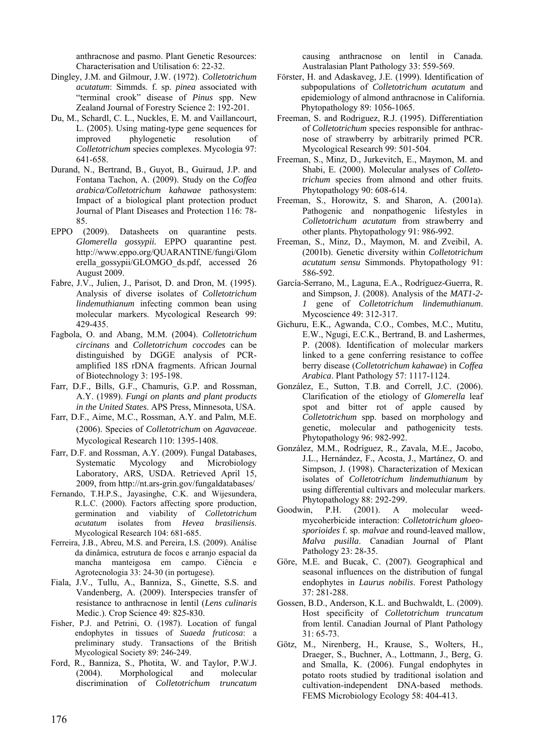anthracnose and pasmo. Plant Genetic Resources: Characterisation and Utilisation 6: 22-32.

- Dingley, J.M. and Gilmour, J.W. (1972). *Colletotrichum acutatum*: Simmds. f. sp. *pinea* associated with "terminal crook" disease of *Pinus* spp. New Zealand Journal of Forestry Science 2: 192-201.
- Du, M., Schardl, C. L., Nuckles, E. M. and Vaillancourt, L. (2005). Using mating-type gene sequences for improved phylogenetic resolution of *Colletotrichum* species complexes. Mycologia 97: 641-658.
- Durand, N., Bertrand, B., Guyot, B., Guiraud, J.P. and Fontana Tachon, A. (2009). Study on the *Coffea arabica/Colletotrichum kahawae* pathosystem: Impact of a biological plant protection product Journal of Plant Diseases and Protection 116: 78- 85.
- EPPO (2009). Datasheets on quarantine pests. *Glomerella gossypii.* EPPO quarantine pest. http://www.eppo.org/QUARANTINE/fungi/Glom erella\_gossypii/GLOMGO\_ds.pdf, accessed 26 August 2009.
- Fabre, J.V., Julien, J., Parisot, D. and Dron, M. (1995). Analysis of diverse isolates of *Colletotrichum lindemuthianum* infecting common bean using molecular markers. Mycological Research 99: 429-435.
- Fagbola, O. and Abang, M.M. (2004). *Colletotrichum circinans* and *Colletotrichum coccodes* can be distinguished by DGGE analysis of PCRamplified 18S rDNA fragments. African Journal of Biotechnology 3: 195-198.
- Farr, D.F., Bills, G.F., Chamuris, G.P. and Rossman, A.Y. (1989). *Fungi on plants and plant products in the United States*. APS Press, Minnesota, USA.
- Farr, D.F., Aime, M.C., Rossman, A.Y. and Palm, M.E. (2006). Species of *Colletotrichum* on *Agavaceae*. Mycological Research 110: 1395-1408.
- Farr, D.F. and Rossman, A.Y. (2009). Fungal Databases, Systematic Mycology and Microbiology Laboratory, ARS, USDA. Retrieved April 15, 2009, from http://nt.ars-grin.gov/fungaldatabases/
- Fernando, T.H.P.S., Jayasinghe, C.K. and Wijesundera, R.L.C. (2000). Factors affecting spore production, germination and viability of *Colletotrichum acutatum* isolates from *Hevea brasiliensis*. Mycological Research 104: 681-685.
- Ferreira, J.B., Abreu, M.S. and Pereira, I.S. (2009). Análise da dinâmica, estrutura de focos e arranjo espacial da mancha manteigosa em campo. Ciência e Agrotecnologia 33: 24-30 (in portugese).
- Fiala, J.V., Tullu, A., Banniza, S., Ginette, S.S. and Vandenberg, A. (2009). Interspecies transfer of resistance to anthracnose in lentil (*Lens culinaris* Medic.). Crop Science 49: 825-830.
- Fisher, P.J. and Petrini, O. (1987). Location of fungal endophytes in tissues of *Suaeda fruticosa*: a preliminary study. Transactions of the British Mycological Society 89: 246-249.
- Ford, R., Banniza, S., Photita, W. and Taylor, P.W.J. (2004). Morphological and molecular discrimination of *Colletotrichum truncatum*

causing anthracnose on lentil in Canada. Australasian Plant Pathology 33: 559-569.

- Förster, H. and Adaskaveg, J.E. (1999). Identification of subpopulations of *Colletotrichum acutatum* and epidemiology of almond anthracnose in California. Phytopathology 89: 1056-1065.
- Freeman, S. and Rodriguez, R.J. (1995). Differentiation of *Colletotrichum* species responsible for anthracnose of strawberry by arbitrarily primed PCR. Mycological Research 99: 501-504.
- Freeman, S., Minz, D., Jurkevitch, E., Maymon, M. and Shabi, E. (2000). Molecular analyses of *Colletotrichum* species from almond and other fruits. Phytopathology 90: 608-614.
- Freeman, S., Horowitz, S. and Sharon, A. (2001a). Pathogenic and nonpathogenic lifestyles in *Colletotrichum acutatum* from strawberry and other plants. Phytopathology 91: 986-992.
- Freeman, S., Minz, D., Maymon, M. and Zveibil, A. (2001b). Genetic diversity within *Colletotrichum acutatum sensu* Simmonds. Phytopathology 91: 586-592.
- García-Serrano, M., Laguna, E.A., Rodríguez-Guerra, R. and Simpson, J. (2008). Analysis of the *MAT1-2- 1* gene of *Colletotrichum lindemuthianum*. Mycoscience 49: 312-317.
- Gichuru, E.K., Agwanda, C.O., Combes, M.C., Mutitu, E.W., Ngugi, E.C.K., Bertrand, B. and Lashermes, P. (2008). Identification of molecular markers linked to a gene conferring resistance to coffee berry disease (*Colletotrichum kahawae*) in *Coffea Arabica*. Plant Pathology 57: 1117-1124.
- González, E., Sutton, T.B. and Correll, J.C. (2006). Clarification of the etiology of *Glomerella* leaf spot and bitter rot of apple caused by *Colletotrichum* spp. based on morphology and genetic, molecular and pathogenicity tests. Phytopathology 96: 982-992.
- González, M.M., Rodríguez, R., Zavala, M.E., Jacobo, J.L., Hernández, F., Acosta, J., Martánez, O. and Simpson, J. (1998). Characterization of Mexican isolates of *Colletotrichum lindemuthianum* by using differential cultivars and molecular markers. Phytopathology 88: 292-299.
- Goodwin, P.H. (2001). A molecular weedmycoherbicide interaction: *Colletotrichum gloeosporioides* f. sp. *malvae* and round-leaved mallow, *Malva pusilla*. Canadian Journal of Plant Pathology 23: 28-35.
- Göre, M.E. and Bucak, C. (2007). Geographical and seasonal influences on the distribution of fungal endophytes in *Laurus nobilis*. Forest Pathology 37: 281-288.
- Gossen, B.D., Anderson, K.L. and Buchwaldt, L. (2009). Host specificity of *Colletotrichum truncatum* from lentil. Canadian Journal of Plant Pathology 31: 65-73.
- Götz, M., Nirenberg, H., Krause, S., Wolters, H., Draeger, S., Buchner, A., Lottmann, J., Berg, G. and Smalla, K. (2006). Fungal endophytes in potato roots studied by traditional isolation and cultivation-independent DNA-based methods. FEMS Microbiology Ecology 58: 404-413.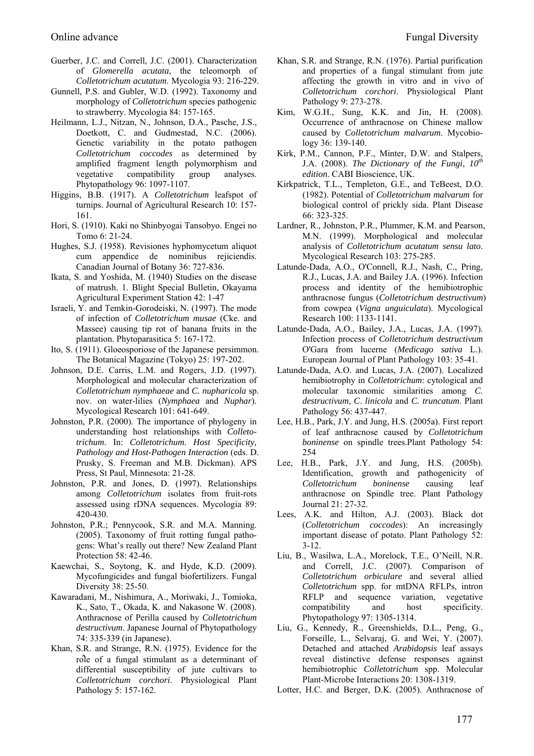- Guerber, J.C. and Correll, J.C. (2001). Characterization of *Glomerella acutata*, the teleomorph of *Colletotrichum acutatum*. Mycologia 93: 216-229.
- Gunnell, P.S. and Gubler, W.D. (1992). Taxonomy and morphology of *Colletotrichum* species pathogenic to strawberry. Mycologia 84: 157-165.
- Heilmann, L.J., Nitzan, N., Johnson, D.A., Pasche, J.S., Doetkott, C. and Gudmestad, N.C. (2006). Genetic variability in the potato pathogen *Colletotrichum coccodes* as determined by amplified fragment length polymorphism and vegetative compatibility group analyses. Phytopathology 96: 1097-1107.
- Higgins, B.B. (1917). A *Colletotrichum* leafspot of turnips. Journal of Agricultural Research 10: 157- 161.
- Hori, S. (1910). Kaki no Shinbyogai Tansobyo. Engei no Tomo 6: 21-24.
- Hughes, S.J. (1958). Revisiones hyphomycetum aliquot cum appendice de nominibus rejiciendis. Canadian Journal of Botany 36: 727-836.
- Ikata, S. and Yoshida, M. (1940) Studies on the disease of matrush. 1. Blight Special Bulletin, Okayama Agricultural Experiment Station 42: 1-47
- Israeli, Y. and Temkin-Gorodeiski, N. (1997). The mode of infection of *Colletotrichum musae* (Cke. and Massee) causing tip rot of banana fruits in the plantation. Phytoparasitica 5: 167-172.
- Ito, S. (1911). Gloeosporiose of the Japanese persimmon. The Botanical Magazine (Tokyo) 25: 197-202.
- Johnson, D.E. Carris, L.M. and Rogers, J.D. (1997). Morphological and molecular characterization of *Colletotrichum nymphaeae* and *C. nupharicola* sp. nov. on water-lilies (*Nymphaea* and *Nuphar*). Mycological Research 101: 641-649.
- Johnston, P.R. (2000). The importance of phylogeny in understanding host relationships with *Colletotrichum*. In: *Colletotrichum*. *Host Specificity, Pathology and Host-Pathogen Interaction* (eds. D. Prusky, S. Freeman and M.B. Dickman). APS Press, St Paul, Minnesota: 21-28.
- Johnston, P.R. and Jones, D. (1997). Relationships among *Colletotrichum* isolates from fruit-rots assessed using rDNA sequences. Mycologia 89: 420-430.
- Johnston, P.R.; Pennycook, S.R. and M.A. Manning. (2005). Taxonomy of fruit rotting fungal pathogens: What's really out there? New Zealand Plant Protection 58: 42-46.
- Kaewchai, S., Soytong, K. and Hyde, K.D. (2009). Mycofungicides and fungal biofertilizers. Fungal Diversity 38: 25-50.
- Kawaradani, M., Nishimura, A., Moriwaki, J., Tomioka, K., Sato, T., Okada, K. and Nakasone W. (2008). Anthracnose of Perilla caused by *Colletotrichum destructivum*. Japanese Journal of Phytopathology 74: 335-339 (in Japanese).
- Khan, S.R. and Strange, R.N. (1975). Evidence for the rôle of a fungal stimulant as a determinant of differential susceptibility of jute cultivars to *Colletotrichum corchori*. Physiological Plant Pathology 5: 157-162.
- Khan, S.R. and Strange, R.N. (1976). Partial purification and properties of a fungal stimulant from jute affecting the growth in vitro and in vivo of *Colletotrichum corchori*. Physiological Plant Pathology 9: 273-278.
- Kim, W.G.H., Sung, K.K. and Jin, H. (2008). Occurrence of anthracnose on Chinese mallow caused by *Colletotrichum malvarum*. Mycobiology 36: 139-140.
- Kirk, P.M., Cannon, P.F., Minter, D.W. and Stalpers, J.A. (2008). *The Dictionary of the Fungi*, *10th edition*. CABI Bioscience, UK.
- Kirkpatrick, T.L., Templeton, G.E., and TeBeest, D.O. (1982). Potential of *Colletotrichum malvarum* for biological control of prickly sida. Plant Disease 66: 323-325.
- Lardner, R., Johnston, P.R., Plummer, K.M. and Pearson, M.N. (1999). Morphological and molecular analysis of *Colletotrichum acutatum sensu lato*. Mycological Research 103: 275-285.
- Latunde-Dada, A.O., O'Connell, R.J., Nash, C., Pring, R.J., Lucas, J.A. and Bailey J.A. (1996). Infection process and identity of the hemibiotrophic anthracnose fungus (*Colletotrichum destructivum*) from cowpea (*Vigna unguiculata*). Mycological Research 100: 1133-1141.
- Latunde-Dada, A.O., Bailey, J.A., Lucas, J.A. (1997). Infection process of *Colletotrichum destructivum* O'Gara from lucerne (*Medicago sativa* L.). European Journal of Plant Pathology 103: 35-41.
- Latunde-Dada, A.O. and Lucas, J.A. (2007). Localized hemibiotrophy in *Colletotrichum*: cytological and molecular taxonomic similarities among *C*. *destructivum*, *C*. *linicola* and *C. truncatum*. Plant Pathology 56: 437-447.
- Lee, H.B., Park, J.Y. and Jung, H.S. (2005a). First report of leaf anthracnose caused by *Colletotrichum boninense* on spindle trees.Plant Pathology 54: 254
- Lee, H.B., Park, J.Y. and Jung, H.S. (2005b). Identification, growth and pathogenicity of *Colletotrichum boninense* causing leaf anthracnose on Spindle tree. Plant Pathology Journal 21: 27-32.
- Lees, A.K. and Hilton, A.J. (2003). Black dot (*Colletotrichum coccodes*): An increasingly important disease of potato. Plant Pathology 52: 3-12.
- Liu, B., Wasilwa, L.A., Morelock, T.E., O'Neill, N.R. and Correll, J.C. (2007). Comparison of *Colletotrichum orbiculare* and several allied *Colletotrichum* spp. for mtDNA RFLPs, intron RFLP and sequence variation, vegetative compatibility and host specificity. Phytopathology 97: 1305-1314.
- Liu, G., Kennedy, R., Greenshields, D.L., Peng, G., Forseille, L., Selvaraj, G. and Wei, Y. (2007). Detached and attached *Arabidopsis* leaf assays reveal distinctive defense responses against hemibiotrophic *Colletotrichum* spp. Molecular Plant-Microbe Interactions 20: 1308-1319.
- Lotter, H.C. and Berger, D.K. (2005). Anthracnose of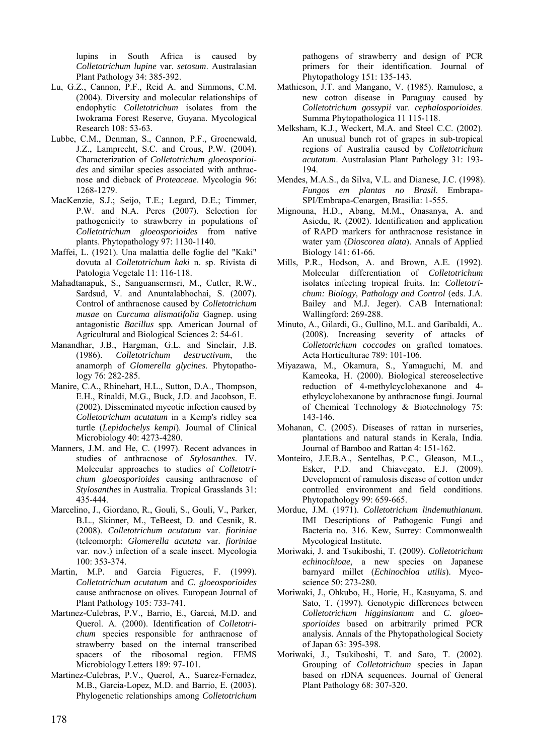lupins in South Africa is caused by *Colletotrichum lupine* var. *setosum*. Australasian Plant Pathology 34: 385-392.

- Lu, G.Z., Cannon, P.F., Reid A. and Simmons, C.M. (2004). Diversity and molecular relationships of endophytic *Colletotrichum* isolates from the Iwokrama Forest Reserve, Guyana. Mycological Research 108: 53-63.
- Lubbe, C.M., Denman, S., Cannon, P.F., Groenewald, J.Z., Lamprecht, S.C. and Crous, P.W. (2004). Characterization of *Colletotrichum gloeosporioides* and similar species associated with anthracnose and dieback of *Proteaceae*. Mycologia 96: 1268-1279.
- MacKenzie, S.J.; Seijo, T.E.; Legard, D.E.; Timmer, P.W. and N.A. Peres (2007). Selection for pathogenicity to strawberry in populations of *Colletotrichum gloeosporioides* from native plants. Phytopathology 97: 1130-1140.
- Maffei, L. (1921). Una malattia delle foglie del "Kaki" dovuta al *Colletotrichum kaki* n. sp. Rivista di Patologia Vegetale 11: 116-118.
- Mahadtanapuk, S., Sanguansermsri, M., Cutler, R.W., Sardsud, V. and Anuntalabhochai, S. (2007). Control of anthracnose caused by *Colletotrichum musae* on *Curcuma alismatifolia* Gagnep. using antagonistic *Bacillus* spp*.* American Journal of Agricultural and Biological Sciences 2: 54-61.
- Manandhar, J.B., Hargman, G.L. and Sinclair, J.B. (1986). *Colletotrichum destructivum*, the anamorph of *Glomerella glycines*. Phytopathology 76: 282-285.
- Manire, C.A., Rhinehart, H.L., Sutton, D.A., Thompson, E.H., Rinaldi, M.G., Buck, J.D. and Jacobson, E. (2002). Disseminated mycotic infection caused by *Colletotrichum acutatum* in a Kemp's ridley sea turtle (*Lepidochelys kempi*). Journal of Clinical Microbiology 40: 4273-4280.
- Manners, J.M. and He, C. (1997). Recent advances in studies of anthracnose of *Stylosanthes*. IV. Molecular approaches to studies of *Colletotrichum gloeosporioides* causing anthracnose of *Stylosanthes* in Australia. Tropical Grasslands 31: 435-444.
- Marcelino, J., Giordano, R., Gouli, S., Gouli, V., Parker, B.L., Skinner, M., TeBeest, D. and Cesnik, R. (2008). *Colletotrichum acutatum* var. *fioriniae*  (teleomorph: *Glomerella acutata* var. *fioriniae* var. nov.) infection of a scale insect. Mycologia 100: 353-374.
- Martin, M.P. and Garcia Figueres, F. (1999). *Colletotrichum acutatum* and *C. gloeosporioides* cause anthracnose on olives. European Journal of Plant Pathology 105: 733-741.
- Martınez-Culebras, P.V., Barrio, E., Garcıá, M.D. and Querol. A. (2000). Identification of *Colletotrichum* species responsible for anthracnose of strawberry based on the internal transcribed spacers of the ribosomal region. FEMS Microbiology Letters 189: 97-101.
- Martinez-Culebras, P.V., Querol, A., Suarez-Fernadez, M.B., Garcia-Lopez, M.D. and Barrio, E. (2003). Phylogenetic relationships among *Colletotrichum*

pathogens of strawberry and design of PCR primers for their identification. Journal of Phytopathology 151: 135-143.

- Mathieson, J.T. and Mangano, V. (1985). Ramulose, a new cotton disease in Paraguay caused by *Colletotrichum gossypii* var. *cephalosporioides*. Summa Phytopathologica 11 115-118.
- Melksham, K.J., Weckert, M.A. and Steel C.C. (2002). An unusual bunch rot of grapes in sub-tropical regions of Australia caused by *Colletotrichum acutatum*. Australasian Plant Pathology 31: 193- 194.
- Mendes, M.A.S., da Silva, V.L. and Dianese, J.C. (1998). *Fungos em plantas no Brasil*. Embrapa-SPI/Embrapa-Cenargen, Brasilia: 1-555.
- Mignouna, H.D., Abang, M.M., Onasanya, A. and Asiedu, R. (2002). Identification and application of RAPD markers for anthracnose resistance in water yam (*Dioscorea alata*). Annals of Applied Biology 141: 61-66.
- Mills, P.R., Hodson, A. and Brown, A.E. (1992). Molecular differentiation of *Colletotrichum*  isolates infecting tropical fruits. In: *Colletotrichum: Biology, Pathology and Control* (eds. J.A. Bailey and M.J. Jeger). CAB International: Wallingford: 269-288.
- Minuto, A., Gilardi, G., Gullino, M.L. and Garibaldi, A.. (2008). Increasing severity of attacks of *Colletotrichum coccodes* on grafted tomatoes. Acta Horticulturae 789: 101-106.
- Miyazawa, M., Okamura, S., Yamaguchi, M. and Kameoka, H. (2000). Biological stereoselective reduction of 4-methylcyclohexanone and 4 ethylcyclohexanone by anthracnose fungi. Journal of Chemical Technology & Biotechnology 75: 143-146.
- Mohanan, C. (2005). Diseases of rattan in nurseries, plantations and natural stands in Kerala, India. Journal of Bamboo and Rattan 4: 151-162.
- Monteiro, J.E.B.A., Sentelhas, P.C., Gleason, M.L., Esker, P.D. and Chiavegato, E.J. (2009). Development of ramulosis disease of cotton under controlled environment and field conditions. Phytopathology 99: 659-665.
- Mordue, J.M. (1971). *Colletotrichum lindemuthianum*. IMI Descriptions of Pathogenic Fungi and Bacteria no. 316. Kew, Surrey: Commonwealth Mycological Institute.
- Moriwaki, J. and Tsukiboshi, T. (2009). *Colletotrichum echinochloae*, a new species on Japanese barnyard millet (*Echinochloa utilis*). Mycoscience 50: 273-280.
- Moriwaki, J., Ohkubo, H., Horie, H., Kasuyama, S. and Sato, T. (1997). Genotypic differences between *Colletotrichum higginsianum* and *C. gloeosporioides* based on arbitrarily primed PCR analysis. Annals of the Phytopathological Society of Japan 63: 395-398.
- Moriwaki, J., Tsukiboshi, T. and Sato, T. (2002). Grouping of *Colletotrichum* species in Japan based on rDNA sequences. Journal of General Plant Pathology 68: 307-320.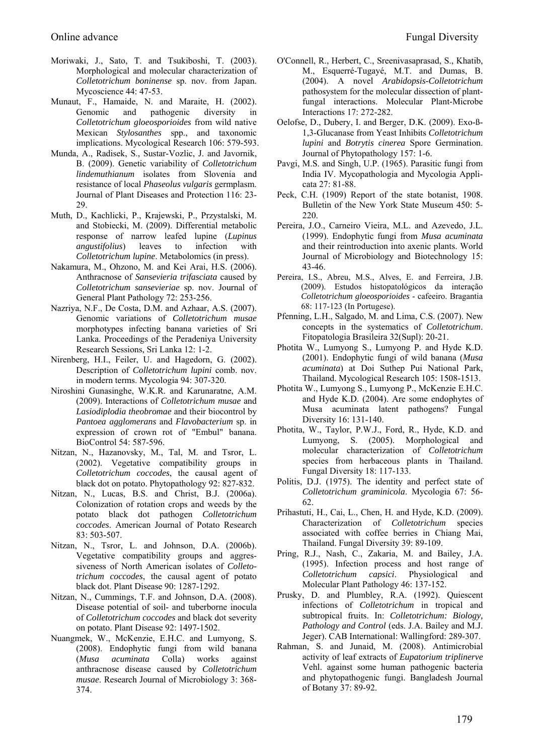- Moriwaki, J., Sato, T. and Tsukiboshi, T. (2003). Morphological and molecular characterization of *Colletotrichum boninense* sp. nov. from Japan. Mycoscience 44: 47-53.
- Munaut, F., Hamaide, N. and Maraite, H. (2002). Genomic and pathogenic diversity in *Colletotrichum gloeosporioides* from wild native Mexican *Stylosanthes* spp., and taxonomic implications. Mycological Research 106: 579-593.
- Munda, A., Radisek, S., Sustar-Vozlic, J. and Javornik, B. (2009). Genetic variability of *Colletotrichum lindemuthianum* isolates from Slovenia and resistance of local *Phaseolus vulgaris* germplasm. Journal of Plant Diseases and Protection 116: 23- 29.
- Muth, D., Kachlicki, P., Krajewski, P., Przystalski, M. and Stobiecki, M. (2009). Differential metabolic response of narrow leafed lupine (*Lupinus angustifolius*) leaves to infection with *Colletotrichum lupine*. Metabolomics (in press).
- Nakamura, M., Ohzono, M. and Kei Arai, H.S. (2006). Anthracnose of *Sansevieria trifasciata* caused by *Colletotrichum sansevieriae* sp. nov. Journal of General Plant Pathology 72: 253-256.
- Nazriya, N.F., De Costa, D.M. and Azhaar, A.S. (2007). Genomic variations of *Colletotrichum musae*  morphotypes infecting banana varieties of Sri Lanka. Proceedings of the Peradeniya University Research Sessions, Sri Lanka 12: 1-2.
- Nirenberg, H.I., Feiler, U. and Hagedorn, G. (2002). Description of *Colletotrichum lupini* comb. nov. in modern terms. Mycologia 94: 307-320.
- Niroshini Gunasinghe, W.K.R. and Karunaratne, A.M. (2009). Interactions of *Colletotrichum musae* and *Lasiodiplodia theobromae* and their biocontrol by *Pantoea agglomerans* and *Flavobacterium* sp. in expression of crown rot of "Embul" banana. BioControl 54: 587-596.
- Nitzan, N., Hazanovsky, M., Tal, M. and Tsror, L. (2002). Vegetative compatibility groups in *Colletotrichum coccodes*, the causal agent of black dot on potato. Phytopathology 92: 827-832.
- Nitzan, N., Lucas, B.S. and Christ, B.J. (2006a). Colonization of rotation crops and weeds by the potato black dot pathogen *Colletotrichum coccodes*. American Journal of Potato Research 83: 503-507.
- Nitzan, N., Tsror, L. and Johnson, D.A. (2006b). Vegetative compatibility groups and aggressiveness of North American isolates of *Colletotrichum coccodes*, the causal agent of potato black dot. Plant Disease 90: 1287-1292.
- Nitzan, N., Cummings, T.F. and Johnson, D.A. (2008). Disease potential of soil- and tuberborne inocula of *Colletotrichum coccodes* and black dot severity on potato. Plant Disease 92: 1497-1502.
- Nuangmek, W., McKenzie, E.H.C. and Lumyong, S. (2008). Endophytic fungi from wild banana (*Musa acuminata* Colla) works against anthracnose disease caused by *Colletotrichum musae*. Research Journal of Microbiology 3: 368- 374.
- O'Connell, R., Herbert, C., Sreenivasaprasad, S., Khatib, M., Esquerré-Tugayé, M.T. and Dumas, B. (2004). A novel *Arabidopsis-Colletotrichum* pathosystem for the molecular dissection of plantfungal interactions. Molecular Plant-Microbe Interactions 17: 272-282.
- Oelofse, D., Dubery, I. and Berger, D.K. (2009). Exo-ß-1,3-Glucanase from Yeast Inhibits *Colletotrichum lupini* and *Botrytis cinerea* Spore Germination. Journal of Phytopathology 157: 1-6.
- Pavgi, M.S. and Singh, U.P. (1965). Parasitic fungi from India IV. Mycopathologia and Mycologia Applicata 27: 81-88.
- Peck, C.H. (1909) Report of the state botanist, 1908. Bulletin of the New York State Museum 450: 5- 220.
- Pereira, J.O., Carneiro Vieira, M.L. and Azevedo, J.L. (1999). Endophytic fungi from *Musa acuminata* and their reintroduction into axenic plants. World Journal of Microbiology and Biotechnology 15: 43-46.
- Pereira, I.S., Abreu, M.S., Alves, E. and Ferreira, J.B. (2009). Estudos histopatológicos da interação *Colletotrichum gloeosporioides* - cafeeiro. Bragantia 68: 117-123 (In Portugese).
- Pfenning, L.H., Salgado, M. and Lima, C.S. (2007). New concepts in the systematics of *Colletotrichum*. Fitopatologia Brasileira 32(Supl): 20-21.
- Photita W., Lumyong S., Lumyong P. and Hyde K.D. (2001). Endophytic fungi of wild banana (*Musa acuminata*) at Doi Suthep Pui National Park, Thailand. Mycological Research 105: 1508-1513.
- Photita W., Lumyong S., Lumyong P., McKenzie E.H.C. and Hyde K.D. (2004). Are some endophytes of Musa acuminata latent pathogens? Fungal Diversity 16: 131-140.
- Photita, W., Taylor, P.W.J., Ford, R., Hyde, K.D. and Lumyong, S. (2005). Morphological and molecular characterization of *Colletotrichum* species from herbaceous plants in Thailand. Fungal Diversity 18: 117-133.
- Politis, D.J. (1975). The identity and perfect state of *Colletotrichum graminicola*. Mycologia 67: 56- 62.
- Prihastuti, H., Cai, L., Chen, H. and Hyde, K.D. (2009). Characterization of *Colletotrichum* species associated with coffee berries in Chiang Mai, Thailand. Fungal Diversity 39: 89-109.
- Pring, R.J., Nash, C., Zakaria, M. and Bailey, J.A. (1995). Infection process and host range of *Colletotrichum capsici*. Physiological and Molecular Plant Pathology 46: 137-152.
- Prusky, D. and Plumbley, R.A. (1992). Quiescent infections of *Colletotrichum* in tropical and subtropical fruits. In: *Colletotrichum: Biology, Pathology and Control* (eds. J.A. Bailey and M.J. Jeger). CAB International: Wallingford: 289-307.
- Rahman, S. and Junaid, M. (2008). Antimicrobial activity of leaf extracts of *Eupatorium triplinerve* Vehl. against some human pathogenic bacteria and phytopathogenic fungi. Bangladesh Journal of Botany 37: 89-92.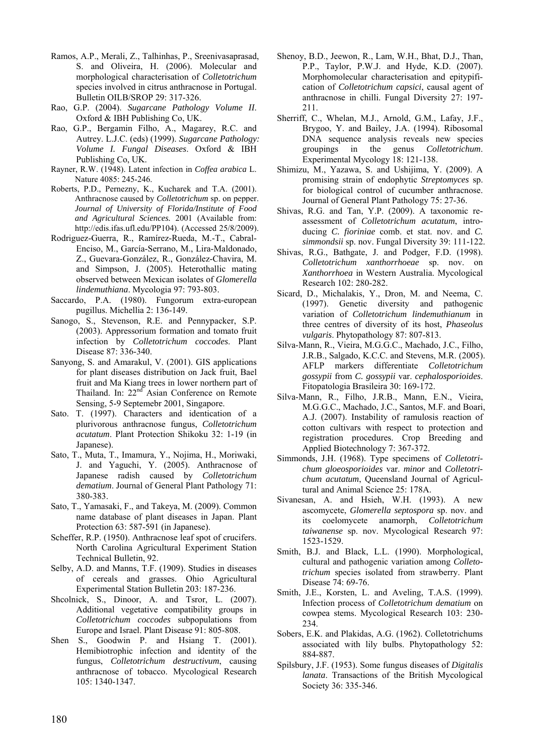- Ramos, A.P., Merali, Z., Talhinhas, P., Sreenivasaprasad, S. and Oliveira, H. (2006). Molecular and morphological characterisation of *Colletotrichum* species involved in citrus anthracnose in Portugal. Bulletin OILB/SROP 29: 317-326.
- Rao, G.P. (2004). *Sugarcane Pathology Volume II*. Oxford & IBH Publishing Co, UK.
- Rao, G.P., Bergamin Filho, A., Magarey, R.C. and Autrey. L.J.C. (eds) (1999). *Sugarcane Pathology: Volume I. Fungal Diseases*. Oxford & IBH Publishing Co, UK.
- Rayner, R.W. (1948). Latent infection in *Coffea arabica* L. Nature 4085: 245-246.
- Roberts, P.D., Pernezny, K., Kucharek and T.A. (2001). Anthracnose caused by *Colletotrichum* sp. on pepper. *Journal of University of Florida/Institute of Food and Agricultural Sciences.* 2001 (Available from: http://edis.ifas.ufl.edu/PP104). (Accessed 25/8/2009).
- Rodriguez-Guerra, R., Ramírez-Rueda, M.-T., Cabral-Enciso, M., García-Serrano, M., Lira-Maldonado, Z., Guevara-González, R., González-Chavira, M. and Simpson, J. (2005). Heterothallic mating observed between Mexican isolates of *Glomerella lindemuthiana*. Mycologia 97: 793-803.
- Saccardo, P.A. (1980). Fungorum extra-european pugillus. Michellia 2: 136-149.
- Sanogo, S., Stevenson, R.E. and Pennypacker, S.P. (2003). Appressorium formation and tomato fruit infection by *Colletotrichum coccodes*. Plant Disease 87: 336-340.
- Sanyong, S. and Amarakul, V. (2001). GIS applications for plant diseases distribution on Jack fruit, Bael fruit and Ma Kiang trees in lower northern part of Thailand. In: 22<sup>nd</sup> Asian Conference on Remote Sensing, 5-9 Septemebr 2001, Singapore.
- Sato. T. (1997). Characters and identication of a plurivorous anthracnose fungus, *Colletotrichum acutatum*. Plant Protection Shikoku 32: 1-19 (in Japanese).
- Sato, T., Muta, T., Imamura, Y., Nojima, H., Moriwaki, J. and Yaguchi, Y. (2005). Anthracnose of Japanese radish caused by *Colletotrichum dematium*. Journal of General Plant Pathology 71: 380-383.
- Sato, T., Yamasaki, F., and Takeya, M. (2009). Common name database of plant diseases in Japan. Plant Protection 63: 587-591 (in Japanese).
- Scheffer, R.P. (1950). Anthracnose leaf spot of crucifers. North Carolina Agricultural Experiment Station Technical Bulletin, 92.
- Selby, A.D. and Manns, T.F. (1909). Studies in diseases of cereals and grasses. Ohio Agricultural Experimental Station Bulletin 203: 187-236.
- Shcolnick, S., Dinoor, A. and Tsror, L. (2007). Additional vegetative compatibility groups in *Colletotrichum coccodes* subpopulations from Europe and Israel. Plant Disease 91: 805-808.
- Shen S., Goodwin P. and Hsiang T. (2001). Hemibiotrophic infection and identity of the fungus, *Colletotrichum destructivum*, causing anthracnose of tobacco. Mycological Research 105: 1340-1347.
- Shenoy, B.D., Jeewon, R., Lam, W.H., Bhat, D.J., Than, P.P., Taylor, P.W.J. and Hyde, K.D. (2007). Morphomolecular characterisation and epitypification of *Colletotrichum capsici*, causal agent of anthracnose in chilli. Fungal Diversity 27: 197- 211.
- Sherriff, C., Whelan, M.J., Arnold, G.M., Lafay, J.F., Brygoo, Y. and Bailey, J.A. (1994). Ribosomal DNA sequence analysis reveals new species groupings in the genus *Colletotrichum*. Experimental Mycology 18: 121-138.
- Shimizu, M., Yazawa, S. and Ushijima, Y. (2009). A promising strain of endophytic *Streptomyces* sp. for biological control of cucumber anthracnose. Journal of General Plant Pathology 75: 27-36.
- Shivas, R.G. and Tan, Y.P. (2009). A taxonomic reassessment of *Colletotrichum acutatum*, introducing *C. fioriniae* comb. et stat. nov. and *C. simmondsii* sp. nov. Fungal Diversity 39: 111-122.
- Shivas, R.G., Bathgate, J. and Podger, F.D. (1998). *Colletotrichum xanthorrhoeae* sp. nov. on *Xanthorrhoea* in Western Australia. Mycological Research 102: 280-282.
- Sicard, D., Michalakis, Y., Dron, M. and Neema, C. (1997). Genetic diversity and pathogenic variation of *Colletotrichum lindemuthianum* in three centres of diversity of its host, *Phaseolus vulgaris*. Phytopathology 87: 807-813.
- Silva-Mann, R., Vieira, M.G.G.C., Machado, J.C., Filho, J.R.B., Salgado, K.C.C. and Stevens, M.R. (2005). AFLP markers differentiate *Colletotrichum gossypii* from *C. gossypii* var. *cephalosporioides*. Fitopatologia Brasileira 30: 169-172.
- Silva-Mann, R., Filho, J.R.B., Mann, E.N., Vieira, M.G.G.C., Machado, J.C., Santos, M.F. and Boari, A.J. (2007). Instability of ramulosis reaction of cotton cultivars with respect to protection and registration procedures. Crop Breeding and Applied Biotechnology 7: 367-372.
- Simmonds, J.H. (1968). Type specimens of *Colletotrichum gloeosporioides* var. *minor* and *Colletotrichum acutatum*, Queensland Journal of Agricultural and Animal Science 25: 178A.
- Sivanesan, A. and Hsieh, W.H. (1993). A new ascomycete, *Glomerella septospora* sp. nov. and its coelomycete anamorph, *Colletotrichum taiwanense* sp. nov. Mycological Research 97: 1523-1529.
- Smith, B.J. and Black, L.L. (1990). Morphological, cultural and pathogenic variation among *Colletotrichum* species isolated from strawberry. Plant Disease 74: 69-76.
- Smith, J.E., Korsten, L. and Aveling, T.A.S. (1999). Infection process of *Colletotrichum dematium* on cowpea stems. Mycological Research 103: 230- 234.
- Sobers, E.K. and Plakidas, A.G. (1962). Colletotrichums associated with lily bulbs. Phytopathology 52: 884-887.
- Spilsbury, J.F. (1953). Some fungus diseases of *Digitalis lanata*. Transactions of the British Mycological Society 36: 335-346.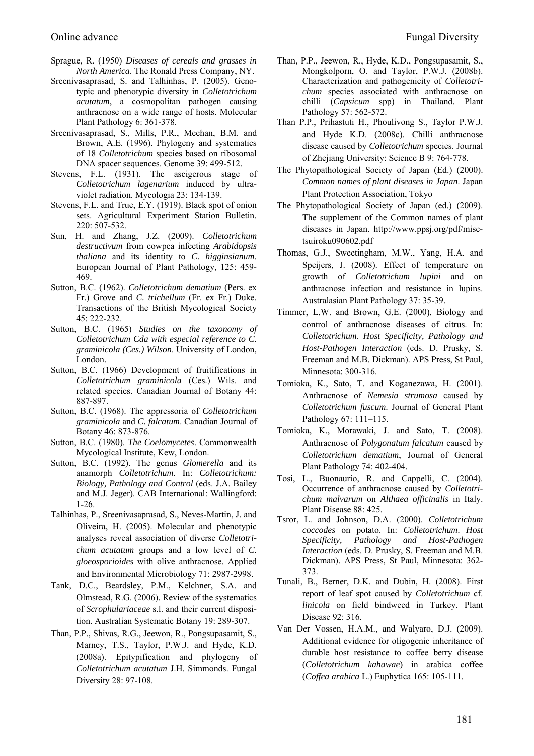- Sprague, R. (1950) *Diseases of cereals and grasses in North America*. The Ronald Press Company, NY.
- Sreenivasaprasad, S. and Talhinhas, P. (2005). Genotypic and phenotypic diversity in *Colletotrichum acutatum*, a cosmopolitan pathogen causing anthracnose on a wide range of hosts. Molecular Plant Pathology 6: 361-378.
- Sreenivasaprasad, S., Mills, P.R., Meehan, B.M. and Brown, A.E. (1996). Phylogeny and systematics of 18 *Colletotrichum* species based on ribosomal DNA spacer sequences. Genome 39: 499-512.
- Stevens, F.L. (1931). The ascigerous stage of *Colletotrichum lagenarium* induced by ultraviolet radiation. Mycologia 23: 134-139.
- Stevens, F.L. and True, E.Y. (1919). Black spot of onion sets. Agricultural Experiment Station Bulletin. 220: 507-532.
- Sun, H. and Zhang, J.Z. (2009). *Colletotrichum destructivum* from cowpea infecting *Arabidopsis thaliana* and its identity to *C. higginsianum*. European Journal of Plant Pathology, 125: 459- 469.
- Sutton, B.C. (1962). *Colletotrichum dematium* (Pers. ex Fr.) Grove and *C. trichellum* (Fr. ex Fr.) Duke. Transactions of the British Mycological Society 45: 222-232.
- Sutton, B.C. (1965) *Studies on the taxonomy of Colletotrichum Cda with especial reference to C. graminicola (Ces.) Wilson*. University of London, London.
- Sutton, B.C. (1966) Development of fruitifications in *Colletotrichum graminicola* (Ces.) Wils. and related species. Canadian Journal of Botany 44: 887-897.
- Sutton, B.C. (1968). The appressoria of *Colletotrichum graminicola* and *C. falcatum*. Canadian Journal of Botany 46: 873-876.
- Sutton, B.C. (1980). *The Coelomycetes*. Commonwealth Mycological Institute, Kew, London.
- Sutton, B.C. (1992). The genus *Glomerella* and its anamorph *Colletotrichum*. In: *Colletotrichum: Biology, Pathology and Control* (eds. J.A. Bailey and M.J. Jeger). CAB International: Wallingford: 1-26.
- Talhinhas, P., Sreenivasaprasad, S., Neves-Martin, J. and Oliveira, H. (2005). Molecular and phenotypic analyses reveal association of diverse *Colletotrichum acutatum* groups and a low level of *C. gloeosporioides* with olive anthracnose. Applied and Environmental Microbiology 71: 2987-2998.
- Tank, D.C., Beardsley, P.M., Kelchner, S.A. and Olmstead, R.G. (2006). Review of the systematics of *Scrophulariaceae* s.l. and their current disposition. Australian Systematic Botany 19: 289-307.
- Than, P.P., Shivas, R.G., Jeewon, R., Pongsupasamit, S., Marney, T.S., Taylor, P.W.J. and Hyde, K.D. (2008a). Epitypification and phylogeny of *Colletotrichum acutatum* J.H. Simmonds. Fungal Diversity 28: 97-108.
- Than, P.P., Jeewon, R., Hyde, K.D., Pongsupasamit, S., Mongkolporn, O. and Taylor, P.W.J. (2008b). Characterization and pathogenicity of *Colletotrichum* species associated with anthracnose on chilli (*Capsicum* spp) in Thailand. Plant Pathology 57: 562-572.
- Than P.P., Prihastuti H., Phoulivong S., Taylor P.W.J. and Hyde K.D. (2008c). Chilli anthracnose disease caused by *Colletotrichum* species. Journal of Zhejiang University: Science B 9: 764-778.
- The Phytopathological Society of Japan (Ed.) (2000). *Common names of plant diseases in Japan*. Japan Plant Protection Association, Tokyo
- The Phytopathological Society of Japan (ed.) (2009). The supplement of the Common names of plant diseases in Japan. http://www.ppsj.org/pdf/misctsuiroku090602.pdf
- Thomas, G.J., Sweetingham, M.W., Yang, H.A. and Speijers, J. (2008). Effect of temperature on growth of *Colletotrichum lupini* and on anthracnose infection and resistance in lupins. Australasian Plant Pathology 37: 35-39.
- Timmer, L.W. and Brown, G.E. (2000). Biology and control of anthracnose diseases of citrus. In: *Colletotrichum*. *Host Specificity, Pathology and Host-Pathogen Interaction* (eds. D. Prusky, S. Freeman and M.B. Dickman). APS Press, St Paul, Minnesota: 300-316.
- Tomioka, K., Sato, T. and Koganezawa, H. (2001). Anthracnose of *Nemesia strumosa* caused by *Colletotrichum fuscum*. Journal of General Plant Pathology 67: 111–115.
- Tomioka, K., Morawaki, J. and Sato, T. (2008). Anthracnose of *Polygonatum falcatum* caused by *Colletotrichum dematium*, Journal of General Plant Pathology 74: 402-404.
- Tosi, L., Buonaurio, R. and Cappelli, C. (2004). Occurrence of anthracnose caused by *Colletotrichum malvarum* on *Althaea officinalis* in Italy. Plant Disease 88: 425.
- Tsror, L. and Johnson, D.A. (2000). *Colletotrichum coccodes* on potato. In: *Colletotrichum*. *Host Specificity, Pathology and Host-Pathogen Interaction* (eds. D. Prusky, S. Freeman and M.B. Dickman). APS Press, St Paul, Minnesota: 362- 373.
- Tunali, B., Berner, D.K. and Dubin, H. (2008). First report of leaf spot caused by *Colletotrichum* cf. *linicola* on field bindweed in Turkey. Plant Disease 92: 316.
- Van Der Vossen, H.A.M., and Walyaro, D.J. (2009). Additional evidence for oligogenic inheritance of durable host resistance to coffee berry disease (*Colletotrichum kahawae*) in arabica coffee (*Coffea arabica* L.) Euphytica 165: 105-111.